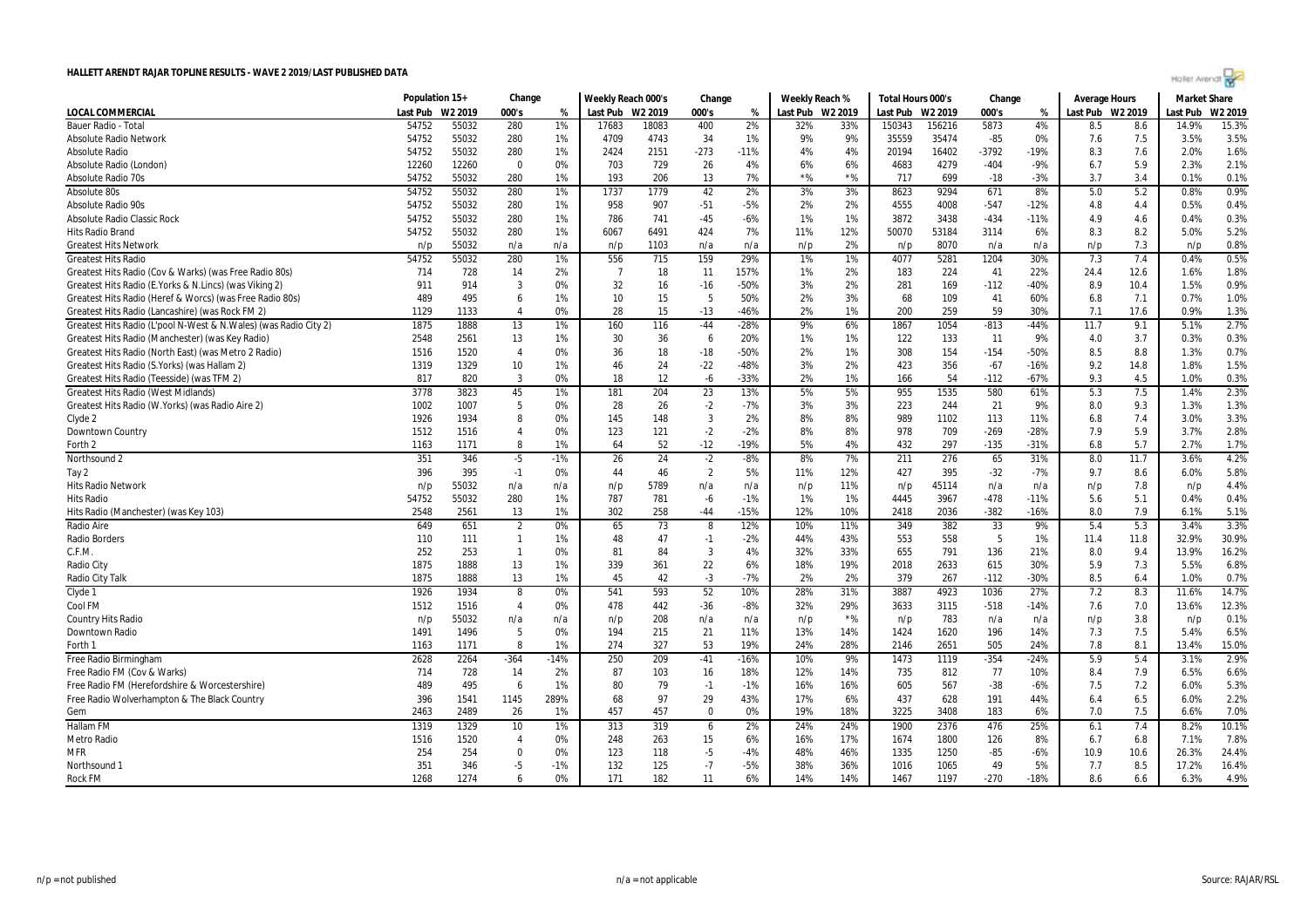|  | Hollet Arendr? |  |  |
|--|----------------|--|--|
|  |                |  |  |
|  |                |  |  |

| Population 15+<br>Change<br>Weekly Reach 000's<br>Change<br>Weekly Reach %<br>Total Hours 000's<br>Change<br><b>Average Hours</b>                                                             | <b>Market Share</b> |
|-----------------------------------------------------------------------------------------------------------------------------------------------------------------------------------------------|---------------------|
| <b>LOCAL COMMERCIAL</b><br>Last Pub W2 2019<br>000's<br>Last Pub W2 2019<br>000's<br>Last Pub W2 2019<br>Last Pub<br>W2 2019<br>000's<br>Last Pub W2 2019<br>%<br>%<br>%                      | Last Pub<br>W2 2019 |
| 54752<br>5873<br>Bauer Radio - Total<br>55032<br>280<br>1%<br>17683<br>18083<br>400<br>2%<br>32%<br>33%<br>150343<br>156216<br>4%<br>8.5<br>8.6                                               | 14.9%<br>15.3%      |
| 35559<br>35474<br>$-85$<br>7.5<br>54752<br>55032<br>4709<br>4743<br>34<br>1%<br>9%<br>9%<br><b>Absolute Radio Network</b><br>280<br>1%<br>0%<br>7.6                                           | 3.5%<br>3.5%        |
| 54752<br>55032<br>280<br>1%<br>2151<br>$-273$<br>$-11%$<br>4%<br>4%<br>16402<br>$-3792$<br>$-19%$<br>7.6<br><b>Absolute Radio</b><br>2424<br>20194<br>8.3                                     | 1.6%<br>2.0%        |
| 0%<br>729<br>26<br>6%<br>6%<br>4279<br>$-404$<br>$-9%$<br>5.9<br>Absolute Radio (London)<br>12260<br>12260<br>$\mathbf 0$<br>703<br>4%<br>4683<br>6.7                                         | 2.1%<br>2.3%        |
| $*$ %<br>$*$ %<br>7%<br>3.4<br>Absolute Radio 70s<br>54752<br>55032<br>1%<br>193<br>206<br>13<br>717<br>699<br>$-18$<br>$-3%$<br>3.7<br>280                                                   | 0.1%<br>0.1%        |
| 1779<br>5.2<br>54752<br>55032<br>280<br>1%<br>1737<br>42<br>2%<br>3%<br>3%<br>8623<br>9294<br>671<br>8%<br>5.0<br>Absolute 80s                                                                | 0.9%<br>0.8%        |
| 4555<br>4008<br>$-547$<br>54752<br>55032<br>280<br>1%<br>958<br>907<br>$-51$<br>$-5%$<br>2%<br>2%<br>$-12%$<br>4.8<br>4.4<br>Absolute Radio 90s                                               | 0.4%<br>0.5%        |
| 54752<br>55032<br>1%<br>786<br>741<br>$-45$<br>$-6%$<br>1%<br>1%<br>3872<br>3438<br>$-434$<br>$-11%$<br>4.9<br>4.6<br>Absolute Radio Classic Rock<br>280                                      | 0.3%<br>0.4%        |
| 54752<br>55032<br>6491<br>424<br>7%<br>12%<br>50070<br>53184<br>8.3<br>8.2<br>Hits Radio Brand<br>280<br>1%<br>6067<br>11%<br>3114<br>6%                                                      | 5.2%<br>5.0%        |
| 8070<br>7.3<br><b>Greatest Hits Network</b><br>55032<br>1103<br>2%<br>n/p<br>n/a<br>n/a<br>n/p<br>n/a<br>n/a<br>n/p<br>n/p<br>n/a<br>n/a<br>n/p                                               | 0.8%<br>n/p         |
| 7.4<br>280<br>1%<br>556<br>715<br>159<br>29%<br>1%<br>1%<br>4077<br>5281<br>1204<br>30%<br>7.3<br><b>Greatest Hits Radio</b><br>54752<br>55032                                                | 0.5%<br>0.4%        |
| 224<br>22%<br>Greatest Hits Radio (Cov & Warks) (was Free Radio 80s)<br>714<br>728<br>2%<br>$\overline{7}$<br>18<br>11<br>157%<br>1%<br>2%<br>183<br>41<br>24.4<br>12.6<br>14                 | 1.8%<br>1.6%        |
| Greatest Hits Radio (E. Yorks & N. Lincs) (was Viking 2)<br>911<br>914<br>3<br>0%<br>32<br>16<br>$-50%$<br>3%<br>2%<br>281<br>169<br>$-112$<br>$-40%$<br>8.9<br>10.4<br>$-16$                 | 0.9%<br>1.5%        |
| 15<br>5<br>489<br>1%<br>10<br>50%<br>2%<br>3%<br>68<br>109<br>41<br>60%<br>7.1<br>Greatest Hits Radio (Heref & Worcs) (was Free Radio 80s)<br>495<br>6<br>6.8                                 | 1.0%<br>0.7%        |
| 1129<br>1133<br>0%<br>28<br>15<br>$-13$<br>$-46%$<br>2%<br>1%<br>200<br>259<br>59<br>30%<br>17.6<br>Greatest Hits Radio (Lancashire) (was Rock FM 2)<br>$\overline{4}$<br>7.1                 | 0.9%<br>1.3%        |
| Greatest Hits Radio (L'pool N-West & N. Wales) (was Radio City 2)<br>1888<br>116<br>9%<br>1867<br>1054<br>$-813$<br>11.7<br>9.1<br>1875<br>13<br>1%<br>160<br>$-44$<br>$-28%$<br>6%<br>$-44%$ | 2.7%<br>5.1%        |
| Greatest Hits Radio (Manchester) (was Key Radio)<br>2548<br>2561<br>13<br>1%<br>30<br>36<br>6<br>20%<br>1%<br>1%<br>122<br>133<br>11<br>9%<br>4.0<br>3.7                                      | 0.3%<br>0.3%        |
| 154<br>8.8<br>Greatest Hits Radio (North East) (was Metro 2 Radio)<br>1516<br>1520<br>36<br>18<br>$-18$<br>$-50%$<br>2%<br>1%<br>308<br>$-154$<br>$-50%$<br>8.5<br>$\overline{4}$<br>0%       | 0.7%<br>1.3%        |
| Greatest Hits Radio (S. Yorks) (was Hallam 2)<br>10<br>1%<br>46<br>24<br>$-22$<br>$-48%$<br>3%<br>2%<br>423<br>356<br>$-67$<br>$-16%$<br>9.2<br>14.8<br>1319<br>1329                          | 1.5%<br>1.8%        |
| Greatest Hits Radio (Teesside) (was TFM 2)<br>817<br>820<br>3<br>0%<br>18<br>12<br>$-6$<br>$-33%$<br>2%<br>1%<br>54<br>$-112$<br>$-67%$<br>9.3<br>4.5<br>166                                  | 1.0%<br>0.3%        |
| 23<br><b>Greatest Hits Radio (West Midlands)</b><br>3778<br>3823<br>45<br>1%<br>181<br>204<br>13%<br>5%<br>5%<br>955<br>1535<br>580<br>61%<br>5.3<br>7.5                                      | 2.3%<br>1.4%        |
| 5<br>28<br>26<br>$-2$<br>3%<br>3%<br>244<br>21<br>9%<br>9.3<br>Greatest Hits Radio (W.Yorks) (was Radio Aire 2)<br>1002<br>1007<br>0%<br>$-7%$<br>223<br>8.0                                  | 1.3%<br>1.3%        |
| $\overline{3}$<br>2%<br>1926<br>1934<br>8<br>0%<br>145<br>148<br>8%<br>8%<br>989<br>1102<br>113<br>11%<br>7.4<br>Clyde 2<br>6.8                                                               | 3.3%<br>3.0%        |
| 121<br>$-2$<br>$-2%$<br>8%<br>8%<br>$-269$<br>5.9<br>1512<br>1516<br>$\overline{4}$<br>0%<br>123<br>978<br>709<br>$-28%$<br>7.9<br>Downtown Country                                           | 2.8%<br>3.7%        |
| 52<br>1%<br>$-12$<br>$-19%$<br>5%<br>4%<br>432<br>297<br>$-135$<br>$-31%$<br>6.8<br>5.7<br>Forth 2<br>1163<br>1171<br>8<br>64                                                                 | 1.7%<br>2.7%        |
| 351<br>24<br>211<br>276<br>65<br>Northsound 2<br>346<br>$-5$<br>$-1%$<br>26<br>$-2$<br>$-8%$<br>8%<br>7%<br>31%<br>8.0<br>11.7                                                                | 4.2%<br>3.6%        |
| 396<br>46<br>$\overline{2}$<br>5%<br>12%<br>395<br>$-32$<br>395<br>$-1$<br>0%<br>44<br>11%<br>427<br>-7%<br>9.7<br>8.6<br>Tay 2                                                               | 5.8%<br>6.0%        |
| 5789<br>55032<br>n/a<br>11%<br>45114<br>n/a<br>7.8<br><b>Hits Radio Network</b><br>n/p<br>n/a<br>n/a<br>n/p<br>n/a<br>n/p<br>n/p<br>n/a<br>n/p                                                | 4.4%<br>n/p         |
| 55032<br>280<br>781<br>$-1%$<br>1%<br>3967<br>$-478$<br>5.1<br>54752<br>1%<br>787<br>$-6$<br>1%<br>4445<br>$-11%$<br>5.6<br><b>Hits Radio</b>                                                 | 0.4%<br>0.4%        |
| 13<br>1%<br>302<br>258<br>$-44$<br>$-15%$<br>12%<br>10%<br>2036<br>$-382$<br>$-16%$<br>8.0<br>7.9<br>Hits Radio (Manchester) (was Key 103)<br>2548<br>2561<br>2418                            | 5.1%<br>6.1%        |
| 382<br>33<br>5.3<br>Radio Aire<br>649<br>651<br>$\overline{2}$<br>0%<br>73<br>8<br>12%<br>10%<br>11%<br>349<br>9%<br>5.4<br>65                                                                | 3.3%<br>3.4%        |
| 47<br>558<br>5<br>Radio Borders<br>110<br>111<br>$\mathbf{1}$<br>1%<br>48<br>$-1$<br>$-2%$<br>44%<br>43%<br>553<br>1%<br>11.4<br>11.8                                                         | 30.9%<br>32.9%      |
| $\overline{3}$<br>252<br>253<br>$\mathbf{1}$<br>81<br>84<br>4%<br>32%<br>33%<br>655<br>791<br>136<br>21%<br>9.4<br>C.F.M.<br>0%<br>8.0                                                        | 16.2%<br>13.9%      |
| 1875<br>1888<br>13<br>339<br>361<br>22<br>6%<br>18%<br>19%<br>2018<br>2633<br>615<br>30%<br>7.3<br>1%<br>5.9<br>Radio City                                                                    | 6.8%<br>5.5%        |
| 1875<br>1888<br>13<br>1%<br>45<br>42<br>$-3$<br>$-7%$<br>2%<br>2%<br>379<br>267<br>$-112$<br>$-30%$<br>8.5<br>6.4<br>Radio City Talk                                                          | 0.7%<br>1.0%        |
| 593<br>52<br>3887<br>4923<br>Clyde 1<br>1934<br>8<br>541<br>10%<br>28%<br>31%<br>1036<br>27%<br>7.2<br>8.3<br>1926<br>0%                                                                      | 14.7%<br>11.6%      |
| 29%<br>Cool FM<br>1512<br>1516<br>$\overline{4}$<br>0%<br>478<br>442<br>$-36$<br>$-8%$<br>32%<br>3633<br>3115<br>$-518$<br>$-14%$<br>7.6<br>7.0                                               | 12.3%<br>13.6%      |
| $*$ %<br>55032<br>208<br>783<br>3.8<br><b>Country Hits Radio</b><br>n/p<br>n/a<br>n/p<br>n/a<br>n/a<br>n/p<br>n/p<br>n/a<br>n/p<br>n/a<br>n/a                                                 | 0.1%<br>n/p         |
| 5<br>0%<br>21<br>196<br>7.5<br>Downtown Radio<br>1491<br>1496<br>194<br>215<br>11%<br>13%<br>14%<br>1424<br>1620<br>14%<br>7.3                                                                | 6.5%<br>5.4%        |
| 8<br>1%<br>274<br>327<br>53<br>19%<br>28%<br>505<br>7.8<br>8.1<br>24%<br>2651<br>24%<br>Forth 1<br>1163<br>1171<br>2146                                                                       | 15.0%<br>13.4%      |
| 250<br>209<br>$-41$<br>9%<br>$-354$<br>$-24%$<br>5.9<br>5.4<br>Free Radio Birmingham<br>2628<br>2264<br>$-364$<br>$-14%$<br>$-16%$<br>10%<br>1473<br>1119                                     | 2.9%<br>3.1%        |
| 7.9<br>Free Radio FM (Cov & Warks)<br>714<br>728<br>2%<br>87<br>103<br>18%<br>12%<br>14%<br>812<br>77<br>10%<br>14<br>16<br>735<br>8.4                                                        | 6.6%<br>6.5%        |
| Free Radio FM (Herefordshire & Worcestershire)<br>489<br>495<br>6<br>1%<br>80<br>79<br>$-1%$<br>16%<br>16%<br>605<br>567<br>$-38$<br>$-6%$<br>7.5<br>7.2<br>$-1$                              | 5.3%<br>6.0%        |
| 396<br>289%<br>68<br>97<br>29<br>43%<br>17%<br>6%<br>437<br>628<br>6.5<br>Free Radio Wolverhampton & The Black Country<br>1541<br>1145<br>191<br>44%<br>6.4                                   | 2.2%<br>6.0%        |
| 457<br>0%<br>18%<br>3225<br>7.5<br>Gem<br>2463<br>2489<br>26<br>1%<br>457<br>$\mathbf 0$<br>19%<br>3408<br>183<br>6%<br>7.0                                                                   | 7.0%<br>6.6%        |
| <b>Hallam FM</b><br>1329<br>1%<br>313<br>2%<br>476<br>25%<br>1319<br>10<br>319<br>6<br>24%<br>24%<br>1900<br>2376<br>6.1<br>7.4                                                               | 10.1%<br>8.2%       |
| 15<br>17%<br>1800<br>6.8<br>Metro Radio<br>1516<br>1520<br>0%<br>248<br>263<br>6%<br>16%<br>1674<br>126<br>8%<br>6.7<br>$\overline{4}$                                                        | 7.8%<br>7.1%        |
| <b>MFR</b><br>254<br>254<br>$\Omega$<br>0%<br>123<br>118<br>$-5$<br>$-4%$<br>48%<br>46%<br>1335<br>1250<br>$-85$<br>$-6%$<br>10.9<br>10.6                                                     | 26.3%<br>24.4%      |
| $-7$<br>351<br>-5<br>132<br>125<br>$-5%$<br>36%<br>49<br>5%<br>8.5<br>346<br>$-1%$<br>38%<br>1016<br>1065<br>7.7<br>Northsound 1                                                              | 16.4%<br>17.2%      |
| 1268<br>1274<br>6<br>0%<br>171<br>182<br>11<br>6%<br>14%<br>14%<br>1197<br>$-270$<br>$-18%$<br><b>Rock FM</b><br>1467<br>8.6<br>6.6                                                           | 6.3%<br>4.9%        |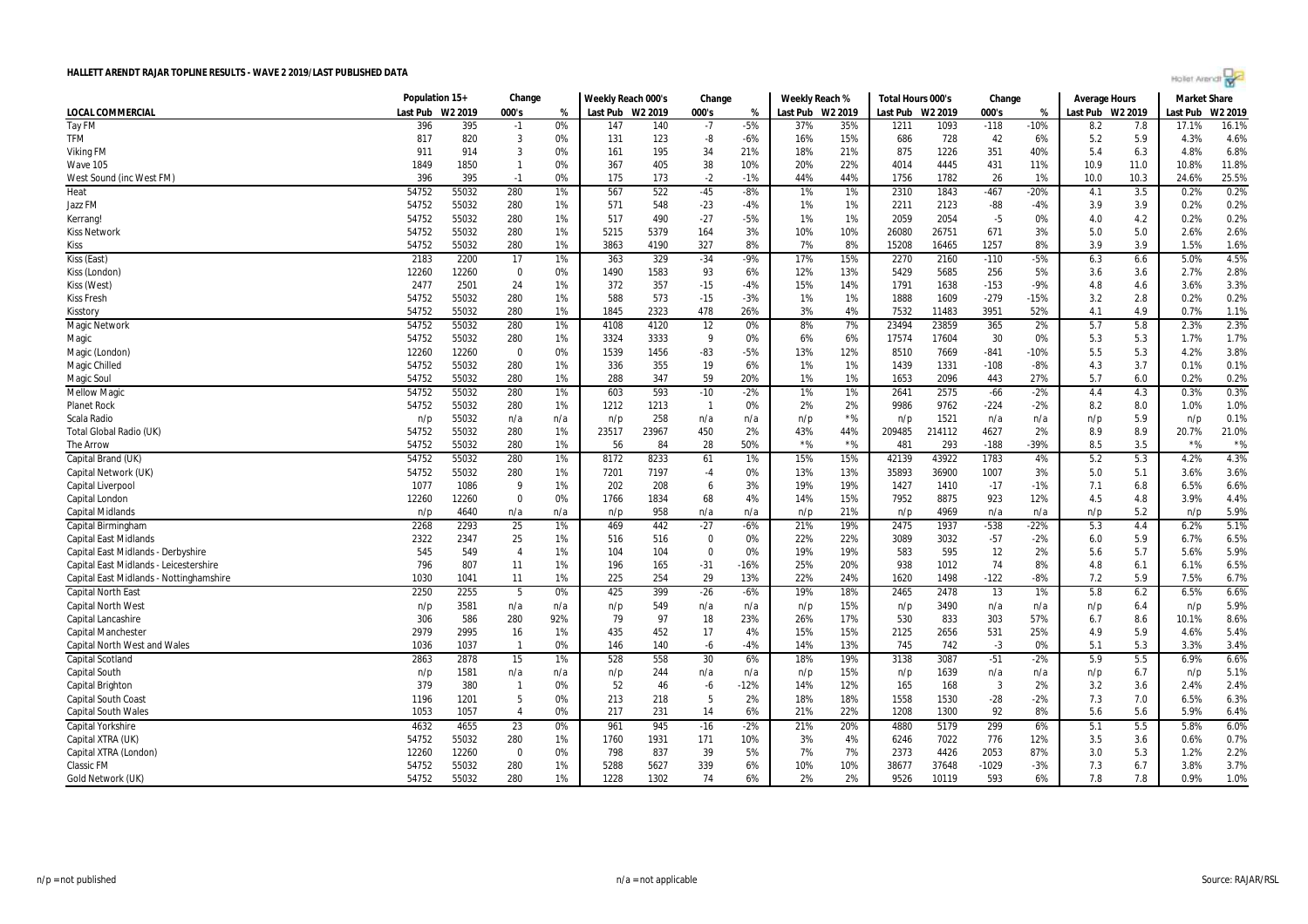|  | Hollet Arendr? |  |  |
|--|----------------|--|--|
|  |                |  |  |
|  |                |  |  |

| LOCAL COMMERCIAL<br>Last Pub W2 2019<br>000's<br>Last Pub W2 2019<br>000's<br>Last Pub W2 2019<br>Last Pub W2 2019<br>000's<br>Last Pub W2 2019<br>Last Pub<br>W2 2019<br>%<br>%<br>%<br>Tay FM<br>396<br>395<br>0%<br>147<br>140<br>$-7$<br>$-5%$<br>37%<br>35%<br>1211<br>1093<br>$-118$<br>$-10%$<br>17.1%<br>16.1%<br>$-1$<br>8.2<br>7.8<br><b>TFM</b><br>42<br>4.6%<br>817<br>3<br>131<br>-8<br>728<br>5.9<br>4.3%<br>820<br>0%<br>123<br>$-6%$<br>16%<br>15%<br>686<br>6%<br>5.2<br>6.8%<br>911<br>914<br>3<br>0%<br>195<br>21%<br>18%<br>21%<br>875<br>1226<br>351<br>40%<br>6.3<br>4.8%<br><b>Viking FM</b><br>161<br>34<br>5.4<br>1849<br>1850<br>405<br>38<br>20%<br>22%<br>4445<br>431<br>11.0<br>10.8%<br>11.8%<br>$\mathbf{1}$<br>0%<br>367<br>10%<br>4014<br>11%<br>10.9<br>Wave 105<br>25.5%<br>396<br>395<br>175<br>$-2$<br>44%<br>44%<br>1782<br>26<br>1%<br>10.3<br>0%<br>173<br>$-1%$<br>1756<br>10.0<br>24.6%<br>West Sound (inc West FM)<br>$-1$<br>54752<br>3.5<br>0.2%<br>Heat<br>55032<br>280<br>1%<br>567<br>522<br>$-45$<br>$-8%$<br>1%<br>1%<br>2310<br>1843<br>$-467$<br>$-20%$<br>4.1<br>0.2%<br>54752<br>55032<br>571<br>548<br>1%<br>2123<br>$-88$<br>3.9<br>0.2%<br>0.2%<br>Jazz FM<br>280<br>1%<br>$-23$<br>$-4%$<br>1%<br>2211<br>$-4%$<br>3.9<br>54752<br>55032<br>1%<br>2054<br>0.2%<br>0.2%<br>280<br>1%<br>517<br>490<br>$-27$<br>$-5%$<br>1%<br>2059<br>$-5$<br>0%<br>4.0<br>4.2<br>Kerrang!<br>2.6%<br>54752<br>55032<br>280<br>5215<br>5379<br>164<br>10%<br>10%<br>26080<br>26751<br>671<br>5.0<br>5.0<br>2.6%<br><b>Kiss Network</b><br>1%<br>3%<br>3%<br>327<br>7%<br>1.6%<br><b>Kiss</b><br>54752<br>55032<br>280<br>1%<br>3863<br>4190<br>8%<br>8%<br>15208<br>16465<br>1257<br>8%<br>3.9<br>3.9<br>1.5%<br>4.5%<br>2200<br>17<br>1%<br>329<br>$-34$<br>$-9%$<br>17%<br>15%<br>2270<br>$-110$<br>$-5%$<br>6.3<br>6.6<br>5.0%<br>Kiss (East)<br>2183<br>363<br>2160<br>2.8%<br>12260<br>12260<br>0%<br>1490<br>1583<br>93<br>6%<br>12%<br>13%<br>5429<br>5685<br>256<br>5%<br>2.7%<br>Kiss (London)<br>0<br>3.6<br>3.6<br>1%<br>14%<br>$-153$<br>$-9%$<br>4.6<br>3.6%<br>3.3%<br>Kiss (West)<br>2477<br>2501<br>24<br>372<br>357<br>$-15$<br>-4%<br>15%<br>1791<br>1638<br>4.8<br>0.2%<br>54752<br>588<br>573<br>1%<br>1888<br>1609<br>$-279$<br>$-15%$<br>2.8<br>0.2%<br>55032<br>280<br>1%<br>$-15$<br>$-3%$<br>1%<br>3.2<br><b>Kiss Fresh</b><br>2323<br>3%<br>3951<br>1.1%<br>54752<br>55032<br>280<br>1%<br>1845<br>478<br>26%<br>4%<br>7532<br>11483<br>52%<br>4.1<br>4.9<br>0.7%<br>Kisstory<br>2.3%<br>54752<br>55032<br>280<br>4120<br>12<br>8%<br>7%<br>23494<br>23859<br>365<br>2%<br>5.7<br>5.8<br>2.3%<br>Magic Network<br>1%<br>4108<br>0%<br>1.7%<br>54752<br>55032<br>280<br>1%<br>3324<br>3333<br>9<br>6%<br>6%<br>17574<br>17604<br>30<br>0%<br>5.3<br>5.3<br>1.7%<br>Magic<br>0%<br>3.8%<br>12260<br>12260<br>$\mathbf 0$<br>0%<br>1539<br>1456<br>$-83$<br>13%<br>12%<br>8510<br>7669<br>5.5<br>5.3<br>4.2%<br>Magic (London)<br>$-5%$<br>$-841$<br>$-10%$<br>54752<br>55032<br>280<br>355<br>19<br>6%<br>1%<br>1331<br>0.1%<br>0.1%<br>Magic Chilled<br>1%<br>336<br>1%<br>1439<br>$-108$<br>$-8%$<br>4.3<br>3.7<br>55032<br>280<br>1%<br>288<br>347<br>59<br>20%<br>1%<br>1%<br>2096<br>443<br>27%<br>5.7<br>6.0<br>0.2%<br>0.2%<br><b>Magic Soul</b><br>54752<br>1653<br>0.3%<br><b>Mellow Magio</b><br>54752<br>55032<br>280<br>1%<br>603<br>593<br>$-10$<br>$-2%$<br>1%<br>1%<br>2641<br>2575<br>$-66$<br>$-2%$<br>4.4<br>4.3<br>0.3%<br>1%<br>2%<br>2%<br>9762<br>8.0<br>1.0%<br><b>Planet Rock</b><br>54752<br>55032<br>280<br>1212<br>1213<br>$\overline{1}$<br>0%<br>9986<br>$-224$<br>$-2%$<br>8.2<br>1.0%<br>55032<br>258<br>$*$ %<br>1521<br>5.9<br>0.1%<br>Scala Radio<br>n/p<br>n/a<br>n/a<br>n/p<br>n/a<br>n/a<br>n/p<br>n/p<br>n/a<br>n/a<br>n/p<br>n/p<br>54752<br>214112<br>4627<br>8.9<br>21.0%<br>Total Global Radio (UK)<br>55032<br>280<br>1%<br>23517<br>23967<br>450<br>2%<br>43%<br>44%<br>209485<br>2%<br>8.9<br>20.7%<br>$*$ %<br>$*$ %<br>$*$ %<br>$*$ %<br>54752<br>55032<br>280<br>1%<br>56<br>84<br>28<br>50%<br>481<br>293<br>$-188$<br>-39%<br>8.5<br>3.5<br>The Arrow<br>4.3%<br>Capital Brand (UK)<br>55032<br>280<br>8233<br>42139<br>43922<br>1783<br>5.2<br>5.3<br>4.2%<br>54752<br>1%<br>8172<br>1%<br>15%<br>15%<br>4%<br>61<br>36900<br>3.6%<br>54752<br>55032<br>280<br>7201<br>7197<br>13%<br>13%<br>35893<br>1007<br>5.1<br>3.6%<br>Capital Network (UK)<br>1%<br>$-4$<br>0%<br>3%<br>5.0<br>6.6%<br>1077<br>1086<br>9<br>1%<br>202<br>208<br>3%<br>19%<br>19%<br>1427<br>1410<br>$-17$<br>$-1%$<br>7.1<br>6.8<br>6.5%<br>Capital Liverpool<br>6<br>15%<br>4.4%<br>$\Omega$<br>0%<br>1766<br>1834<br>68<br>4%<br>14%<br>7952<br>8875<br>923<br>12%<br>4.5<br>4.8<br>3.9%<br>Capital London<br>12260<br>12260<br>5.9%<br>958<br>21%<br>5.2<br><b>Capital Midlands</b><br>4969<br>n/a<br>n/p<br>n/p<br>4640<br>n/a<br>n/a<br>n/p<br>n/a<br>n/a<br>n/p<br>n/p<br>n/a<br>n/p<br>2268<br>4.4<br>5.1%<br>Capital Birminghan<br>2293<br>25<br>1%<br>469<br>442<br>$-27$<br>$-6%$<br>21%<br>19%<br>2475<br>1937<br>$-538$<br>$-22%$<br>5.3<br>6.2%<br>2322<br>25<br>516<br>22%<br>22%<br>3089<br>3032<br>$-57$<br>5.9<br>6.7%<br>6.5%<br>2347<br>1%<br>516<br>$\mathbf 0$<br>0%<br>$-2%$<br>6.0<br><b>Capital East Midlands</b><br>545<br>549<br>19%<br>19%<br>583<br>595<br>12<br>5.7<br>5.9%<br>Capital East Midlands - Derbyshire<br>$\overline{4}$<br>1%<br>104<br>104<br>$\Omega$<br>0%<br>2%<br>5.6<br>5.6%<br>6.5%<br>Capital East Midlands - Leicestershire<br>796<br>807<br>11<br>196<br>165<br>$-31$<br>$-16%$<br>25%<br>20%<br>938<br>1012<br>74<br>8%<br>4.8<br>6.1<br>6.1%<br>1%<br>13%<br>22%<br>1498<br>$-122$<br>7.5%<br>6.7%<br>1030<br>11<br>1%<br>225<br>254<br>29<br>24%<br>1620<br>$-8%$<br>7.2<br>5.9<br>Capital East Midlands - Nottinghamshire<br>1041<br>6.6%<br>2250<br>2255<br>0%<br>425<br>399<br>$-26$<br>$-6%$<br>19%<br>18%<br>2478<br>13<br>1%<br>5.8<br>6.2<br>6.5%<br><b>Capital North East</b><br>5<br>2465<br>5.9%<br>3581<br>549<br>15%<br>3490<br><b>Capital North West</b><br>n/p<br>n/a<br>n/a<br>n/p<br>n/a<br>n/p<br>n/a<br>n/a<br>6.4<br>n/p<br>n/a<br>n/p<br>n/p<br>8.6%<br>306<br>586<br>280<br>79<br>97<br>18<br>17%<br>833<br>303<br>92%<br>23%<br>26%<br>530<br>57%<br>6.7<br>8.6<br>10.1%<br>Capital Lancashire<br>5.4%<br>2979<br>2995<br>16<br>435<br>452<br>17<br>4%<br>15%<br>15%<br>2125<br>2656<br>531<br>25%<br>5.9<br>4.6%<br>Capital Mancheste<br>1%<br>4.9<br>5.3<br>3.3%<br>3.4%<br><b>Capital North West and Wales</b><br>1036<br>1037<br>0%<br>146<br>140<br>-6<br>-4%<br>14%<br>13%<br>745<br>742<br>$-3$<br>0%<br>5.1<br>$\overline{1}$<br>6.6%<br>2863<br>2878<br>15<br>528<br>558<br>30<br>6%<br>18%<br>19%<br>3138<br>3087<br>$-51$<br>$-2%$<br>5.9<br>5.5<br>6.9%<br>Capital Scotland<br>1%<br>5.1%<br>Capital South<br>1581<br>244<br>15%<br>1639<br>6.7<br>n/p<br>n/a<br>n/p<br>n/a<br>n/p<br>n/a<br>n/a<br>n/p<br>n/a<br>n/a<br>n/p<br>n/p<br>52<br>$\overline{3}$<br>2.4%<br>379<br>380<br>0%<br>46<br>$-12%$<br>14%<br>12%<br>165<br>168<br>2%<br>3.2<br>3.6<br>2.4%<br><b>Capital Brighton</b><br>-6<br>$\mathbf{1}$<br>5<br>0%<br>213<br>5<br>2%<br>18%<br>18%<br>1558<br>1530<br>$-28$<br>$-2%$<br>7.3<br>6.5%<br>6.3%<br><b>Capital South Coast</b><br>1196<br>1201<br>218<br>7.0<br>1053<br>0%<br>217<br>231<br>14<br>6%<br>21%<br>22%<br>1208<br>1300<br>92<br>8%<br>5.6<br>5.6<br>5.9%<br>6.4%<br><b>Capital South Wales</b><br>1057<br>$\overline{4}$<br>299<br>6.0%<br>4632<br>4655<br>23<br>0%<br>961<br>945<br>$-16$<br>$-2%$<br>21%<br>20%<br>4880<br>5179<br>6%<br>5.5<br>5.8%<br>Capital Yorkshire<br>5.1<br>0.7%<br>54752<br>3%<br>7022<br>776<br>Capital XTRA (UK)<br>55032<br>280<br>1%<br>1760<br>1931<br>171<br>10%<br>4%<br>6246<br>12%<br>3.5<br>3.6<br>0.6%<br>2.2%<br>837<br>39<br>5%<br>7%<br>7%<br>4426<br>2053<br>87%<br>5.3<br>1.2%<br>Capital XTRA (London)<br>12260<br>12260<br>$\Omega$<br>0%<br>798<br>2373<br>3.0<br>5627<br>10%<br>10%<br>3.8%<br>3.7%<br><b>Classic FM</b><br>54752<br>55032<br>280<br>1%<br>5288<br>339<br>6%<br>38677<br>37648<br>-1029<br>$-3%$<br>7.3<br>6.7<br>55032<br>280<br>1228<br>1302<br>2%<br>2%<br>0.9%<br>1.0%<br>54752<br>1%<br>74<br>6%<br>9526<br>10119<br>593<br>6%<br>7.8<br>7.8<br>Gold Network (UK) | Population 15+ | Change | Weekly Reach 000's | Change |  | Weekly Reach % |  | Total Hours 000's | Change | <b>Average Hours</b> | <b>Market Share</b> |  |
|----------------------------------------------------------------------------------------------------------------------------------------------------------------------------------------------------------------------------------------------------------------------------------------------------------------------------------------------------------------------------------------------------------------------------------------------------------------------------------------------------------------------------------------------------------------------------------------------------------------------------------------------------------------------------------------------------------------------------------------------------------------------------------------------------------------------------------------------------------------------------------------------------------------------------------------------------------------------------------------------------------------------------------------------------------------------------------------------------------------------------------------------------------------------------------------------------------------------------------------------------------------------------------------------------------------------------------------------------------------------------------------------------------------------------------------------------------------------------------------------------------------------------------------------------------------------------------------------------------------------------------------------------------------------------------------------------------------------------------------------------------------------------------------------------------------------------------------------------------------------------------------------------------------------------------------------------------------------------------------------------------------------------------------------------------------------------------------------------------------------------------------------------------------------------------------------------------------------------------------------------------------------------------------------------------------------------------------------------------------------------------------------------------------------------------------------------------------------------------------------------------------------------------------------------------------------------------------------------------------------------------------------------------------------------------------------------------------------------------------------------------------------------------------------------------------------------------------------------------------------------------------------------------------------------------------------------------------------------------------------------------------------------------------------------------------------------------------------------------------------------------------------------------------------------------------------------------------------------------------------------------------------------------------------------------------------------------------------------------------------------------------------------------------------------------------------------------------------------------------------------------------------------------------------------------------------------------------------------------------------------------------------------------------------------------------------------------------------------------------------------------------------------------------------------------------------------------------------------------------------------------------------------------------------------------------------------------------------------------------------------------------------------------------------------------------------------------------------------------------------------------------------------------------------------------------------------------------------------------------------------------------------------------------------------------------------------------------------------------------------------------------------------------------------------------------------------------------------------------------------------------------------------------------------------------------------------------------------------------------------------------------------------------------------------------------------------------------------------------------------------------------------------------------------------------------------------------------------------------------------------------------------------------------------------------------------------------------------------------------------------------------------------------------------------------------------------------------------------------------------------------------------------------------------------------------------------------------------------------------------------------------------------------------------------------------------------------------------------------------------------------------------------------------------------------------------------------------------------------------------------------------------------------------------------------------------------------------------------------------------------------------------------------------------------------------------------------------------------------------------------------------------------------------------------------------------------------------------------------------------------------------------------------------------------------------------------------------------------------------------------------------------------------------------------------------------------------------------------------------------------------------------------------------------------------------------------------------------------------------------------------------------------------------------------------------------------------------------------------------------------------------------------------------------------------------------------------------------------------------------------------------------------------------------------------------------------------------------------------------------------------------------------------------------------------------------------------------------------------------------------------------------------------------------------------------------------------------------------------------------------------------------------------------------------------------------------------------------------------------------------------------------------------------------------------------------------------------------------------------------------------------------------------------------------------------------------------------------------------------------------------------------------------------------------------------------------------------------------------------------------------------------------------------------------------------------------------------------------------------------------------------------------------------------------------------------------------------------------------------------------------------------------------------------------------------------------------------------------------------------------------------------------------------------------------------------------------------------------------------------------------------------------------------------------------------------------------------------------------------------------------------------------------------------------------------------------------------------------------------------------------------------------------------------------------------------------------------------------------------------------------------------------------------------------------------------------------------------------------|----------------|--------|--------------------|--------|--|----------------|--|-------------------|--------|----------------------|---------------------|--|
|                                                                                                                                                                                                                                                                                                                                                                                                                                                                                                                                                                                                                                                                                                                                                                                                                                                                                                                                                                                                                                                                                                                                                                                                                                                                                                                                                                                                                                                                                                                                                                                                                                                                                                                                                                                                                                                                                                                                                                                                                                                                                                                                                                                                                                                                                                                                                                                                                                                                                                                                                                                                                                                                                                                                                                                                                                                                                                                                                                                                                                                                                                                                                                                                                                                                                                                                                                                                                                                                                                                                                                                                                                                                                                                                                                                                                                                                                                                                                                                                                                                                                                                                                                                                                                                                                                                                                                                                                                                                                                                                                                                                                                                                                                                                                                                                                                                                                                                                                                                                                                                                                                                                                                                                                                                                                                                                                                                                                                                                                                                                                                                                                                                                                                                                                                                                                                                                                                                                                                                                                                                                                                                                                                                                                                                                                                                                                                                                                                                                                                                                                                                                                                                                                                                                                                                                                                                                                                                                                                                                                                                                                                                                                                                                                                                                                                                                                                                                                                                                                                                                                                                                                                                                                                                                                                                                                                                                                                                                                                                                                                                                                                                                                                                                                                                                                                                                                          |                |        |                    |        |  |                |  |                   |        |                      |                     |  |
|                                                                                                                                                                                                                                                                                                                                                                                                                                                                                                                                                                                                                                                                                                                                                                                                                                                                                                                                                                                                                                                                                                                                                                                                                                                                                                                                                                                                                                                                                                                                                                                                                                                                                                                                                                                                                                                                                                                                                                                                                                                                                                                                                                                                                                                                                                                                                                                                                                                                                                                                                                                                                                                                                                                                                                                                                                                                                                                                                                                                                                                                                                                                                                                                                                                                                                                                                                                                                                                                                                                                                                                                                                                                                                                                                                                                                                                                                                                                                                                                                                                                                                                                                                                                                                                                                                                                                                                                                                                                                                                                                                                                                                                                                                                                                                                                                                                                                                                                                                                                                                                                                                                                                                                                                                                                                                                                                                                                                                                                                                                                                                                                                                                                                                                                                                                                                                                                                                                                                                                                                                                                                                                                                                                                                                                                                                                                                                                                                                                                                                                                                                                                                                                                                                                                                                                                                                                                                                                                                                                                                                                                                                                                                                                                                                                                                                                                                                                                                                                                                                                                                                                                                                                                                                                                                                                                                                                                                                                                                                                                                                                                                                                                                                                                                                                                                                                                                          |                |        |                    |        |  |                |  |                   |        |                      |                     |  |
|                                                                                                                                                                                                                                                                                                                                                                                                                                                                                                                                                                                                                                                                                                                                                                                                                                                                                                                                                                                                                                                                                                                                                                                                                                                                                                                                                                                                                                                                                                                                                                                                                                                                                                                                                                                                                                                                                                                                                                                                                                                                                                                                                                                                                                                                                                                                                                                                                                                                                                                                                                                                                                                                                                                                                                                                                                                                                                                                                                                                                                                                                                                                                                                                                                                                                                                                                                                                                                                                                                                                                                                                                                                                                                                                                                                                                                                                                                                                                                                                                                                                                                                                                                                                                                                                                                                                                                                                                                                                                                                                                                                                                                                                                                                                                                                                                                                                                                                                                                                                                                                                                                                                                                                                                                                                                                                                                                                                                                                                                                                                                                                                                                                                                                                                                                                                                                                                                                                                                                                                                                                                                                                                                                                                                                                                                                                                                                                                                                                                                                                                                                                                                                                                                                                                                                                                                                                                                                                                                                                                                                                                                                                                                                                                                                                                                                                                                                                                                                                                                                                                                                                                                                                                                                                                                                                                                                                                                                                                                                                                                                                                                                                                                                                                                                                                                                                                                          |                |        |                    |        |  |                |  |                   |        |                      |                     |  |
|                                                                                                                                                                                                                                                                                                                                                                                                                                                                                                                                                                                                                                                                                                                                                                                                                                                                                                                                                                                                                                                                                                                                                                                                                                                                                                                                                                                                                                                                                                                                                                                                                                                                                                                                                                                                                                                                                                                                                                                                                                                                                                                                                                                                                                                                                                                                                                                                                                                                                                                                                                                                                                                                                                                                                                                                                                                                                                                                                                                                                                                                                                                                                                                                                                                                                                                                                                                                                                                                                                                                                                                                                                                                                                                                                                                                                                                                                                                                                                                                                                                                                                                                                                                                                                                                                                                                                                                                                                                                                                                                                                                                                                                                                                                                                                                                                                                                                                                                                                                                                                                                                                                                                                                                                                                                                                                                                                                                                                                                                                                                                                                                                                                                                                                                                                                                                                                                                                                                                                                                                                                                                                                                                                                                                                                                                                                                                                                                                                                                                                                                                                                                                                                                                                                                                                                                                                                                                                                                                                                                                                                                                                                                                                                                                                                                                                                                                                                                                                                                                                                                                                                                                                                                                                                                                                                                                                                                                                                                                                                                                                                                                                                                                                                                                                                                                                                                                          |                |        |                    |        |  |                |  |                   |        |                      |                     |  |
|                                                                                                                                                                                                                                                                                                                                                                                                                                                                                                                                                                                                                                                                                                                                                                                                                                                                                                                                                                                                                                                                                                                                                                                                                                                                                                                                                                                                                                                                                                                                                                                                                                                                                                                                                                                                                                                                                                                                                                                                                                                                                                                                                                                                                                                                                                                                                                                                                                                                                                                                                                                                                                                                                                                                                                                                                                                                                                                                                                                                                                                                                                                                                                                                                                                                                                                                                                                                                                                                                                                                                                                                                                                                                                                                                                                                                                                                                                                                                                                                                                                                                                                                                                                                                                                                                                                                                                                                                                                                                                                                                                                                                                                                                                                                                                                                                                                                                                                                                                                                                                                                                                                                                                                                                                                                                                                                                                                                                                                                                                                                                                                                                                                                                                                                                                                                                                                                                                                                                                                                                                                                                                                                                                                                                                                                                                                                                                                                                                                                                                                                                                                                                                                                                                                                                                                                                                                                                                                                                                                                                                                                                                                                                                                                                                                                                                                                                                                                                                                                                                                                                                                                                                                                                                                                                                                                                                                                                                                                                                                                                                                                                                                                                                                                                                                                                                                                                          |                |        |                    |        |  |                |  |                   |        |                      |                     |  |
|                                                                                                                                                                                                                                                                                                                                                                                                                                                                                                                                                                                                                                                                                                                                                                                                                                                                                                                                                                                                                                                                                                                                                                                                                                                                                                                                                                                                                                                                                                                                                                                                                                                                                                                                                                                                                                                                                                                                                                                                                                                                                                                                                                                                                                                                                                                                                                                                                                                                                                                                                                                                                                                                                                                                                                                                                                                                                                                                                                                                                                                                                                                                                                                                                                                                                                                                                                                                                                                                                                                                                                                                                                                                                                                                                                                                                                                                                                                                                                                                                                                                                                                                                                                                                                                                                                                                                                                                                                                                                                                                                                                                                                                                                                                                                                                                                                                                                                                                                                                                                                                                                                                                                                                                                                                                                                                                                                                                                                                                                                                                                                                                                                                                                                                                                                                                                                                                                                                                                                                                                                                                                                                                                                                                                                                                                                                                                                                                                                                                                                                                                                                                                                                                                                                                                                                                                                                                                                                                                                                                                                                                                                                                                                                                                                                                                                                                                                                                                                                                                                                                                                                                                                                                                                                                                                                                                                                                                                                                                                                                                                                                                                                                                                                                                                                                                                                                                          |                |        |                    |        |  |                |  |                   |        |                      |                     |  |
|                                                                                                                                                                                                                                                                                                                                                                                                                                                                                                                                                                                                                                                                                                                                                                                                                                                                                                                                                                                                                                                                                                                                                                                                                                                                                                                                                                                                                                                                                                                                                                                                                                                                                                                                                                                                                                                                                                                                                                                                                                                                                                                                                                                                                                                                                                                                                                                                                                                                                                                                                                                                                                                                                                                                                                                                                                                                                                                                                                                                                                                                                                                                                                                                                                                                                                                                                                                                                                                                                                                                                                                                                                                                                                                                                                                                                                                                                                                                                                                                                                                                                                                                                                                                                                                                                                                                                                                                                                                                                                                                                                                                                                                                                                                                                                                                                                                                                                                                                                                                                                                                                                                                                                                                                                                                                                                                                                                                                                                                                                                                                                                                                                                                                                                                                                                                                                                                                                                                                                                                                                                                                                                                                                                                                                                                                                                                                                                                                                                                                                                                                                                                                                                                                                                                                                                                                                                                                                                                                                                                                                                                                                                                                                                                                                                                                                                                                                                                                                                                                                                                                                                                                                                                                                                                                                                                                                                                                                                                                                                                                                                                                                                                                                                                                                                                                                                                                          |                |        |                    |        |  |                |  |                   |        |                      |                     |  |
|                                                                                                                                                                                                                                                                                                                                                                                                                                                                                                                                                                                                                                                                                                                                                                                                                                                                                                                                                                                                                                                                                                                                                                                                                                                                                                                                                                                                                                                                                                                                                                                                                                                                                                                                                                                                                                                                                                                                                                                                                                                                                                                                                                                                                                                                                                                                                                                                                                                                                                                                                                                                                                                                                                                                                                                                                                                                                                                                                                                                                                                                                                                                                                                                                                                                                                                                                                                                                                                                                                                                                                                                                                                                                                                                                                                                                                                                                                                                                                                                                                                                                                                                                                                                                                                                                                                                                                                                                                                                                                                                                                                                                                                                                                                                                                                                                                                                                                                                                                                                                                                                                                                                                                                                                                                                                                                                                                                                                                                                                                                                                                                                                                                                                                                                                                                                                                                                                                                                                                                                                                                                                                                                                                                                                                                                                                                                                                                                                                                                                                                                                                                                                                                                                                                                                                                                                                                                                                                                                                                                                                                                                                                                                                                                                                                                                                                                                                                                                                                                                                                                                                                                                                                                                                                                                                                                                                                                                                                                                                                                                                                                                                                                                                                                                                                                                                                                                          |                |        |                    |        |  |                |  |                   |        |                      |                     |  |
|                                                                                                                                                                                                                                                                                                                                                                                                                                                                                                                                                                                                                                                                                                                                                                                                                                                                                                                                                                                                                                                                                                                                                                                                                                                                                                                                                                                                                                                                                                                                                                                                                                                                                                                                                                                                                                                                                                                                                                                                                                                                                                                                                                                                                                                                                                                                                                                                                                                                                                                                                                                                                                                                                                                                                                                                                                                                                                                                                                                                                                                                                                                                                                                                                                                                                                                                                                                                                                                                                                                                                                                                                                                                                                                                                                                                                                                                                                                                                                                                                                                                                                                                                                                                                                                                                                                                                                                                                                                                                                                                                                                                                                                                                                                                                                                                                                                                                                                                                                                                                                                                                                                                                                                                                                                                                                                                                                                                                                                                                                                                                                                                                                                                                                                                                                                                                                                                                                                                                                                                                                                                                                                                                                                                                                                                                                                                                                                                                                                                                                                                                                                                                                                                                                                                                                                                                                                                                                                                                                                                                                                                                                                                                                                                                                                                                                                                                                                                                                                                                                                                                                                                                                                                                                                                                                                                                                                                                                                                                                                                                                                                                                                                                                                                                                                                                                                                                          |                |        |                    |        |  |                |  |                   |        |                      |                     |  |
|                                                                                                                                                                                                                                                                                                                                                                                                                                                                                                                                                                                                                                                                                                                                                                                                                                                                                                                                                                                                                                                                                                                                                                                                                                                                                                                                                                                                                                                                                                                                                                                                                                                                                                                                                                                                                                                                                                                                                                                                                                                                                                                                                                                                                                                                                                                                                                                                                                                                                                                                                                                                                                                                                                                                                                                                                                                                                                                                                                                                                                                                                                                                                                                                                                                                                                                                                                                                                                                                                                                                                                                                                                                                                                                                                                                                                                                                                                                                                                                                                                                                                                                                                                                                                                                                                                                                                                                                                                                                                                                                                                                                                                                                                                                                                                                                                                                                                                                                                                                                                                                                                                                                                                                                                                                                                                                                                                                                                                                                                                                                                                                                                                                                                                                                                                                                                                                                                                                                                                                                                                                                                                                                                                                                                                                                                                                                                                                                                                                                                                                                                                                                                                                                                                                                                                                                                                                                                                                                                                                                                                                                                                                                                                                                                                                                                                                                                                                                                                                                                                                                                                                                                                                                                                                                                                                                                                                                                                                                                                                                                                                                                                                                                                                                                                                                                                                                                          |                |        |                    |        |  |                |  |                   |        |                      |                     |  |
|                                                                                                                                                                                                                                                                                                                                                                                                                                                                                                                                                                                                                                                                                                                                                                                                                                                                                                                                                                                                                                                                                                                                                                                                                                                                                                                                                                                                                                                                                                                                                                                                                                                                                                                                                                                                                                                                                                                                                                                                                                                                                                                                                                                                                                                                                                                                                                                                                                                                                                                                                                                                                                                                                                                                                                                                                                                                                                                                                                                                                                                                                                                                                                                                                                                                                                                                                                                                                                                                                                                                                                                                                                                                                                                                                                                                                                                                                                                                                                                                                                                                                                                                                                                                                                                                                                                                                                                                                                                                                                                                                                                                                                                                                                                                                                                                                                                                                                                                                                                                                                                                                                                                                                                                                                                                                                                                                                                                                                                                                                                                                                                                                                                                                                                                                                                                                                                                                                                                                                                                                                                                                                                                                                                                                                                                                                                                                                                                                                                                                                                                                                                                                                                                                                                                                                                                                                                                                                                                                                                                                                                                                                                                                                                                                                                                                                                                                                                                                                                                                                                                                                                                                                                                                                                                                                                                                                                                                                                                                                                                                                                                                                                                                                                                                                                                                                                                                          |                |        |                    |        |  |                |  |                   |        |                      |                     |  |
|                                                                                                                                                                                                                                                                                                                                                                                                                                                                                                                                                                                                                                                                                                                                                                                                                                                                                                                                                                                                                                                                                                                                                                                                                                                                                                                                                                                                                                                                                                                                                                                                                                                                                                                                                                                                                                                                                                                                                                                                                                                                                                                                                                                                                                                                                                                                                                                                                                                                                                                                                                                                                                                                                                                                                                                                                                                                                                                                                                                                                                                                                                                                                                                                                                                                                                                                                                                                                                                                                                                                                                                                                                                                                                                                                                                                                                                                                                                                                                                                                                                                                                                                                                                                                                                                                                                                                                                                                                                                                                                                                                                                                                                                                                                                                                                                                                                                                                                                                                                                                                                                                                                                                                                                                                                                                                                                                                                                                                                                                                                                                                                                                                                                                                                                                                                                                                                                                                                                                                                                                                                                                                                                                                                                                                                                                                                                                                                                                                                                                                                                                                                                                                                                                                                                                                                                                                                                                                                                                                                                                                                                                                                                                                                                                                                                                                                                                                                                                                                                                                                                                                                                                                                                                                                                                                                                                                                                                                                                                                                                                                                                                                                                                                                                                                                                                                                                                          |                |        |                    |        |  |                |  |                   |        |                      |                     |  |
|                                                                                                                                                                                                                                                                                                                                                                                                                                                                                                                                                                                                                                                                                                                                                                                                                                                                                                                                                                                                                                                                                                                                                                                                                                                                                                                                                                                                                                                                                                                                                                                                                                                                                                                                                                                                                                                                                                                                                                                                                                                                                                                                                                                                                                                                                                                                                                                                                                                                                                                                                                                                                                                                                                                                                                                                                                                                                                                                                                                                                                                                                                                                                                                                                                                                                                                                                                                                                                                                                                                                                                                                                                                                                                                                                                                                                                                                                                                                                                                                                                                                                                                                                                                                                                                                                                                                                                                                                                                                                                                                                                                                                                                                                                                                                                                                                                                                                                                                                                                                                                                                                                                                                                                                                                                                                                                                                                                                                                                                                                                                                                                                                                                                                                                                                                                                                                                                                                                                                                                                                                                                                                                                                                                                                                                                                                                                                                                                                                                                                                                                                                                                                                                                                                                                                                                                                                                                                                                                                                                                                                                                                                                                                                                                                                                                                                                                                                                                                                                                                                                                                                                                                                                                                                                                                                                                                                                                                                                                                                                                                                                                                                                                                                                                                                                                                                                                                          |                |        |                    |        |  |                |  |                   |        |                      |                     |  |
|                                                                                                                                                                                                                                                                                                                                                                                                                                                                                                                                                                                                                                                                                                                                                                                                                                                                                                                                                                                                                                                                                                                                                                                                                                                                                                                                                                                                                                                                                                                                                                                                                                                                                                                                                                                                                                                                                                                                                                                                                                                                                                                                                                                                                                                                                                                                                                                                                                                                                                                                                                                                                                                                                                                                                                                                                                                                                                                                                                                                                                                                                                                                                                                                                                                                                                                                                                                                                                                                                                                                                                                                                                                                                                                                                                                                                                                                                                                                                                                                                                                                                                                                                                                                                                                                                                                                                                                                                                                                                                                                                                                                                                                                                                                                                                                                                                                                                                                                                                                                                                                                                                                                                                                                                                                                                                                                                                                                                                                                                                                                                                                                                                                                                                                                                                                                                                                                                                                                                                                                                                                                                                                                                                                                                                                                                                                                                                                                                                                                                                                                                                                                                                                                                                                                                                                                                                                                                                                                                                                                                                                                                                                                                                                                                                                                                                                                                                                                                                                                                                                                                                                                                                                                                                                                                                                                                                                                                                                                                                                                                                                                                                                                                                                                                                                                                                                                                          |                |        |                    |        |  |                |  |                   |        |                      |                     |  |
|                                                                                                                                                                                                                                                                                                                                                                                                                                                                                                                                                                                                                                                                                                                                                                                                                                                                                                                                                                                                                                                                                                                                                                                                                                                                                                                                                                                                                                                                                                                                                                                                                                                                                                                                                                                                                                                                                                                                                                                                                                                                                                                                                                                                                                                                                                                                                                                                                                                                                                                                                                                                                                                                                                                                                                                                                                                                                                                                                                                                                                                                                                                                                                                                                                                                                                                                                                                                                                                                                                                                                                                                                                                                                                                                                                                                                                                                                                                                                                                                                                                                                                                                                                                                                                                                                                                                                                                                                                                                                                                                                                                                                                                                                                                                                                                                                                                                                                                                                                                                                                                                                                                                                                                                                                                                                                                                                                                                                                                                                                                                                                                                                                                                                                                                                                                                                                                                                                                                                                                                                                                                                                                                                                                                                                                                                                                                                                                                                                                                                                                                                                                                                                                                                                                                                                                                                                                                                                                                                                                                                                                                                                                                                                                                                                                                                                                                                                                                                                                                                                                                                                                                                                                                                                                                                                                                                                                                                                                                                                                                                                                                                                                                                                                                                                                                                                                                                          |                |        |                    |        |  |                |  |                   |        |                      |                     |  |
|                                                                                                                                                                                                                                                                                                                                                                                                                                                                                                                                                                                                                                                                                                                                                                                                                                                                                                                                                                                                                                                                                                                                                                                                                                                                                                                                                                                                                                                                                                                                                                                                                                                                                                                                                                                                                                                                                                                                                                                                                                                                                                                                                                                                                                                                                                                                                                                                                                                                                                                                                                                                                                                                                                                                                                                                                                                                                                                                                                                                                                                                                                                                                                                                                                                                                                                                                                                                                                                                                                                                                                                                                                                                                                                                                                                                                                                                                                                                                                                                                                                                                                                                                                                                                                                                                                                                                                                                                                                                                                                                                                                                                                                                                                                                                                                                                                                                                                                                                                                                                                                                                                                                                                                                                                                                                                                                                                                                                                                                                                                                                                                                                                                                                                                                                                                                                                                                                                                                                                                                                                                                                                                                                                                                                                                                                                                                                                                                                                                                                                                                                                                                                                                                                                                                                                                                                                                                                                                                                                                                                                                                                                                                                                                                                                                                                                                                                                                                                                                                                                                                                                                                                                                                                                                                                                                                                                                                                                                                                                                                                                                                                                                                                                                                                                                                                                                                                          |                |        |                    |        |  |                |  |                   |        |                      |                     |  |
|                                                                                                                                                                                                                                                                                                                                                                                                                                                                                                                                                                                                                                                                                                                                                                                                                                                                                                                                                                                                                                                                                                                                                                                                                                                                                                                                                                                                                                                                                                                                                                                                                                                                                                                                                                                                                                                                                                                                                                                                                                                                                                                                                                                                                                                                                                                                                                                                                                                                                                                                                                                                                                                                                                                                                                                                                                                                                                                                                                                                                                                                                                                                                                                                                                                                                                                                                                                                                                                                                                                                                                                                                                                                                                                                                                                                                                                                                                                                                                                                                                                                                                                                                                                                                                                                                                                                                                                                                                                                                                                                                                                                                                                                                                                                                                                                                                                                                                                                                                                                                                                                                                                                                                                                                                                                                                                                                                                                                                                                                                                                                                                                                                                                                                                                                                                                                                                                                                                                                                                                                                                                                                                                                                                                                                                                                                                                                                                                                                                                                                                                                                                                                                                                                                                                                                                                                                                                                                                                                                                                                                                                                                                                                                                                                                                                                                                                                                                                                                                                                                                                                                                                                                                                                                                                                                                                                                                                                                                                                                                                                                                                                                                                                                                                                                                                                                                                                          |                |        |                    |        |  |                |  |                   |        |                      |                     |  |
|                                                                                                                                                                                                                                                                                                                                                                                                                                                                                                                                                                                                                                                                                                                                                                                                                                                                                                                                                                                                                                                                                                                                                                                                                                                                                                                                                                                                                                                                                                                                                                                                                                                                                                                                                                                                                                                                                                                                                                                                                                                                                                                                                                                                                                                                                                                                                                                                                                                                                                                                                                                                                                                                                                                                                                                                                                                                                                                                                                                                                                                                                                                                                                                                                                                                                                                                                                                                                                                                                                                                                                                                                                                                                                                                                                                                                                                                                                                                                                                                                                                                                                                                                                                                                                                                                                                                                                                                                                                                                                                                                                                                                                                                                                                                                                                                                                                                                                                                                                                                                                                                                                                                                                                                                                                                                                                                                                                                                                                                                                                                                                                                                                                                                                                                                                                                                                                                                                                                                                                                                                                                                                                                                                                                                                                                                                                                                                                                                                                                                                                                                                                                                                                                                                                                                                                                                                                                                                                                                                                                                                                                                                                                                                                                                                                                                                                                                                                                                                                                                                                                                                                                                                                                                                                                                                                                                                                                                                                                                                                                                                                                                                                                                                                                                                                                                                                                                          |                |        |                    |        |  |                |  |                   |        |                      |                     |  |
|                                                                                                                                                                                                                                                                                                                                                                                                                                                                                                                                                                                                                                                                                                                                                                                                                                                                                                                                                                                                                                                                                                                                                                                                                                                                                                                                                                                                                                                                                                                                                                                                                                                                                                                                                                                                                                                                                                                                                                                                                                                                                                                                                                                                                                                                                                                                                                                                                                                                                                                                                                                                                                                                                                                                                                                                                                                                                                                                                                                                                                                                                                                                                                                                                                                                                                                                                                                                                                                                                                                                                                                                                                                                                                                                                                                                                                                                                                                                                                                                                                                                                                                                                                                                                                                                                                                                                                                                                                                                                                                                                                                                                                                                                                                                                                                                                                                                                                                                                                                                                                                                                                                                                                                                                                                                                                                                                                                                                                                                                                                                                                                                                                                                                                                                                                                                                                                                                                                                                                                                                                                                                                                                                                                                                                                                                                                                                                                                                                                                                                                                                                                                                                                                                                                                                                                                                                                                                                                                                                                                                                                                                                                                                                                                                                                                                                                                                                                                                                                                                                                                                                                                                                                                                                                                                                                                                                                                                                                                                                                                                                                                                                                                                                                                                                                                                                                                                          |                |        |                    |        |  |                |  |                   |        |                      |                     |  |
|                                                                                                                                                                                                                                                                                                                                                                                                                                                                                                                                                                                                                                                                                                                                                                                                                                                                                                                                                                                                                                                                                                                                                                                                                                                                                                                                                                                                                                                                                                                                                                                                                                                                                                                                                                                                                                                                                                                                                                                                                                                                                                                                                                                                                                                                                                                                                                                                                                                                                                                                                                                                                                                                                                                                                                                                                                                                                                                                                                                                                                                                                                                                                                                                                                                                                                                                                                                                                                                                                                                                                                                                                                                                                                                                                                                                                                                                                                                                                                                                                                                                                                                                                                                                                                                                                                                                                                                                                                                                                                                                                                                                                                                                                                                                                                                                                                                                                                                                                                                                                                                                                                                                                                                                                                                                                                                                                                                                                                                                                                                                                                                                                                                                                                                                                                                                                                                                                                                                                                                                                                                                                                                                                                                                                                                                                                                                                                                                                                                                                                                                                                                                                                                                                                                                                                                                                                                                                                                                                                                                                                                                                                                                                                                                                                                                                                                                                                                                                                                                                                                                                                                                                                                                                                                                                                                                                                                                                                                                                                                                                                                                                                                                                                                                                                                                                                                                                          |                |        |                    |        |  |                |  |                   |        |                      |                     |  |
|                                                                                                                                                                                                                                                                                                                                                                                                                                                                                                                                                                                                                                                                                                                                                                                                                                                                                                                                                                                                                                                                                                                                                                                                                                                                                                                                                                                                                                                                                                                                                                                                                                                                                                                                                                                                                                                                                                                                                                                                                                                                                                                                                                                                                                                                                                                                                                                                                                                                                                                                                                                                                                                                                                                                                                                                                                                                                                                                                                                                                                                                                                                                                                                                                                                                                                                                                                                                                                                                                                                                                                                                                                                                                                                                                                                                                                                                                                                                                                                                                                                                                                                                                                                                                                                                                                                                                                                                                                                                                                                                                                                                                                                                                                                                                                                                                                                                                                                                                                                                                                                                                                                                                                                                                                                                                                                                                                                                                                                                                                                                                                                                                                                                                                                                                                                                                                                                                                                                                                                                                                                                                                                                                                                                                                                                                                                                                                                                                                                                                                                                                                                                                                                                                                                                                                                                                                                                                                                                                                                                                                                                                                                                                                                                                                                                                                                                                                                                                                                                                                                                                                                                                                                                                                                                                                                                                                                                                                                                                                                                                                                                                                                                                                                                                                                                                                                                                          |                |        |                    |        |  |                |  |                   |        |                      |                     |  |
|                                                                                                                                                                                                                                                                                                                                                                                                                                                                                                                                                                                                                                                                                                                                                                                                                                                                                                                                                                                                                                                                                                                                                                                                                                                                                                                                                                                                                                                                                                                                                                                                                                                                                                                                                                                                                                                                                                                                                                                                                                                                                                                                                                                                                                                                                                                                                                                                                                                                                                                                                                                                                                                                                                                                                                                                                                                                                                                                                                                                                                                                                                                                                                                                                                                                                                                                                                                                                                                                                                                                                                                                                                                                                                                                                                                                                                                                                                                                                                                                                                                                                                                                                                                                                                                                                                                                                                                                                                                                                                                                                                                                                                                                                                                                                                                                                                                                                                                                                                                                                                                                                                                                                                                                                                                                                                                                                                                                                                                                                                                                                                                                                                                                                                                                                                                                                                                                                                                                                                                                                                                                                                                                                                                                                                                                                                                                                                                                                                                                                                                                                                                                                                                                                                                                                                                                                                                                                                                                                                                                                                                                                                                                                                                                                                                                                                                                                                                                                                                                                                                                                                                                                                                                                                                                                                                                                                                                                                                                                                                                                                                                                                                                                                                                                                                                                                                                                          |                |        |                    |        |  |                |  |                   |        |                      |                     |  |
|                                                                                                                                                                                                                                                                                                                                                                                                                                                                                                                                                                                                                                                                                                                                                                                                                                                                                                                                                                                                                                                                                                                                                                                                                                                                                                                                                                                                                                                                                                                                                                                                                                                                                                                                                                                                                                                                                                                                                                                                                                                                                                                                                                                                                                                                                                                                                                                                                                                                                                                                                                                                                                                                                                                                                                                                                                                                                                                                                                                                                                                                                                                                                                                                                                                                                                                                                                                                                                                                                                                                                                                                                                                                                                                                                                                                                                                                                                                                                                                                                                                                                                                                                                                                                                                                                                                                                                                                                                                                                                                                                                                                                                                                                                                                                                                                                                                                                                                                                                                                                                                                                                                                                                                                                                                                                                                                                                                                                                                                                                                                                                                                                                                                                                                                                                                                                                                                                                                                                                                                                                                                                                                                                                                                                                                                                                                                                                                                                                                                                                                                                                                                                                                                                                                                                                                                                                                                                                                                                                                                                                                                                                                                                                                                                                                                                                                                                                                                                                                                                                                                                                                                                                                                                                                                                                                                                                                                                                                                                                                                                                                                                                                                                                                                                                                                                                                                                          |                |        |                    |        |  |                |  |                   |        |                      |                     |  |
|                                                                                                                                                                                                                                                                                                                                                                                                                                                                                                                                                                                                                                                                                                                                                                                                                                                                                                                                                                                                                                                                                                                                                                                                                                                                                                                                                                                                                                                                                                                                                                                                                                                                                                                                                                                                                                                                                                                                                                                                                                                                                                                                                                                                                                                                                                                                                                                                                                                                                                                                                                                                                                                                                                                                                                                                                                                                                                                                                                                                                                                                                                                                                                                                                                                                                                                                                                                                                                                                                                                                                                                                                                                                                                                                                                                                                                                                                                                                                                                                                                                                                                                                                                                                                                                                                                                                                                                                                                                                                                                                                                                                                                                                                                                                                                                                                                                                                                                                                                                                                                                                                                                                                                                                                                                                                                                                                                                                                                                                                                                                                                                                                                                                                                                                                                                                                                                                                                                                                                                                                                                                                                                                                                                                                                                                                                                                                                                                                                                                                                                                                                                                                                                                                                                                                                                                                                                                                                                                                                                                                                                                                                                                                                                                                                                                                                                                                                                                                                                                                                                                                                                                                                                                                                                                                                                                                                                                                                                                                                                                                                                                                                                                                                                                                                                                                                                                                          |                |        |                    |        |  |                |  |                   |        |                      |                     |  |
|                                                                                                                                                                                                                                                                                                                                                                                                                                                                                                                                                                                                                                                                                                                                                                                                                                                                                                                                                                                                                                                                                                                                                                                                                                                                                                                                                                                                                                                                                                                                                                                                                                                                                                                                                                                                                                                                                                                                                                                                                                                                                                                                                                                                                                                                                                                                                                                                                                                                                                                                                                                                                                                                                                                                                                                                                                                                                                                                                                                                                                                                                                                                                                                                                                                                                                                                                                                                                                                                                                                                                                                                                                                                                                                                                                                                                                                                                                                                                                                                                                                                                                                                                                                                                                                                                                                                                                                                                                                                                                                                                                                                                                                                                                                                                                                                                                                                                                                                                                                                                                                                                                                                                                                                                                                                                                                                                                                                                                                                                                                                                                                                                                                                                                                                                                                                                                                                                                                                                                                                                                                                                                                                                                                                                                                                                                                                                                                                                                                                                                                                                                                                                                                                                                                                                                                                                                                                                                                                                                                                                                                                                                                                                                                                                                                                                                                                                                                                                                                                                                                                                                                                                                                                                                                                                                                                                                                                                                                                                                                                                                                                                                                                                                                                                                                                                                                                                          |                |        |                    |        |  |                |  |                   |        |                      |                     |  |
|                                                                                                                                                                                                                                                                                                                                                                                                                                                                                                                                                                                                                                                                                                                                                                                                                                                                                                                                                                                                                                                                                                                                                                                                                                                                                                                                                                                                                                                                                                                                                                                                                                                                                                                                                                                                                                                                                                                                                                                                                                                                                                                                                                                                                                                                                                                                                                                                                                                                                                                                                                                                                                                                                                                                                                                                                                                                                                                                                                                                                                                                                                                                                                                                                                                                                                                                                                                                                                                                                                                                                                                                                                                                                                                                                                                                                                                                                                                                                                                                                                                                                                                                                                                                                                                                                                                                                                                                                                                                                                                                                                                                                                                                                                                                                                                                                                                                                                                                                                                                                                                                                                                                                                                                                                                                                                                                                                                                                                                                                                                                                                                                                                                                                                                                                                                                                                                                                                                                                                                                                                                                                                                                                                                                                                                                                                                                                                                                                                                                                                                                                                                                                                                                                                                                                                                                                                                                                                                                                                                                                                                                                                                                                                                                                                                                                                                                                                                                                                                                                                                                                                                                                                                                                                                                                                                                                                                                                                                                                                                                                                                                                                                                                                                                                                                                                                                                                          |                |        |                    |        |  |                |  |                   |        |                      |                     |  |
|                                                                                                                                                                                                                                                                                                                                                                                                                                                                                                                                                                                                                                                                                                                                                                                                                                                                                                                                                                                                                                                                                                                                                                                                                                                                                                                                                                                                                                                                                                                                                                                                                                                                                                                                                                                                                                                                                                                                                                                                                                                                                                                                                                                                                                                                                                                                                                                                                                                                                                                                                                                                                                                                                                                                                                                                                                                                                                                                                                                                                                                                                                                                                                                                                                                                                                                                                                                                                                                                                                                                                                                                                                                                                                                                                                                                                                                                                                                                                                                                                                                                                                                                                                                                                                                                                                                                                                                                                                                                                                                                                                                                                                                                                                                                                                                                                                                                                                                                                                                                                                                                                                                                                                                                                                                                                                                                                                                                                                                                                                                                                                                                                                                                                                                                                                                                                                                                                                                                                                                                                                                                                                                                                                                                                                                                                                                                                                                                                                                                                                                                                                                                                                                                                                                                                                                                                                                                                                                                                                                                                                                                                                                                                                                                                                                                                                                                                                                                                                                                                                                                                                                                                                                                                                                                                                                                                                                                                                                                                                                                                                                                                                                                                                                                                                                                                                                                                          |                |        |                    |        |  |                |  |                   |        |                      |                     |  |
|                                                                                                                                                                                                                                                                                                                                                                                                                                                                                                                                                                                                                                                                                                                                                                                                                                                                                                                                                                                                                                                                                                                                                                                                                                                                                                                                                                                                                                                                                                                                                                                                                                                                                                                                                                                                                                                                                                                                                                                                                                                                                                                                                                                                                                                                                                                                                                                                                                                                                                                                                                                                                                                                                                                                                                                                                                                                                                                                                                                                                                                                                                                                                                                                                                                                                                                                                                                                                                                                                                                                                                                                                                                                                                                                                                                                                                                                                                                                                                                                                                                                                                                                                                                                                                                                                                                                                                                                                                                                                                                                                                                                                                                                                                                                                                                                                                                                                                                                                                                                                                                                                                                                                                                                                                                                                                                                                                                                                                                                                                                                                                                                                                                                                                                                                                                                                                                                                                                                                                                                                                                                                                                                                                                                                                                                                                                                                                                                                                                                                                                                                                                                                                                                                                                                                                                                                                                                                                                                                                                                                                                                                                                                                                                                                                                                                                                                                                                                                                                                                                                                                                                                                                                                                                                                                                                                                                                                                                                                                                                                                                                                                                                                                                                                                                                                                                                                                          |                |        |                    |        |  |                |  |                   |        |                      |                     |  |
|                                                                                                                                                                                                                                                                                                                                                                                                                                                                                                                                                                                                                                                                                                                                                                                                                                                                                                                                                                                                                                                                                                                                                                                                                                                                                                                                                                                                                                                                                                                                                                                                                                                                                                                                                                                                                                                                                                                                                                                                                                                                                                                                                                                                                                                                                                                                                                                                                                                                                                                                                                                                                                                                                                                                                                                                                                                                                                                                                                                                                                                                                                                                                                                                                                                                                                                                                                                                                                                                                                                                                                                                                                                                                                                                                                                                                                                                                                                                                                                                                                                                                                                                                                                                                                                                                                                                                                                                                                                                                                                                                                                                                                                                                                                                                                                                                                                                                                                                                                                                                                                                                                                                                                                                                                                                                                                                                                                                                                                                                                                                                                                                                                                                                                                                                                                                                                                                                                                                                                                                                                                                                                                                                                                                                                                                                                                                                                                                                                                                                                                                                                                                                                                                                                                                                                                                                                                                                                                                                                                                                                                                                                                                                                                                                                                                                                                                                                                                                                                                                                                                                                                                                                                                                                                                                                                                                                                                                                                                                                                                                                                                                                                                                                                                                                                                                                                                                          |                |        |                    |        |  |                |  |                   |        |                      |                     |  |
|                                                                                                                                                                                                                                                                                                                                                                                                                                                                                                                                                                                                                                                                                                                                                                                                                                                                                                                                                                                                                                                                                                                                                                                                                                                                                                                                                                                                                                                                                                                                                                                                                                                                                                                                                                                                                                                                                                                                                                                                                                                                                                                                                                                                                                                                                                                                                                                                                                                                                                                                                                                                                                                                                                                                                                                                                                                                                                                                                                                                                                                                                                                                                                                                                                                                                                                                                                                                                                                                                                                                                                                                                                                                                                                                                                                                                                                                                                                                                                                                                                                                                                                                                                                                                                                                                                                                                                                                                                                                                                                                                                                                                                                                                                                                                                                                                                                                                                                                                                                                                                                                                                                                                                                                                                                                                                                                                                                                                                                                                                                                                                                                                                                                                                                                                                                                                                                                                                                                                                                                                                                                                                                                                                                                                                                                                                                                                                                                                                                                                                                                                                                                                                                                                                                                                                                                                                                                                                                                                                                                                                                                                                                                                                                                                                                                                                                                                                                                                                                                                                                                                                                                                                                                                                                                                                                                                                                                                                                                                                                                                                                                                                                                                                                                                                                                                                                                                          |                |        |                    |        |  |                |  |                   |        |                      |                     |  |
|                                                                                                                                                                                                                                                                                                                                                                                                                                                                                                                                                                                                                                                                                                                                                                                                                                                                                                                                                                                                                                                                                                                                                                                                                                                                                                                                                                                                                                                                                                                                                                                                                                                                                                                                                                                                                                                                                                                                                                                                                                                                                                                                                                                                                                                                                                                                                                                                                                                                                                                                                                                                                                                                                                                                                                                                                                                                                                                                                                                                                                                                                                                                                                                                                                                                                                                                                                                                                                                                                                                                                                                                                                                                                                                                                                                                                                                                                                                                                                                                                                                                                                                                                                                                                                                                                                                                                                                                                                                                                                                                                                                                                                                                                                                                                                                                                                                                                                                                                                                                                                                                                                                                                                                                                                                                                                                                                                                                                                                                                                                                                                                                                                                                                                                                                                                                                                                                                                                                                                                                                                                                                                                                                                                                                                                                                                                                                                                                                                                                                                                                                                                                                                                                                                                                                                                                                                                                                                                                                                                                                                                                                                                                                                                                                                                                                                                                                                                                                                                                                                                                                                                                                                                                                                                                                                                                                                                                                                                                                                                                                                                                                                                                                                                                                                                                                                                                                          |                |        |                    |        |  |                |  |                   |        |                      |                     |  |
|                                                                                                                                                                                                                                                                                                                                                                                                                                                                                                                                                                                                                                                                                                                                                                                                                                                                                                                                                                                                                                                                                                                                                                                                                                                                                                                                                                                                                                                                                                                                                                                                                                                                                                                                                                                                                                                                                                                                                                                                                                                                                                                                                                                                                                                                                                                                                                                                                                                                                                                                                                                                                                                                                                                                                                                                                                                                                                                                                                                                                                                                                                                                                                                                                                                                                                                                                                                                                                                                                                                                                                                                                                                                                                                                                                                                                                                                                                                                                                                                                                                                                                                                                                                                                                                                                                                                                                                                                                                                                                                                                                                                                                                                                                                                                                                                                                                                                                                                                                                                                                                                                                                                                                                                                                                                                                                                                                                                                                                                                                                                                                                                                                                                                                                                                                                                                                                                                                                                                                                                                                                                                                                                                                                                                                                                                                                                                                                                                                                                                                                                                                                                                                                                                                                                                                                                                                                                                                                                                                                                                                                                                                                                                                                                                                                                                                                                                                                                                                                                                                                                                                                                                                                                                                                                                                                                                                                                                                                                                                                                                                                                                                                                                                                                                                                                                                                                                          |                |        |                    |        |  |                |  |                   |        |                      |                     |  |
|                                                                                                                                                                                                                                                                                                                                                                                                                                                                                                                                                                                                                                                                                                                                                                                                                                                                                                                                                                                                                                                                                                                                                                                                                                                                                                                                                                                                                                                                                                                                                                                                                                                                                                                                                                                                                                                                                                                                                                                                                                                                                                                                                                                                                                                                                                                                                                                                                                                                                                                                                                                                                                                                                                                                                                                                                                                                                                                                                                                                                                                                                                                                                                                                                                                                                                                                                                                                                                                                                                                                                                                                                                                                                                                                                                                                                                                                                                                                                                                                                                                                                                                                                                                                                                                                                                                                                                                                                                                                                                                                                                                                                                                                                                                                                                                                                                                                                                                                                                                                                                                                                                                                                                                                                                                                                                                                                                                                                                                                                                                                                                                                                                                                                                                                                                                                                                                                                                                                                                                                                                                                                                                                                                                                                                                                                                                                                                                                                                                                                                                                                                                                                                                                                                                                                                                                                                                                                                                                                                                                                                                                                                                                                                                                                                                                                                                                                                                                                                                                                                                                                                                                                                                                                                                                                                                                                                                                                                                                                                                                                                                                                                                                                                                                                                                                                                                                                          |                |        |                    |        |  |                |  |                   |        |                      |                     |  |
|                                                                                                                                                                                                                                                                                                                                                                                                                                                                                                                                                                                                                                                                                                                                                                                                                                                                                                                                                                                                                                                                                                                                                                                                                                                                                                                                                                                                                                                                                                                                                                                                                                                                                                                                                                                                                                                                                                                                                                                                                                                                                                                                                                                                                                                                                                                                                                                                                                                                                                                                                                                                                                                                                                                                                                                                                                                                                                                                                                                                                                                                                                                                                                                                                                                                                                                                                                                                                                                                                                                                                                                                                                                                                                                                                                                                                                                                                                                                                                                                                                                                                                                                                                                                                                                                                                                                                                                                                                                                                                                                                                                                                                                                                                                                                                                                                                                                                                                                                                                                                                                                                                                                                                                                                                                                                                                                                                                                                                                                                                                                                                                                                                                                                                                                                                                                                                                                                                                                                                                                                                                                                                                                                                                                                                                                                                                                                                                                                                                                                                                                                                                                                                                                                                                                                                                                                                                                                                                                                                                                                                                                                                                                                                                                                                                                                                                                                                                                                                                                                                                                                                                                                                                                                                                                                                                                                                                                                                                                                                                                                                                                                                                                                                                                                                                                                                                                                          |                |        |                    |        |  |                |  |                   |        |                      |                     |  |
|                                                                                                                                                                                                                                                                                                                                                                                                                                                                                                                                                                                                                                                                                                                                                                                                                                                                                                                                                                                                                                                                                                                                                                                                                                                                                                                                                                                                                                                                                                                                                                                                                                                                                                                                                                                                                                                                                                                                                                                                                                                                                                                                                                                                                                                                                                                                                                                                                                                                                                                                                                                                                                                                                                                                                                                                                                                                                                                                                                                                                                                                                                                                                                                                                                                                                                                                                                                                                                                                                                                                                                                                                                                                                                                                                                                                                                                                                                                                                                                                                                                                                                                                                                                                                                                                                                                                                                                                                                                                                                                                                                                                                                                                                                                                                                                                                                                                                                                                                                                                                                                                                                                                                                                                                                                                                                                                                                                                                                                                                                                                                                                                                                                                                                                                                                                                                                                                                                                                                                                                                                                                                                                                                                                                                                                                                                                                                                                                                                                                                                                                                                                                                                                                                                                                                                                                                                                                                                                                                                                                                                                                                                                                                                                                                                                                                                                                                                                                                                                                                                                                                                                                                                                                                                                                                                                                                                                                                                                                                                                                                                                                                                                                                                                                                                                                                                                                                          |                |        |                    |        |  |                |  |                   |        |                      |                     |  |
|                                                                                                                                                                                                                                                                                                                                                                                                                                                                                                                                                                                                                                                                                                                                                                                                                                                                                                                                                                                                                                                                                                                                                                                                                                                                                                                                                                                                                                                                                                                                                                                                                                                                                                                                                                                                                                                                                                                                                                                                                                                                                                                                                                                                                                                                                                                                                                                                                                                                                                                                                                                                                                                                                                                                                                                                                                                                                                                                                                                                                                                                                                                                                                                                                                                                                                                                                                                                                                                                                                                                                                                                                                                                                                                                                                                                                                                                                                                                                                                                                                                                                                                                                                                                                                                                                                                                                                                                                                                                                                                                                                                                                                                                                                                                                                                                                                                                                                                                                                                                                                                                                                                                                                                                                                                                                                                                                                                                                                                                                                                                                                                                                                                                                                                                                                                                                                                                                                                                                                                                                                                                                                                                                                                                                                                                                                                                                                                                                                                                                                                                                                                                                                                                                                                                                                                                                                                                                                                                                                                                                                                                                                                                                                                                                                                                                                                                                                                                                                                                                                                                                                                                                                                                                                                                                                                                                                                                                                                                                                                                                                                                                                                                                                                                                                                                                                                                                          |                |        |                    |        |  |                |  |                   |        |                      |                     |  |
|                                                                                                                                                                                                                                                                                                                                                                                                                                                                                                                                                                                                                                                                                                                                                                                                                                                                                                                                                                                                                                                                                                                                                                                                                                                                                                                                                                                                                                                                                                                                                                                                                                                                                                                                                                                                                                                                                                                                                                                                                                                                                                                                                                                                                                                                                                                                                                                                                                                                                                                                                                                                                                                                                                                                                                                                                                                                                                                                                                                                                                                                                                                                                                                                                                                                                                                                                                                                                                                                                                                                                                                                                                                                                                                                                                                                                                                                                                                                                                                                                                                                                                                                                                                                                                                                                                                                                                                                                                                                                                                                                                                                                                                                                                                                                                                                                                                                                                                                                                                                                                                                                                                                                                                                                                                                                                                                                                                                                                                                                                                                                                                                                                                                                                                                                                                                                                                                                                                                                                                                                                                                                                                                                                                                                                                                                                                                                                                                                                                                                                                                                                                                                                                                                                                                                                                                                                                                                                                                                                                                                                                                                                                                                                                                                                                                                                                                                                                                                                                                                                                                                                                                                                                                                                                                                                                                                                                                                                                                                                                                                                                                                                                                                                                                                                                                                                                                                          |                |        |                    |        |  |                |  |                   |        |                      |                     |  |
|                                                                                                                                                                                                                                                                                                                                                                                                                                                                                                                                                                                                                                                                                                                                                                                                                                                                                                                                                                                                                                                                                                                                                                                                                                                                                                                                                                                                                                                                                                                                                                                                                                                                                                                                                                                                                                                                                                                                                                                                                                                                                                                                                                                                                                                                                                                                                                                                                                                                                                                                                                                                                                                                                                                                                                                                                                                                                                                                                                                                                                                                                                                                                                                                                                                                                                                                                                                                                                                                                                                                                                                                                                                                                                                                                                                                                                                                                                                                                                                                                                                                                                                                                                                                                                                                                                                                                                                                                                                                                                                                                                                                                                                                                                                                                                                                                                                                                                                                                                                                                                                                                                                                                                                                                                                                                                                                                                                                                                                                                                                                                                                                                                                                                                                                                                                                                                                                                                                                                                                                                                                                                                                                                                                                                                                                                                                                                                                                                                                                                                                                                                                                                                                                                                                                                                                                                                                                                                                                                                                                                                                                                                                                                                                                                                                                                                                                                                                                                                                                                                                                                                                                                                                                                                                                                                                                                                                                                                                                                                                                                                                                                                                                                                                                                                                                                                                                                          |                |        |                    |        |  |                |  |                   |        |                      |                     |  |
|                                                                                                                                                                                                                                                                                                                                                                                                                                                                                                                                                                                                                                                                                                                                                                                                                                                                                                                                                                                                                                                                                                                                                                                                                                                                                                                                                                                                                                                                                                                                                                                                                                                                                                                                                                                                                                                                                                                                                                                                                                                                                                                                                                                                                                                                                                                                                                                                                                                                                                                                                                                                                                                                                                                                                                                                                                                                                                                                                                                                                                                                                                                                                                                                                                                                                                                                                                                                                                                                                                                                                                                                                                                                                                                                                                                                                                                                                                                                                                                                                                                                                                                                                                                                                                                                                                                                                                                                                                                                                                                                                                                                                                                                                                                                                                                                                                                                                                                                                                                                                                                                                                                                                                                                                                                                                                                                                                                                                                                                                                                                                                                                                                                                                                                                                                                                                                                                                                                                                                                                                                                                                                                                                                                                                                                                                                                                                                                                                                                                                                                                                                                                                                                                                                                                                                                                                                                                                                                                                                                                                                                                                                                                                                                                                                                                                                                                                                                                                                                                                                                                                                                                                                                                                                                                                                                                                                                                                                                                                                                                                                                                                                                                                                                                                                                                                                                                                          |                |        |                    |        |  |                |  |                   |        |                      |                     |  |
|                                                                                                                                                                                                                                                                                                                                                                                                                                                                                                                                                                                                                                                                                                                                                                                                                                                                                                                                                                                                                                                                                                                                                                                                                                                                                                                                                                                                                                                                                                                                                                                                                                                                                                                                                                                                                                                                                                                                                                                                                                                                                                                                                                                                                                                                                                                                                                                                                                                                                                                                                                                                                                                                                                                                                                                                                                                                                                                                                                                                                                                                                                                                                                                                                                                                                                                                                                                                                                                                                                                                                                                                                                                                                                                                                                                                                                                                                                                                                                                                                                                                                                                                                                                                                                                                                                                                                                                                                                                                                                                                                                                                                                                                                                                                                                                                                                                                                                                                                                                                                                                                                                                                                                                                                                                                                                                                                                                                                                                                                                                                                                                                                                                                                                                                                                                                                                                                                                                                                                                                                                                                                                                                                                                                                                                                                                                                                                                                                                                                                                                                                                                                                                                                                                                                                                                                                                                                                                                                                                                                                                                                                                                                                                                                                                                                                                                                                                                                                                                                                                                                                                                                                                                                                                                                                                                                                                                                                                                                                                                                                                                                                                                                                                                                                                                                                                                                                          |                |        |                    |        |  |                |  |                   |        |                      |                     |  |
|                                                                                                                                                                                                                                                                                                                                                                                                                                                                                                                                                                                                                                                                                                                                                                                                                                                                                                                                                                                                                                                                                                                                                                                                                                                                                                                                                                                                                                                                                                                                                                                                                                                                                                                                                                                                                                                                                                                                                                                                                                                                                                                                                                                                                                                                                                                                                                                                                                                                                                                                                                                                                                                                                                                                                                                                                                                                                                                                                                                                                                                                                                                                                                                                                                                                                                                                                                                                                                                                                                                                                                                                                                                                                                                                                                                                                                                                                                                                                                                                                                                                                                                                                                                                                                                                                                                                                                                                                                                                                                                                                                                                                                                                                                                                                                                                                                                                                                                                                                                                                                                                                                                                                                                                                                                                                                                                                                                                                                                                                                                                                                                                                                                                                                                                                                                                                                                                                                                                                                                                                                                                                                                                                                                                                                                                                                                                                                                                                                                                                                                                                                                                                                                                                                                                                                                                                                                                                                                                                                                                                                                                                                                                                                                                                                                                                                                                                                                                                                                                                                                                                                                                                                                                                                                                                                                                                                                                                                                                                                                                                                                                                                                                                                                                                                                                                                                                                          |                |        |                    |        |  |                |  |                   |        |                      |                     |  |
|                                                                                                                                                                                                                                                                                                                                                                                                                                                                                                                                                                                                                                                                                                                                                                                                                                                                                                                                                                                                                                                                                                                                                                                                                                                                                                                                                                                                                                                                                                                                                                                                                                                                                                                                                                                                                                                                                                                                                                                                                                                                                                                                                                                                                                                                                                                                                                                                                                                                                                                                                                                                                                                                                                                                                                                                                                                                                                                                                                                                                                                                                                                                                                                                                                                                                                                                                                                                                                                                                                                                                                                                                                                                                                                                                                                                                                                                                                                                                                                                                                                                                                                                                                                                                                                                                                                                                                                                                                                                                                                                                                                                                                                                                                                                                                                                                                                                                                                                                                                                                                                                                                                                                                                                                                                                                                                                                                                                                                                                                                                                                                                                                                                                                                                                                                                                                                                                                                                                                                                                                                                                                                                                                                                                                                                                                                                                                                                                                                                                                                                                                                                                                                                                                                                                                                                                                                                                                                                                                                                                                                                                                                                                                                                                                                                                                                                                                                                                                                                                                                                                                                                                                                                                                                                                                                                                                                                                                                                                                                                                                                                                                                                                                                                                                                                                                                                                                          |                |        |                    |        |  |                |  |                   |        |                      |                     |  |
|                                                                                                                                                                                                                                                                                                                                                                                                                                                                                                                                                                                                                                                                                                                                                                                                                                                                                                                                                                                                                                                                                                                                                                                                                                                                                                                                                                                                                                                                                                                                                                                                                                                                                                                                                                                                                                                                                                                                                                                                                                                                                                                                                                                                                                                                                                                                                                                                                                                                                                                                                                                                                                                                                                                                                                                                                                                                                                                                                                                                                                                                                                                                                                                                                                                                                                                                                                                                                                                                                                                                                                                                                                                                                                                                                                                                                                                                                                                                                                                                                                                                                                                                                                                                                                                                                                                                                                                                                                                                                                                                                                                                                                                                                                                                                                                                                                                                                                                                                                                                                                                                                                                                                                                                                                                                                                                                                                                                                                                                                                                                                                                                                                                                                                                                                                                                                                                                                                                                                                                                                                                                                                                                                                                                                                                                                                                                                                                                                                                                                                                                                                                                                                                                                                                                                                                                                                                                                                                                                                                                                                                                                                                                                                                                                                                                                                                                                                                                                                                                                                                                                                                                                                                                                                                                                                                                                                                                                                                                                                                                                                                                                                                                                                                                                                                                                                                                                          |                |        |                    |        |  |                |  |                   |        |                      |                     |  |
|                                                                                                                                                                                                                                                                                                                                                                                                                                                                                                                                                                                                                                                                                                                                                                                                                                                                                                                                                                                                                                                                                                                                                                                                                                                                                                                                                                                                                                                                                                                                                                                                                                                                                                                                                                                                                                                                                                                                                                                                                                                                                                                                                                                                                                                                                                                                                                                                                                                                                                                                                                                                                                                                                                                                                                                                                                                                                                                                                                                                                                                                                                                                                                                                                                                                                                                                                                                                                                                                                                                                                                                                                                                                                                                                                                                                                                                                                                                                                                                                                                                                                                                                                                                                                                                                                                                                                                                                                                                                                                                                                                                                                                                                                                                                                                                                                                                                                                                                                                                                                                                                                                                                                                                                                                                                                                                                                                                                                                                                                                                                                                                                                                                                                                                                                                                                                                                                                                                                                                                                                                                                                                                                                                                                                                                                                                                                                                                                                                                                                                                                                                                                                                                                                                                                                                                                                                                                                                                                                                                                                                                                                                                                                                                                                                                                                                                                                                                                                                                                                                                                                                                                                                                                                                                                                                                                                                                                                                                                                                                                                                                                                                                                                                                                                                                                                                                                                          |                |        |                    |        |  |                |  |                   |        |                      |                     |  |
|                                                                                                                                                                                                                                                                                                                                                                                                                                                                                                                                                                                                                                                                                                                                                                                                                                                                                                                                                                                                                                                                                                                                                                                                                                                                                                                                                                                                                                                                                                                                                                                                                                                                                                                                                                                                                                                                                                                                                                                                                                                                                                                                                                                                                                                                                                                                                                                                                                                                                                                                                                                                                                                                                                                                                                                                                                                                                                                                                                                                                                                                                                                                                                                                                                                                                                                                                                                                                                                                                                                                                                                                                                                                                                                                                                                                                                                                                                                                                                                                                                                                                                                                                                                                                                                                                                                                                                                                                                                                                                                                                                                                                                                                                                                                                                                                                                                                                                                                                                                                                                                                                                                                                                                                                                                                                                                                                                                                                                                                                                                                                                                                                                                                                                                                                                                                                                                                                                                                                                                                                                                                                                                                                                                                                                                                                                                                                                                                                                                                                                                                                                                                                                                                                                                                                                                                                                                                                                                                                                                                                                                                                                                                                                                                                                                                                                                                                                                                                                                                                                                                                                                                                                                                                                                                                                                                                                                                                                                                                                                                                                                                                                                                                                                                                                                                                                                                                          |                |        |                    |        |  |                |  |                   |        |                      |                     |  |
|                                                                                                                                                                                                                                                                                                                                                                                                                                                                                                                                                                                                                                                                                                                                                                                                                                                                                                                                                                                                                                                                                                                                                                                                                                                                                                                                                                                                                                                                                                                                                                                                                                                                                                                                                                                                                                                                                                                                                                                                                                                                                                                                                                                                                                                                                                                                                                                                                                                                                                                                                                                                                                                                                                                                                                                                                                                                                                                                                                                                                                                                                                                                                                                                                                                                                                                                                                                                                                                                                                                                                                                                                                                                                                                                                                                                                                                                                                                                                                                                                                                                                                                                                                                                                                                                                                                                                                                                                                                                                                                                                                                                                                                                                                                                                                                                                                                                                                                                                                                                                                                                                                                                                                                                                                                                                                                                                                                                                                                                                                                                                                                                                                                                                                                                                                                                                                                                                                                                                                                                                                                                                                                                                                                                                                                                                                                                                                                                                                                                                                                                                                                                                                                                                                                                                                                                                                                                                                                                                                                                                                                                                                                                                                                                                                                                                                                                                                                                                                                                                                                                                                                                                                                                                                                                                                                                                                                                                                                                                                                                                                                                                                                                                                                                                                                                                                                                                          |                |        |                    |        |  |                |  |                   |        |                      |                     |  |
|                                                                                                                                                                                                                                                                                                                                                                                                                                                                                                                                                                                                                                                                                                                                                                                                                                                                                                                                                                                                                                                                                                                                                                                                                                                                                                                                                                                                                                                                                                                                                                                                                                                                                                                                                                                                                                                                                                                                                                                                                                                                                                                                                                                                                                                                                                                                                                                                                                                                                                                                                                                                                                                                                                                                                                                                                                                                                                                                                                                                                                                                                                                                                                                                                                                                                                                                                                                                                                                                                                                                                                                                                                                                                                                                                                                                                                                                                                                                                                                                                                                                                                                                                                                                                                                                                                                                                                                                                                                                                                                                                                                                                                                                                                                                                                                                                                                                                                                                                                                                                                                                                                                                                                                                                                                                                                                                                                                                                                                                                                                                                                                                                                                                                                                                                                                                                                                                                                                                                                                                                                                                                                                                                                                                                                                                                                                                                                                                                                                                                                                                                                                                                                                                                                                                                                                                                                                                                                                                                                                                                                                                                                                                                                                                                                                                                                                                                                                                                                                                                                                                                                                                                                                                                                                                                                                                                                                                                                                                                                                                                                                                                                                                                                                                                                                                                                                                                          |                |        |                    |        |  |                |  |                   |        |                      |                     |  |
|                                                                                                                                                                                                                                                                                                                                                                                                                                                                                                                                                                                                                                                                                                                                                                                                                                                                                                                                                                                                                                                                                                                                                                                                                                                                                                                                                                                                                                                                                                                                                                                                                                                                                                                                                                                                                                                                                                                                                                                                                                                                                                                                                                                                                                                                                                                                                                                                                                                                                                                                                                                                                                                                                                                                                                                                                                                                                                                                                                                                                                                                                                                                                                                                                                                                                                                                                                                                                                                                                                                                                                                                                                                                                                                                                                                                                                                                                                                                                                                                                                                                                                                                                                                                                                                                                                                                                                                                                                                                                                                                                                                                                                                                                                                                                                                                                                                                                                                                                                                                                                                                                                                                                                                                                                                                                                                                                                                                                                                                                                                                                                                                                                                                                                                                                                                                                                                                                                                                                                                                                                                                                                                                                                                                                                                                                                                                                                                                                                                                                                                                                                                                                                                                                                                                                                                                                                                                                                                                                                                                                                                                                                                                                                                                                                                                                                                                                                                                                                                                                                                                                                                                                                                                                                                                                                                                                                                                                                                                                                                                                                                                                                                                                                                                                                                                                                                                                          |                |        |                    |        |  |                |  |                   |        |                      |                     |  |
|                                                                                                                                                                                                                                                                                                                                                                                                                                                                                                                                                                                                                                                                                                                                                                                                                                                                                                                                                                                                                                                                                                                                                                                                                                                                                                                                                                                                                                                                                                                                                                                                                                                                                                                                                                                                                                                                                                                                                                                                                                                                                                                                                                                                                                                                                                                                                                                                                                                                                                                                                                                                                                                                                                                                                                                                                                                                                                                                                                                                                                                                                                                                                                                                                                                                                                                                                                                                                                                                                                                                                                                                                                                                                                                                                                                                                                                                                                                                                                                                                                                                                                                                                                                                                                                                                                                                                                                                                                                                                                                                                                                                                                                                                                                                                                                                                                                                                                                                                                                                                                                                                                                                                                                                                                                                                                                                                                                                                                                                                                                                                                                                                                                                                                                                                                                                                                                                                                                                                                                                                                                                                                                                                                                                                                                                                                                                                                                                                                                                                                                                                                                                                                                                                                                                                                                                                                                                                                                                                                                                                                                                                                                                                                                                                                                                                                                                                                                                                                                                                                                                                                                                                                                                                                                                                                                                                                                                                                                                                                                                                                                                                                                                                                                                                                                                                                                                                          |                |        |                    |        |  |                |  |                   |        |                      |                     |  |
|                                                                                                                                                                                                                                                                                                                                                                                                                                                                                                                                                                                                                                                                                                                                                                                                                                                                                                                                                                                                                                                                                                                                                                                                                                                                                                                                                                                                                                                                                                                                                                                                                                                                                                                                                                                                                                                                                                                                                                                                                                                                                                                                                                                                                                                                                                                                                                                                                                                                                                                                                                                                                                                                                                                                                                                                                                                                                                                                                                                                                                                                                                                                                                                                                                                                                                                                                                                                                                                                                                                                                                                                                                                                                                                                                                                                                                                                                                                                                                                                                                                                                                                                                                                                                                                                                                                                                                                                                                                                                                                                                                                                                                                                                                                                                                                                                                                                                                                                                                                                                                                                                                                                                                                                                                                                                                                                                                                                                                                                                                                                                                                                                                                                                                                                                                                                                                                                                                                                                                                                                                                                                                                                                                                                                                                                                                                                                                                                                                                                                                                                                                                                                                                                                                                                                                                                                                                                                                                                                                                                                                                                                                                                                                                                                                                                                                                                                                                                                                                                                                                                                                                                                                                                                                                                                                                                                                                                                                                                                                                                                                                                                                                                                                                                                                                                                                                                                          |                |        |                    |        |  |                |  |                   |        |                      |                     |  |
|                                                                                                                                                                                                                                                                                                                                                                                                                                                                                                                                                                                                                                                                                                                                                                                                                                                                                                                                                                                                                                                                                                                                                                                                                                                                                                                                                                                                                                                                                                                                                                                                                                                                                                                                                                                                                                                                                                                                                                                                                                                                                                                                                                                                                                                                                                                                                                                                                                                                                                                                                                                                                                                                                                                                                                                                                                                                                                                                                                                                                                                                                                                                                                                                                                                                                                                                                                                                                                                                                                                                                                                                                                                                                                                                                                                                                                                                                                                                                                                                                                                                                                                                                                                                                                                                                                                                                                                                                                                                                                                                                                                                                                                                                                                                                                                                                                                                                                                                                                                                                                                                                                                                                                                                                                                                                                                                                                                                                                                                                                                                                                                                                                                                                                                                                                                                                                                                                                                                                                                                                                                                                                                                                                                                                                                                                                                                                                                                                                                                                                                                                                                                                                                                                                                                                                                                                                                                                                                                                                                                                                                                                                                                                                                                                                                                                                                                                                                                                                                                                                                                                                                                                                                                                                                                                                                                                                                                                                                                                                                                                                                                                                                                                                                                                                                                                                                                                          |                |        |                    |        |  |                |  |                   |        |                      |                     |  |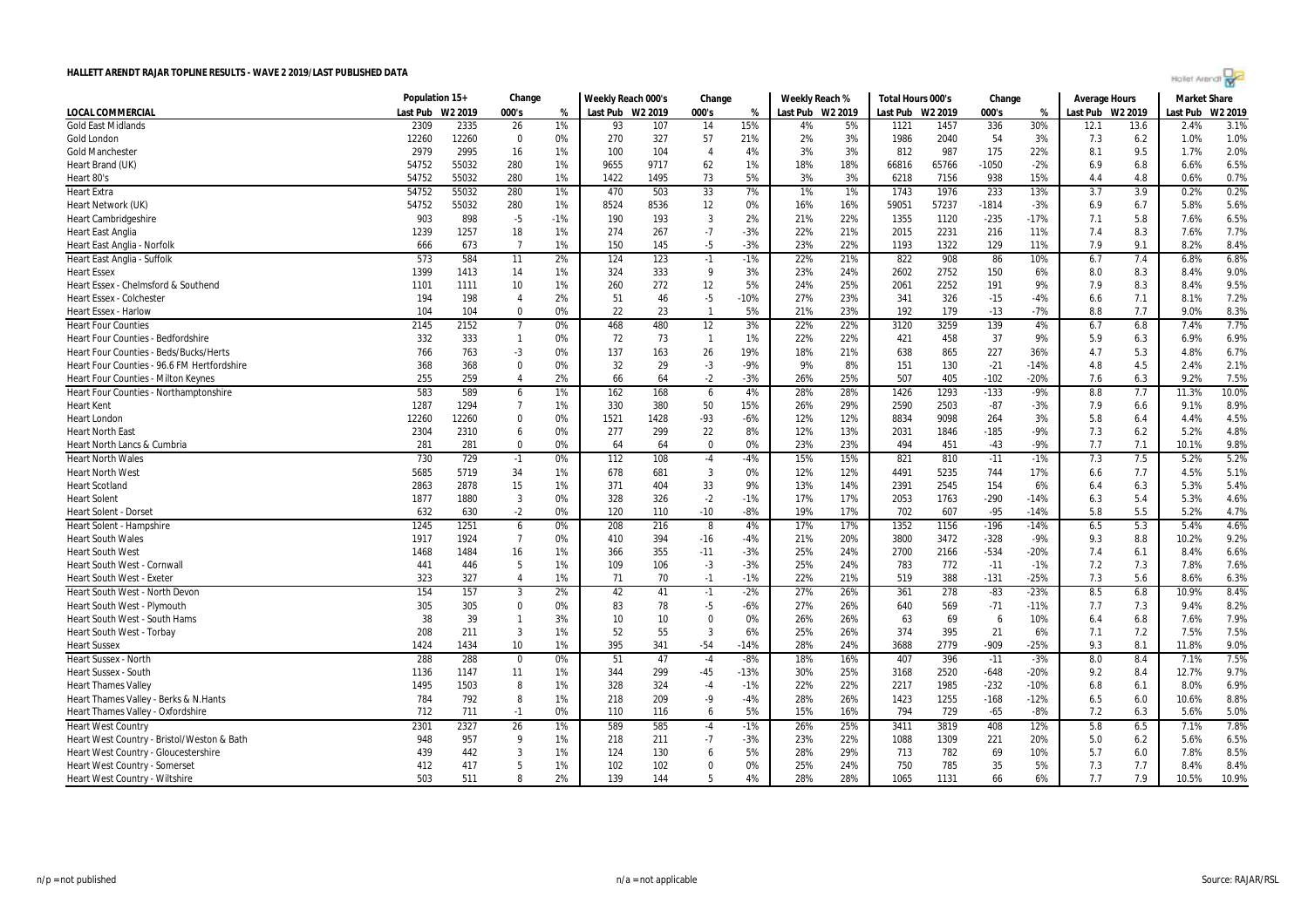| Hollet Arendt |  |
|---------------|--|
|               |  |
|               |  |

|                                               | Population 15+ |         | Change         |       | Weekly Reach 000's |      | Change         |        | Weekly Reach % |                  | Total Hours 000's |       | Change  |        | Average Hours    |      | <b>Market Share</b> |         |
|-----------------------------------------------|----------------|---------|----------------|-------|--------------------|------|----------------|--------|----------------|------------------|-------------------|-------|---------|--------|------------------|------|---------------------|---------|
| LOCAL COMMERCIAL                              | Last Pub       | W2 2019 | 000's          | %     | Last Pub W2 2019   |      | 000's          | %      |                | Last Pub W2 2019 | Last Pub W2 2019  |       | 000's   | %      | Last Pub W2 2019 |      | Last Pub            | W2 2019 |
| <b>Gold East Midlands</b>                     | 2309           | 2335    | 26             | 1%    | 93                 | 107  | 14             | 15%    | 4%             | 5%               | 1121              | 1457  | 336     | 30%    | 12.1             | 13.6 | 2.4%                | 3.1%    |
| Gold London                                   | 12260          | 12260   | 0              | 0%    | 270                | 327  | 57             | 21%    | 2%             | 3%               | 1986              | 2040  | 54      | 3%     | 7.3              | 6.2  | 1.0%                | 1.0%    |
| <b>Gold Manchester</b>                        | 2979           | 2995    | 16             | 1%    | 100                | 104  | $\overline{4}$ | 4%     | 3%             | 3%               | 812               | 987   | 175     | 22%    | 8.1              | 9.5  | 1.7%                | 2.0%    |
| Heart Brand (UK)                              | 54752          | 55032   | 280            | 1%    | 9655               | 9717 | 62             | 1%     | 18%            | 18%              | 66816             | 65766 | $-1050$ | $-2%$  | 6.9              | 6.8  | 6.6%                | 6.5%    |
| Heart 80's                                    | 54752          | 55032   | 280            | 1%    | 1422               | 1495 | 73             | 5%     | 3%             | 3%               | 6218              | 7156  | 938     | 15%    | 4.4              | 4.8  | 0.6%                | 0.7%    |
| <b>Heart Extra</b>                            | 54752          | 55032   | 280            | 1%    | 470                | 503  | 33             | 7%     | 1%             | 1%               | 1743              | 1976  | 233     | 13%    | 3.7              | 3.9  | 0.2%                | 0.2%    |
| Heart Network (UK)                            | 54752          | 55032   | 280            | 1%    | 8524               | 8536 | 12             | 0%     | 16%            | 16%              | 59051             | 57237 | $-1814$ | $-3%$  | 6.9              | 6.7  | 5.8%                | 5.6%    |
| <b>Heart Cambridgeshire</b>                   | 903            | 898     | $-5$           | $-1%$ | 190                | 193  | 3              | 2%     | 21%            | 22%              | 1355              | 1120  | $-235$  | $-17%$ | 7.1              | 5.8  | 7.6%                | 6.5%    |
| <b>Heart East Anglia</b>                      | 1239           | 1257    | 18             | 1%    | 274                | 267  | $-7$           | $-3%$  | 22%            | 21%              | 2015              | 2231  | 216     | 11%    | 7.4              | 8.3  | 7.6%                | 7.7%    |
| Heart East Anglia - Norfolk                   | 666            | 673     | $\overline{7}$ | 1%    | 150                | 145  | $-5$           | $-3%$  | 23%            | 22%              | 1193              | 1322  | 129     | 11%    | 7.9              | 9.1  | 8.2%                | 8.4%    |
| Heart East Anglia - Suffolk                   | 573            | 584     | 11             | 2%    | 124                | 123  | $-1$           | $-1%$  | 22%            | 21%              | 822               | 908   | 86      | 10%    | 6.7              | 7.4  | 6.8%                | 6.8%    |
| <b>Heart Essex</b>                            | 1399           | 1413    | 14             | 1%    | 324                | 333  | 9              | 3%     | 23%            | 24%              | 2602              | 2752  | 150     | 6%     | 8.0              | 8.3  | 8.4%                | 9.0%    |
| Heart Essex - Chelmsford & Southend           | 1101           | 1111    | 10             | 1%    | 260                | 272  | 12             | 5%     | 24%            | 25%              | 2061              | 2252  | 191     | 9%     | 7.9              | 8.3  | 8.4%                | 9.5%    |
| <b>Heart Essex - Colchester</b>               | 194            | 198     | $\overline{4}$ | 2%    | 51                 | 46   | $-5$           | $-10%$ | 27%            | 23%              | 341               | 326   | $-15$   | $-4%$  | 6.6              | 7.1  | 8.1%                | 7.2%    |
| <b>Heart Essex - Harlow</b>                   | 104            | 104     | $\Omega$       | 0%    | 22                 | 23   | $\overline{1}$ | 5%     | 21%            | 23%              | 192               | 179   | $-13$   | $-7%$  | 8.8              | 7.7  | 9.0%                | 8.3%    |
| <b>Heart Four Counties</b>                    | 2145           | 2152    | $\overline{7}$ | 0%    | 468                | 480  | 12             | 3%     | 22%            | 22%              | 3120              | 3259  | 139     | 4%     | 6.7              | 6.8  | 7.4%                | 7.7%    |
| Heart Four Counties - Bedfordshire            | 332            | 333     | 1              | 0%    | 72                 | 73   | $\mathbf{1}$   | 1%     | 22%            | 22%              | 421               | 458   | 37      | 9%     | 5.9              | 6.3  | 6.9%                | 6.9%    |
| <b>Heart Four Counties - Beds/Bucks/Herts</b> | 766            | 763     | -3             | 0%    | 137                | 163  | 26             | 19%    | 18%            | 21%              | 638               | 865   | 227     | 36%    | 4.7              | 5.3  | 4.8%                | 6.7%    |
| Heart Four Counties - 96.6 FM Hertfordshire   | 368            | 368     | $\Omega$       | 0%    | 32                 | 29   | $-3$           | $-9%$  | 9%             | 8%               | 151               | 130   | $-21$   | $-14%$ | 4.8              | 4.5  | 2.4%                | 2.1%    |
| <b>Heart Four Counties - Milton Keynes</b>    | 255            | 259     | $\overline{4}$ | 2%    | 66                 | 64   | $-2$           | $-3%$  | 26%            | 25%              | 507               | 405   | $-102$  | $-20%$ | 7.6              | 6.3  | 9.2%                | 7.5%    |
| Heart Four Counties - Northamptonshire        | 583            | 589     | 6              | 1%    | 162                | 168  | 6              | 4%     | 28%            | 28%              | 1426              | 1293  | $-133$  | $-9%$  | 8.8              | 7.7  | 11.3%               | 10.0%   |
| <b>Heart Kent</b>                             | 1287           | 1294    | $\overline{7}$ | 1%    | 330                | 380  | 50             | 15%    | 26%            | 29%              | 2590              | 2503  | $-87$   | $-3%$  | 7.9              | 6.6  | 9.1%                | 8.9%    |
| Heart London                                  | 12260          | 12260   | $\mathbf 0$    | 0%    | 1521               | 1428 | -93            | $-6%$  | 12%            | 12%              | 8834              | 9098  | 264     | 3%     | 5.8              | 6.4  | 4.4%                | 4.5%    |
| <b>Heart North East</b>                       | 2304           | 2310    | 6              | 0%    | 277                | 299  | 22             | 8%     | 12%            | 13%              | 2031              | 1846  | $-185$  | $-9%$  | 7.3              | 6.2  | 5.2%                | 4.8%    |
| Heart North Lancs & Cumbria                   | 281            | 281     | $\Omega$       | 0%    | 64                 | 64   | $\Omega$       | 0%     | 23%            | 23%              | 494               | 451   | $-43$   | $-9%$  | 7.7              | 7.1  | 10.1%               | 9.8%    |
| <b>Heart North Wales</b>                      | 730            | 729     | $-1$           | 0%    | 112                | 108  | $-4$           | $-4%$  | 15%            | 15%              | 821               | 810   | $-11$   | $-1%$  | 7.3              | 7.5  | 5.2%                | 5.2%    |
| <b>Heart North West</b>                       | 5685           | 5719    | 34             | 1%    | 678                | 681  | 3              | 0%     | 12%            | 12%              | 4491              | 5235  | 744     | 17%    | 6.6              | 7.7  | 4.5%                | 5.1%    |
| <b>Heart Scotland</b>                         | 2863           | 2878    | 15             | 1%    | 371                | 404  | 33             | 9%     | 13%            | 14%              | 2391              | 2545  | 154     | 6%     | 6.4              | 6.3  | 5.3%                | 5.4%    |
| <b>Heart Solent</b>                           | 1877           | 1880    | 3              | 0%    | 328                | 326  | $-2$           | $-1%$  | 17%            | 17%              | 2053              | 1763  | $-290$  | $-14%$ | 6.3              | 5.4  | 5.3%                | 4.6%    |
| Heart Solent - Dorse                          | 632            | 630     | $-2$           | 0%    | 120                | 110  | $-10$          | -8%    | 19%            | 17%              | 702               | 607   | $-95$   | $-14%$ | 5.8              | 5.5  | 5.2%                | 4.7%    |
| Heart Solent - Hampshire                      | 1245           | 1251    | 6              | 0%    | 208                | 216  | 8              | 4%     | 17%            | 17%              | 1352              | 1156  | -196    | $-14%$ | 6.5              | 5.3  | 5.4%                | 4.6%    |
| <b>Heart South Wales</b>                      | 1917           | 1924    | $\overline{7}$ | 0%    | 410                | 394  | $-16$          | $-4%$  | 21%            | 20%              | 3800              | 3472  | $-328$  | $-9%$  | 9.3              | 8.8  | 10.2%               | 9.2%    |
| <b>Heart South West</b>                       | 1468           | 1484    | 16             | 1%    | 366                | 355  | $-11$          | $-3%$  | 25%            | 24%              | 2700              | 2166  | $-534$  | $-20%$ | 7.4              | 6.1  | 8.4%                | 6.6%    |
| Heart South West - Cornwall                   | 441            | 446     | 5              | 1%    | 109                | 106  | $-3$           | $-3%$  | 25%            | 24%              | 783               | 772   | $-11$   | $-1%$  | 7.2              | 7.3  | 7.8%                | 7.6%    |
| <b>Heart South West - Exeter</b>              | 323            | 327     | $\overline{4}$ | 1%    | 71                 | 70   | $-1$           | $-1%$  | 22%            | 21%              | 519               | 388   | $-131$  | $-25%$ | 7.3              | 5.6  | 8.6%                | 6.3%    |
| Heart South West - North Devon                | 154            | 157     | $\mathbf{3}$   | 2%    | 42                 | 41   | $-1$           | $-2%$  | 27%            | 26%              | 361               | 278   | $-83$   | $-23%$ | 8.5              | 6.8  | 10.9%               | 8.4%    |
| Heart South West - Plymouth                   | 305            | 305     | $\mathbf{0}$   | 0%    | 83                 | 78   | $-5$           | $-6%$  | 27%            | 26%              | 640               | 569   | $-71$   | $-11%$ | 7.7              | 7.3  | 9.4%                | 8.2%    |
| Heart South West - South Hams                 | 38             | 39      | $\mathbf{1}$   | 3%    | 10                 | 10   | $\Omega$       | 0%     | 26%            | 26%              | 63                | 69    | 6       | 10%    | 6.4              | 6.8  | 7.6%                | 7.9%    |
| <b>Heart South West - Torbay</b>              | 208            | 211     | 3              | 1%    | 52                 | 55   | $\overline{3}$ | 6%     | 25%            | 26%              | 374               | 395   | 21      | 6%     | 7.1              | 7.2  | 7.5%                | 7.5%    |
| <b>Heart Sussex</b>                           | 1424           | 1434    | 10             | 1%    | 395                | 341  | $-54$          | $-14%$ | 28%            | 24%              | 3688              | 2779  | $-909$  | $-25%$ | 9.3              | 8.1  | 11.8%               | 9.0%    |
| Heart Sussex - North                          | 288            | 288     | 0              | 0%    | 51                 | 47   | $-4$           | $-8%$  | 18%            | 16%              | 407               | 396   | $-11$   | $-3%$  | 8.0              | 8.4  | 7.1%                | 7.5%    |
| Heart Sussex - South                          | 1136           | 1147    | 11             | 1%    | 344                | 299  | $-45$          | $-13%$ | 30%            | 25%              | 3168              | 2520  | $-648$  | $-20%$ | 9.2              | 8.4  | 12.7%               | 9.7%    |
| <b>Heart Thames Valley</b>                    | 1495           | 1503    | 8              | 1%    | 328                | 324  | -4             | $-1%$  | 22%            | 22%              | 2217              | 1985  | $-232$  | $-10%$ | 6.8              | 6.1  | 8.0%                | 6.9%    |
| Heart Thames Valley - Berks & N.Hants         | 784            | 792     | 8              | 1%    | 218                | 209  | -9             | $-4%$  | 28%            | 26%              | 1423              | 1255  | $-168$  | $-12%$ | 6.5              | 6.0  | 10.6%               | 8.8%    |
| Heart Thames Valley - Oxfordshire             | 712            | 711     | $-1$           | 0%    | 110                | 116  | 6              | 5%     | 15%            | 16%              | 794               | 729   | $-65$   | $-8%$  | 7.2              | 6.3  | 5.6%                | 5.0%    |
| <b>Heart West Country</b>                     | 2301           | 2327    | 26             | 1%    | 589                | 585  | $-4$           | $-1%$  | 26%            | 25%              | 3411              | 3819  | 408     | 12%    | 5.8              | 6.5  | 7.1%                | 7.8%    |
| Heart West Country - Bristol/Weston & Bath    | 948            | 957     | 9              | 1%    | 218                | 211  | $-7$           | $-3%$  | 23%            | 22%              | 1088              | 1309  | 221     | 20%    | 5.0              | 6.2  | 5.6%                | 6.5%    |
| Heart West Country - Gloucestershire          | 439            | 442     | 3              | 1%    | 124                | 130  | 6              | 5%     | 28%            | 29%              | 713               | 782   | 69      | 10%    | 5.7              | 6.0  | 7.8%                | 8.5%    |
| Heart West Country - Somerset                 | 412            | 417     | 5              | 1%    | 102                | 102  | $\mathbf 0$    | 0%     | 25%            | 24%              | 750               | 785   | 35      | 5%     | 7.3              | 7.7  | 8.4%                | 8.4%    |
| Heart West Country - Wiltshire                | 503            | 511     | 8              | 2%    | 139                | 144  | -5             | 4%     | 28%            | 28%              | 1065              | 1131  | 66      | 6%     | 7.7              | 7.9  | 10.5%               | 10.9%   |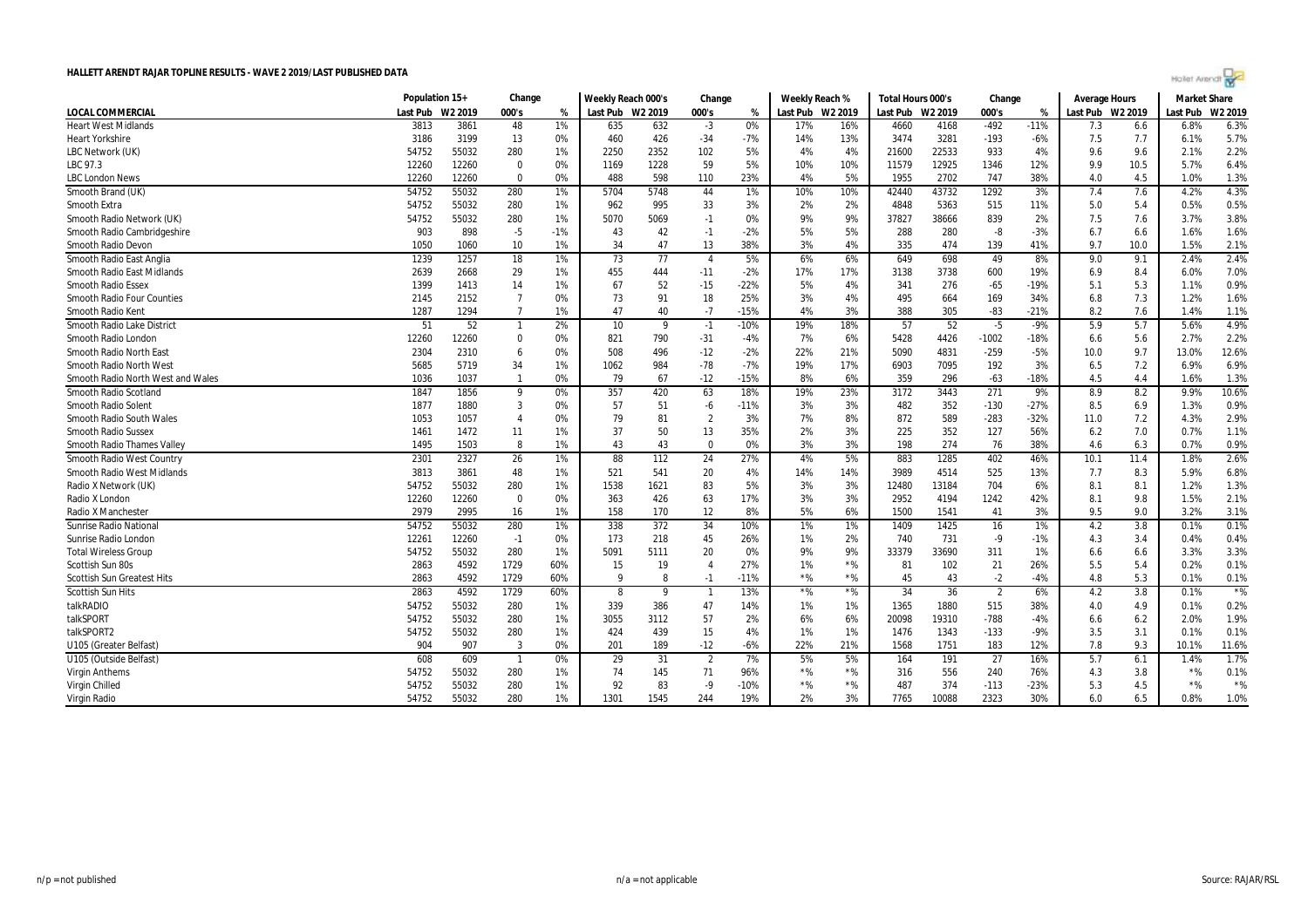

|                                   | Population 15+ |         | Change         |       | Weekly Reach 000's<br>Change |      | Weekly Reach % |        | Total Hours 000's |         | Change   |                     | Average Hours  |        | <b>Market Share</b> |      |          |                     |
|-----------------------------------|----------------|---------|----------------|-------|------------------------------|------|----------------|--------|-------------------|---------|----------|---------------------|----------------|--------|---------------------|------|----------|---------------------|
| <b>LOCAL COMMERCIAL</b>           | Last Pub       | W2 2019 | 000's          | %     | Last Pub W2 2019             |      | 000's          | %      | Last Pub          | W2 2019 | Last Pub | W <sub>2</sub> 2019 | 000's          | %      | Last Pub W2 2019    |      | Last Pub | W <sub>2</sub> 2019 |
| <b>Heart West Midlands</b>        | 3813           | 3861    | 48             | 1%    | 635                          | 632  | $-3$           | 0%     | 17%               | 16%     | 4660     | 4168                | $-492$         | $-11%$ | 7.3                 | 6.6  | 6.8%     | 6.3%                |
| <b>Heart Yorkshire</b>            | 3186           | 3199    | 13             | 0%    | 460                          | 426  | $-34$          | -7%    | 14%               | 13%     | 3474     | 3281                | $-193$         | $-6%$  | 7.5                 | 7.7  | 6.1%     | 5.7%                |
| LBC Network (UK)                  | 54752          | 55032   | 280            | 1%    | 2250                         | 2352 | 102            | 5%     | 4%                | 4%      | 21600    | 22533               | 933            | 4%     | 9.6                 | 9.6  | 2.1%     | 2.2%                |
| LBC 97.3                          | 12260          | 12260   | $\mathbf 0$    | 0%    | 1169                         | 1228 | 59             | 5%     | 10%               | 10%     | 11579    | 12925               | 1346           | 12%    | 9.9                 | 10.5 | 5.7%     | 6.4%                |
| <b>LBC London News</b>            | 12260          | 12260   | $\mathbf 0$    | 0%    | 488                          | 598  | 110            | 23%    | 4%                | 5%      | 1955     | 2702                | 747            | 38%    | 4.0                 | 4.5  | 1.0%     | 1.3%                |
| Smooth Brand (UK)                 | 54752          | 55032   | 280            | 1%    | 5704                         | 5748 | 44             | 1%     | 10%               | 10%     | 42440    | 43732               | 1292           | 3%     | 7.4                 | 7.6  | 4.2%     | 4.3%                |
| Smooth Extra                      | 54752          | 55032   | 280            | 1%    | 962                          | 995  | 33             | 3%     | 2%                | 2%      | 4848     | 5363                | 515            | 11%    | 5.0                 | 5.4  | 0.5%     | 0.5%                |
| Smooth Radio Network (UK)         | 54752          | 55032   | 280            | 1%    | 5070                         | 5069 | $-1$           | 0%     | 9%                | 9%      | 37827    | 38666               | 839            | 2%     | 7.5                 | 7.6  | 3.7%     | 3.8%                |
| Smooth Radio Cambridgeshire       | 903            | 898     | $-5$           | $-1%$ | 43                           | 42   | $-1$           | $-2%$  | 5%                | 5%      | 288      | 280                 | $-8$           | $-3%$  | 6.7                 | 6.6  | 1.6%     | 1.6%                |
| Smooth Radio Devon                | 1050           | 1060    | 10             | 1%    | 34                           | 47   | 13             | 38%    | 3%                | 4%      | 335      | 474                 | 139            | 41%    | 9.7                 | 10.0 | 1.5%     | 2.1%                |
| Smooth Radio East Anglia          | 1239           | 1257    | 18             | 1%    | 73                           | 77   | $\overline{4}$ | 5%     | 6%                | 6%      | 649      | 698                 | 49             | 8%     | 9.0                 | 9.1  | 2.4%     | 2.4%                |
| <b>Smooth Radio East Midlands</b> | 2639           | 2668    | 29             | 1%    | 455                          | 444  | $-11$          | $-2%$  | 17%               | 17%     | 3138     | 3738                | 600            | 19%    | 6.9                 | 8.4  | 6.0%     | 7.0%                |
| <b>Smooth Radio Essex</b>         | 1399           | 1413    | 14             | 1%    | 67                           | 52   | $-15$          | $-22%$ | 5%                | 4%      | 341      | 276                 | $-65$          | $-19%$ | 5.1                 | 5.3  | 1.1%     | 0.9%                |
| <b>Smooth Radio Four Counties</b> | 2145           | 2152    | $\overline{7}$ | 0%    | 73                           | 91   | 18             | 25%    | 3%                | 4%      | 495      | 664                 | 169            | 34%    | 6.8                 | 7.3  | 1.2%     | 1.6%                |
| Smooth Radio Kent                 | 1287           | 1294    | $\overline{7}$ | 1%    | 47                           | 40   | $-7$           | $-15%$ | 4%                | 3%      | 388      | 305                 | $-83$          | $-21%$ | 8.2                 | 7.6  | 1.4%     | 1.1%                |
| Smooth Radio Lake District        | 51             | 52      | $\overline{1}$ | 2%    | 10                           | - 9  | $-1$           | $-10%$ | 19%               | 18%     | 57       | 52                  | -5             | $-9%$  | 5.9                 | 5.7  | 5.6%     | 4.9%                |
| Smooth Radio London               | 12260          | 12260   | $\mathbf 0$    | 0%    | 821                          | 790  | $-31$          | -4%    | 7%                | 6%      | 5428     | 4426                | $-1002$        | $-18%$ | 6.6                 | 5.6  | 2.7%     | 2.2%                |
| Smooth Radio North East           | 2304           | 2310    | 6              | 0%    | 508                          | 496  | $-12$          | $-2%$  | 22%               | 21%     | 5090     | 4831                | $-259$         | $-5%$  | 10.0                | 9.7  | 13.0%    | 12.6%               |
| Smooth Radio North West           | 5685           | 5719    | 34             | 1%    | 1062                         | 984  | $-78$          | $-7%$  | 19%               | 17%     | 6903     | 7095                | 192            | 3%     | 6.5                 | 7.2  | 6.9%     | 6.9%                |
| Smooth Radio North West and Wales | 1036           | 1037    | $\overline{1}$ | 0%    | 79                           | 67   | $-12$          | $-15%$ | 8%                | 6%      | 359      | 296                 | $-63$          | $-18%$ | 4.5                 | 4.4  | 1.6%     | 1.3%                |
| Smooth Radio Scotland             | 1847           | 1856    | 9              | $0\%$ | 357                          | 420  | 63             | 18%    | 19%               | 23%     | 3172     | 3443                | 271            | 9%     | 8.9                 | 8.2  | 9.9%     | 10.6%               |
| Smooth Radio Solent               | 1877           | 1880    | $\overline{3}$ | 0%    | 57                           | 51   | $-6$           | $-11%$ | 3%                | 3%      | 482      | 352                 | $-130$         | $-27%$ | 8.5                 | 6.9  | 1.3%     | 0.9%                |
| Smooth Radio South Wales          | 1053           | 1057    | $\overline{4}$ | 0%    | 79                           | 81   | $\overline{2}$ | 3%     | 7%                | 8%      | 872      | 589                 | $-283$         | $-32%$ | 11.0                | 7.2  | 4.3%     | 2.9%                |
| <b>Smooth Radio Sussex</b>        | 1461           | 1472    | 11             | 1%    | 37                           | 50   | 13             | 35%    | 2%                | 3%      | 225      | 352                 | 127            | 56%    | 6.2                 | 7.0  | 0.7%     | 1.1%                |
| Smooth Radio Thames Valley        | 1495           | 1503    | 8              | 1%    | 43                           | 43   | $\overline{0}$ | 0%     | 3%                | 3%      | 198      | 274                 | 76             | 38%    | 4.6                 | 6.3  | 0.7%     | 0.9%                |
| Smooth Radio West Country         | 2301           | 2327    | 26             | 1%    | 88                           | 112  | 24             | 27%    | 4%                | 5%      | 883      | 1285                | 402            | 46%    | 10.1                | 11.4 | 1.8%     | 2.6%                |
| Smooth Radio West Midlands        | 3813           | 3861    | 48             | 1%    | 521                          | 541  | 20             | 4%     | 14%               | 14%     | 3989     | 4514                | 525            | 13%    | 7.7                 | 8.3  | 5.9%     | 6.8%                |
| Radio X Network (UK)              | 54752          | 55032   | 280            | 1%    | 1538                         | 1621 | 83             | 5%     | 3%                | 3%      | 12480    | 13184               | 704            | 6%     | 8.1                 | 8.1  | 1.2%     | 1.3%                |
| Radio X London                    | 12260          | 12260   | $\mathbf 0$    | 0%    | 363                          | 426  | 63             | 17%    | 3%                | 3%      | 2952     | 4194                | 1242           | 42%    | 8.1                 | 9.8  | 1.5%     | 2.1%                |
| <b>Radio X Manchester</b>         | 2979           | 2995    | 16             | 1%    | 158                          | 170  | 12             | 8%     | 5%                | 6%      | 1500     | 1541                | 41             | 3%     | 9.5                 | 9.0  | 3.2%     | 3.1%                |
| <b>Sunrise Radio National</b>     | 54752          | 55032   | 280            | 1%    | 338                          | 372  | 34             | 10%    | 1%                | 1%      | 1409     | 1425                | 16             | 1%     | 4.2                 | 3.8  | 0.1%     | 0.1%                |
| Sunrise Radio London              | 12261          | 12260   | $-1$           | 0%    | 173                          | 218  | 45             | 26%    | 1%                | 2%      | 740      | 731                 | -9             | $-1%$  | 4.3                 | 3.4  | 0.4%     | 0.4%                |
| <b>Total Wireless Group</b>       | 54752          | 55032   | 280            | 1%    | 5091                         | 5111 | 20             | 0%     | 9%                | 9%      | 33379    | 33690               | 311            | 1%     | 6.6                 | 6.6  | 3.3%     | 3.3%                |
| Scottish Sun 80s                  | 2863           | 4592    | 1729           | 60%   | 15                           | 19   | $\overline{4}$ | 27%    | 1%                | $*$ %   | 81       | 102                 | 21             | 26%    | 5.5                 | 5.4  | 0.2%     | 0.1%                |
| <b>Scottish Sun Greatest Hits</b> | 2863           | 4592    | 1729           | 60%   | Q                            |      | $-1$           | $-11%$ | $*$ %             | $*$ %   | 45       | 43                  | $-2$           | $-4%$  | 4.8                 | 5.3  | 0.1%     | 0.1%                |
| <b>Scottish Sun Hits</b>          | 2863           | 4592    | 1729           | 60%   | 8                            | 9    | $\overline{1}$ | 13%    | $*$ %             | $*$ %   | 34       | 36                  | $\overline{2}$ | 6%     | 4.2                 | 3.8  | 0.1%     | $*$ %               |
| talkRADIO                         | 54752          | 55032   | 280            | 1%    | 339                          | 386  | 47             | 14%    | 1%                | 1%      | 1365     | 1880                | 515            | 38%    | 4.0                 | 4.9  | 0.1%     | 0.2%                |
| talkSPORT                         | 54752          | 55032   | 280            | 1%    | 3055                         | 3112 | 57             | 2%     | 6%                | 6%      | 20098    | 19310               | $-788$         | $-4%$  | 6.6                 | 6.2  | 2.0%     | 1.9%                |
| talkSPORT2                        | 54752          | 55032   | 280            | 1%    | 424                          | 439  | 15             | 4%     | 1%                | 1%      | 1476     | 1343                | $-133$         | $-9%$  | 3.5                 | 3.1  | 0.1%     | 0.1%                |
| U105 (Greater Belfast)            | 904            | 907     | 3              | 0%    | 201                          | 189  | $-12$          | -6%    | 22%               | 21%     | 1568     | 1751                | 183            | 12%    | 7.8                 | 9.3  | 10.1%    | 11.6%               |
| U105 (Outside Belfast)            | 608            | 609     | $\overline{1}$ | 0%    | 29                           | 31   | $\overline{2}$ | 7%     | 5%                | 5%      | 164      | 191                 | 27             | 16%    | 5.7                 | 6.1  | 1.4%     | 1.7%                |
| <b>Virgin Anthems</b>             | 54752          | 55032   | 280            | 1%    | 74                           | 145  | 71             | 96%    | $*$ %             | $*$ %   | 316      | 556                 | 240            | 76%    | 4.3                 | 3.8  | $*$ %    | 0.1%                |
| Virgin Chilled                    | 54752          | 55032   | 280            | 1%    | 92                           | 83   | $-9$           | $-10%$ | $*$ %             | $*$ %   | 487      | 374                 | $-113$         | $-23%$ | 5.3                 | 4.5  | $*$ %    | $*$ %               |
| Virgin Radio                      | 54752          | 55032   | 280            | 1%    | 1301                         | 1545 | 244            | 19%    | 2%                | 3%      | 7765     | 10088               | 2323           | 30%    | 6.0                 | 6.5  | 0.8%     | 1.0%                |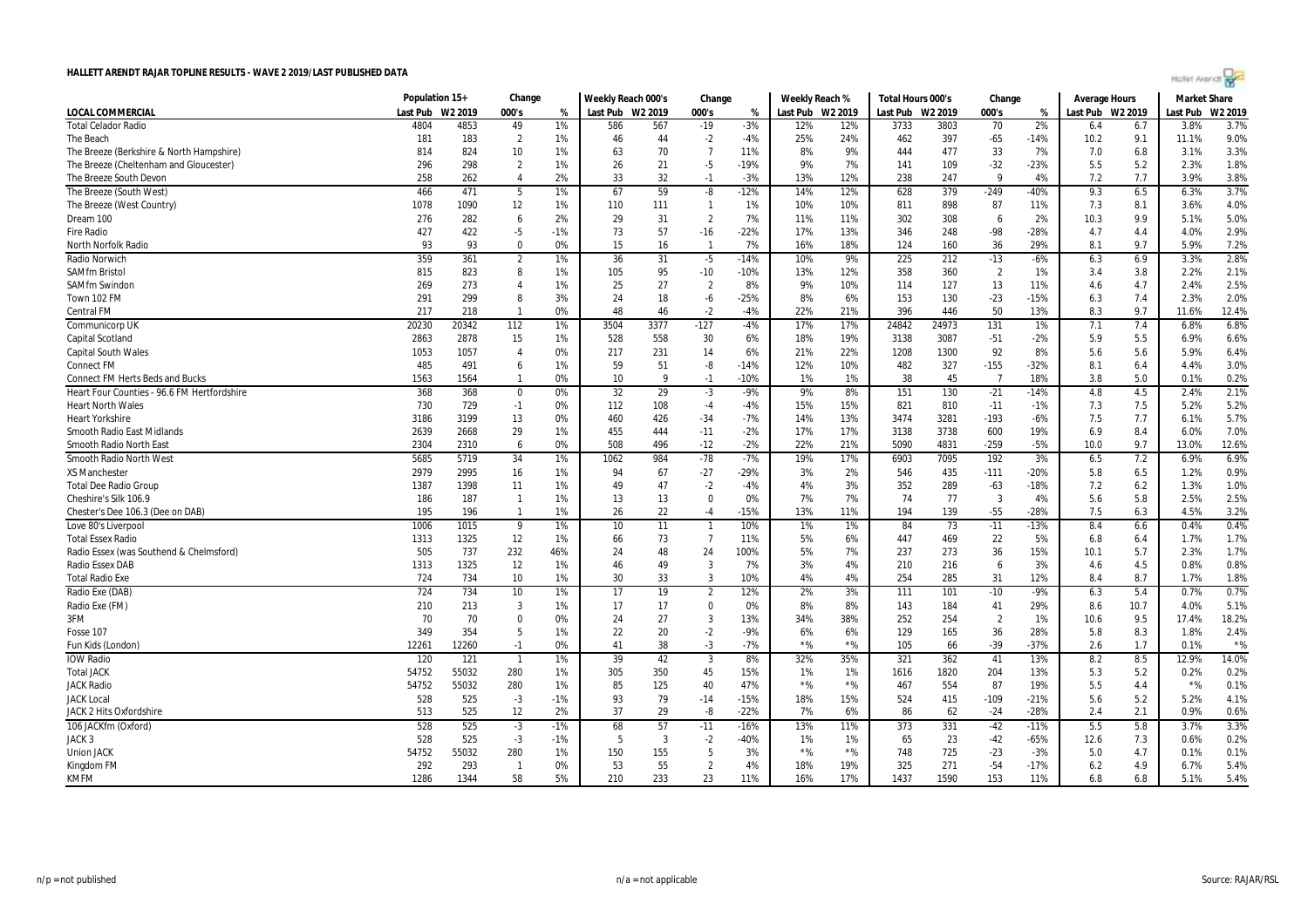|  | Hollet Arendr? |  |  |
|--|----------------|--|--|
|  |                |  |  |
|  |                |  |  |

| <b>LOCAL COMMERCIAL</b><br>Last Pub<br>W2 2019<br>000's<br>Last Pub W2 2019<br>000's<br>Last Pub W2 2019<br>Last Pub W2 2019<br>000's<br>%<br>Last Pub W2 2019<br>Last Pub<br>%<br>%<br><b>Total Celador Radio</b><br>2%<br>3.8%<br>4804<br>4853<br>49<br>1%<br>586<br>567<br>$-19$<br>$-3%$<br>12%<br>12%<br>3733<br>3803<br>70<br>6.4<br>6.7<br>$-65$<br>181<br>$\overline{2}$<br>46<br>44<br>$-2$<br>25%<br>397<br>9.1<br>11.1%<br>The Beach<br>183<br>1%<br>$-4%$<br>24%<br>462<br>$-14%$<br>10.2<br>814<br>824<br>10<br>1%<br>63<br>70<br>$\overline{7}$<br>8%<br>9%<br>477<br>33<br>7%<br>7.0<br>3.1%<br>The Breeze (Berkshire & North Hampshire)<br>11%<br>444<br>6.8<br>296<br>298<br>$\overline{2}$<br>1%<br>26<br>21<br>$-5$<br>9%<br>7%<br>109<br>$-32$<br>$-23%$<br>5.2<br>2.3%<br>The Breeze (Cheltenham and Gloucester)<br>$-19%$<br>141<br>5.5<br>258<br>2%<br>33<br>32<br>$-3%$<br>12%<br>238<br>247<br>9<br>7.2<br>7.7<br>3.9%<br>The Breeze South Devon<br>$\overline{4}$<br>$-1$<br>13%<br>4%<br>262 | W2 2019<br>3.7%<br>9.0%<br>3.3%<br>1.8%<br>3.8%<br>3.7%<br>4.0%<br>5.0%<br>2.9%<br>7.2%<br>2.8% |
|-------------------------------------------------------------------------------------------------------------------------------------------------------------------------------------------------------------------------------------------------------------------------------------------------------------------------------------------------------------------------------------------------------------------------------------------------------------------------------------------------------------------------------------------------------------------------------------------------------------------------------------------------------------------------------------------------------------------------------------------------------------------------------------------------------------------------------------------------------------------------------------------------------------------------------------------------------------------------------------------------------------------------|-------------------------------------------------------------------------------------------------|
|                                                                                                                                                                                                                                                                                                                                                                                                                                                                                                                                                                                                                                                                                                                                                                                                                                                                                                                                                                                                                         |                                                                                                 |
|                                                                                                                                                                                                                                                                                                                                                                                                                                                                                                                                                                                                                                                                                                                                                                                                                                                                                                                                                                                                                         |                                                                                                 |
|                                                                                                                                                                                                                                                                                                                                                                                                                                                                                                                                                                                                                                                                                                                                                                                                                                                                                                                                                                                                                         |                                                                                                 |
|                                                                                                                                                                                                                                                                                                                                                                                                                                                                                                                                                                                                                                                                                                                                                                                                                                                                                                                                                                                                                         |                                                                                                 |
|                                                                                                                                                                                                                                                                                                                                                                                                                                                                                                                                                                                                                                                                                                                                                                                                                                                                                                                                                                                                                         |                                                                                                 |
|                                                                                                                                                                                                                                                                                                                                                                                                                                                                                                                                                                                                                                                                                                                                                                                                                                                                                                                                                                                                                         |                                                                                                 |
| 466<br>67<br>59<br>$-12%$<br>6.5<br>471<br>5<br>1%<br>$-8$<br>14%<br>12%<br>628<br>379<br>$-249$<br>$-40%$<br>9.3<br>6.3%<br>The Breeze (South West)                                                                                                                                                                                                                                                                                                                                                                                                                                                                                                                                                                                                                                                                                                                                                                                                                                                                    |                                                                                                 |
| 1078<br>1090<br>12<br>898<br>87<br>The Breeze (West Country)<br>1%<br>110<br>111<br>$\overline{1}$<br>1%<br>10%<br>10%<br>811<br>11%<br>7.3<br>8.1<br>3.6%                                                                                                                                                                                                                                                                                                                                                                                                                                                                                                                                                                                                                                                                                                                                                                                                                                                              |                                                                                                 |
| Dream 100<br>276<br>282<br>6<br>2%<br>29<br>31<br>$\overline{2}$<br>7%<br>11%<br>11%<br>302<br>308<br>2%<br>10.3<br>9.9<br>5.1%<br>6                                                                                                                                                                                                                                                                                                                                                                                                                                                                                                                                                                                                                                                                                                                                                                                                                                                                                    |                                                                                                 |
| 427<br>422<br>73<br>57<br>$-16$<br>$-22%$<br>17%<br>13%<br>346<br>248<br>-98<br>$-28%$<br>4.7<br>4.4<br>4.0%<br><b>Fire Radio</b><br>-5<br>$-1%$                                                                                                                                                                                                                                                                                                                                                                                                                                                                                                                                                                                                                                                                                                                                                                                                                                                                        |                                                                                                 |
| 93<br>93<br>$\Omega$<br>0%<br>16<br>7%<br>18%<br>160<br>36<br>29%<br>8.1<br>9.7<br>5.9%<br><b>North Norfolk Radio</b><br>15<br>16%<br>124<br>$\mathbf{1}$                                                                                                                                                                                                                                                                                                                                                                                                                                                                                                                                                                                                                                                                                                                                                                                                                                                               |                                                                                                 |
| 31<br>212<br>6.9<br>359<br>361<br>$\overline{2}$<br>1%<br>36<br>$-5$<br>$-14%$<br>10%<br>9%<br>225<br>$-13$<br>$-6%$<br>3.3%<br>Radio Norwich<br>6.3                                                                                                                                                                                                                                                                                                                                                                                                                                                                                                                                                                                                                                                                                                                                                                                                                                                                    |                                                                                                 |
| 823<br>8<br>1%<br>105<br>95<br>$-10$<br>13%<br>12%<br>358<br>$\overline{2}$<br>1%<br>3.8<br>2.2%<br><b>SAMfm Bristol</b><br>815<br>$-10%$<br>360<br>3.4                                                                                                                                                                                                                                                                                                                                                                                                                                                                                                                                                                                                                                                                                                                                                                                                                                                                 | 2.1%                                                                                            |
| 27<br>4.7<br>269<br>273<br>1%<br>25<br>$\overline{2}$<br>8%<br>9%<br>10%<br>127<br>13<br>11%<br>4.6<br>2.4%<br><b>SAMfm Swindon</b><br>$\overline{4}$<br>114                                                                                                                                                                                                                                                                                                                                                                                                                                                                                                                                                                                                                                                                                                                                                                                                                                                            | 2.5%                                                                                            |
| 24<br>18<br>8%<br>291<br>299<br>8<br>3%<br>-6<br>$-25%$<br>6%<br>153<br>130<br>$-23$<br>$-15%$<br>7.4<br>2.3%<br>Town 102 FM<br>6.3                                                                                                                                                                                                                                                                                                                                                                                                                                                                                                                                                                                                                                                                                                                                                                                                                                                                                     | 2.0%                                                                                            |
| <b>Central FM</b><br>217<br>218<br>0%<br>48<br>46<br>$-2$<br>$-4%$<br>22%<br>21%<br>396<br>446<br>50<br>13%<br>8.3<br>9.7<br>11.6%<br>$\mathbf{1}$                                                                                                                                                                                                                                                                                                                                                                                                                                                                                                                                                                                                                                                                                                                                                                                                                                                                      | 12.4%                                                                                           |
| 20230<br>20342<br>112<br>3504<br>3377<br>$-127$<br>17%<br>24842<br>24973<br>131<br>6.8%<br>1%<br>$-4%$<br>17%<br>1%<br>7.1<br>7.4<br>Communicorp UK                                                                                                                                                                                                                                                                                                                                                                                                                                                                                                                                                                                                                                                                                                                                                                                                                                                                     | 6.8%                                                                                            |
| 558<br>19%<br>$-51$<br>5.5<br>6.9%<br>Capital Scotland<br>2863<br>2878<br>15<br>1%<br>528<br>30<br>6%<br>18%<br>3138<br>3087<br>$-2%$<br>5.9                                                                                                                                                                                                                                                                                                                                                                                                                                                                                                                                                                                                                                                                                                                                                                                                                                                                            | 6.6%                                                                                            |
| 5.6<br><b>Capital South Wales</b><br>1053<br>1057<br>217<br>231<br>14<br>6%<br>21%<br>22%<br>1208<br>1300<br>92<br>8%<br>5.6<br>5.9%<br>4<br>0%                                                                                                                                                                                                                                                                                                                                                                                                                                                                                                                                                                                                                                                                                                                                                                                                                                                                         | 6.4%                                                                                            |
| 59<br>51<br>$-8$<br>12%<br>482<br>327<br>$-155$<br>$-32%$<br>6.4<br><b>Connect FM</b><br>485<br>491<br>6<br>1%<br>$-14%$<br>10%<br>8.1<br>4.4%                                                                                                                                                                                                                                                                                                                                                                                                                                                                                                                                                                                                                                                                                                                                                                                                                                                                          | 3.0%                                                                                            |
| 1563<br>0%<br>10<br>q<br>$-1$<br>$-10%$<br>1%<br>1%<br>38<br>45<br>$\overline{7}$<br>18%<br>3.8<br>5.0<br>0.1%<br><b>Connect FM Herts Beds and Bucks</b><br>1564<br>$\mathbf{1}$                                                                                                                                                                                                                                                                                                                                                                                                                                                                                                                                                                                                                                                                                                                                                                                                                                        | 0.2%                                                                                            |
| 32<br>29<br>9%<br>$-21$<br>$-14%$<br>4.8<br>4.5<br>Heart Four Counties - 96.6 FM Hertfordshire<br>368<br>368<br>$\mathbf 0$<br>0%<br>$-3$<br>$-9%$<br>8%<br>151<br>130<br>2.4%                                                                                                                                                                                                                                                                                                                                                                                                                                                                                                                                                                                                                                                                                                                                                                                                                                          | 2.1%                                                                                            |
| 730<br>729<br>$-1$<br>0%<br>108<br>15%<br>15%<br>821<br>810<br>$-11$<br>$-1%$<br>7.3<br>7.5<br>5.2%<br><b>Heart North Wales</b><br>112<br>$-4$<br>-4%                                                                                                                                                                                                                                                                                                                                                                                                                                                                                                                                                                                                                                                                                                                                                                                                                                                                   | 5.2%                                                                                            |
| $-7%$<br>3281<br>7.5<br>7.7<br><b>Heart Yorkshire</b><br>3186<br>3199<br>13<br>0%<br>460<br>426<br>$-34$<br>14%<br>13%<br>3474<br>$-193$<br>$-6%$<br>6.1%                                                                                                                                                                                                                                                                                                                                                                                                                                                                                                                                                                                                                                                                                                                                                                                                                                                               | 5.7%                                                                                            |
| 2639<br>29<br>1%<br>455<br>444<br>$-11$<br>$-2%$<br>17%<br>17%<br>3738<br>600<br>19%<br>6.9<br>8.4<br>2668<br>3138<br>6.0%<br>Smooth Radio East Midlands                                                                                                                                                                                                                                                                                                                                                                                                                                                                                                                                                                                                                                                                                                                                                                                                                                                                | 7.0%                                                                                            |
| 508<br>Smooth Radio North East<br>2304<br>2310<br>0%<br>496<br>$-12$<br>$-2%$<br>22%<br>21%<br>5090<br>4831<br>$-259$<br>$-5%$<br>10.0<br>9.7<br>13.0%<br>6                                                                                                                                                                                                                                                                                                                                                                                                                                                                                                                                                                                                                                                                                                                                                                                                                                                             | 12.6%                                                                                           |
| 5685<br>5719<br>34<br>984<br>$-78$<br>$-7%$<br>19%<br>17%<br>6903<br>7095<br>192<br>3%<br>7.2<br>6.9%<br><b>Smooth Radio North West</b><br>1%<br>1062<br>6.5                                                                                                                                                                                                                                                                                                                                                                                                                                                                                                                                                                                                                                                                                                                                                                                                                                                            | 6.9%                                                                                            |
| 435<br>2979<br>2995<br>16<br>94<br>67<br>$-27$<br>$-29%$<br>546<br>$-111$<br>$-20%$<br>5.8<br>6.5<br>1.2%<br><b>XS Manchester</b><br>1%<br>3%<br>2%                                                                                                                                                                                                                                                                                                                                                                                                                                                                                                                                                                                                                                                                                                                                                                                                                                                                     | 0.9%                                                                                            |
| 47<br>4%<br>289<br>1387<br>1398<br>11<br>1%<br>49<br>$-2$<br>$-4%$<br>3%<br>352<br>$-63$<br>$-18%$<br>7.2<br>6.2<br>1.3%<br><b>Total Dee Radio Group</b>                                                                                                                                                                                                                                                                                                                                                                                                                                                                                                                                                                                                                                                                                                                                                                                                                                                                | 1.0%                                                                                            |
| Cheshire's Silk 106.9<br>186<br>187<br>1%<br>13<br>13<br>$\Omega$<br>0%<br>7%<br>7%<br>77<br>$\overline{3}$<br>4%<br>5.6<br>5.8<br>2.5%<br>$\mathbf{1}$<br>74                                                                                                                                                                                                                                                                                                                                                                                                                                                                                                                                                                                                                                                                                                                                                                                                                                                           | 2.5%                                                                                            |
| 22<br>$-55$<br>7.5<br>4.5%<br>Chester's Dee 106.3 (Dee on DAB)<br>195<br>196<br>$\mathbf{1}$<br>1%<br>26<br>$-4$<br>$-15%$<br>13%<br>11%<br>194<br>139<br>-28%<br>6.3                                                                                                                                                                                                                                                                                                                                                                                                                                                                                                                                                                                                                                                                                                                                                                                                                                                   | 3.2%                                                                                            |
| 1006<br>0.4%<br>Love 80's Liverpool<br>1015<br>9<br>1%<br>10<br>11<br>10%<br>1%<br>1%<br>84<br>73<br>$-11$<br>$-13%$<br>8.4<br>6.6<br>$\mathbf{1}$                                                                                                                                                                                                                                                                                                                                                                                                                                                                                                                                                                                                                                                                                                                                                                                                                                                                      | 0.4%                                                                                            |
| 12<br>73<br>$\overline{7}$<br>5%<br>22<br>1313<br>1325<br>1%<br>66<br>11%<br>6%<br>447<br>469<br>5%<br>6.8<br>1.7%<br><b>Total Essex Radio</b><br>6.4                                                                                                                                                                                                                                                                                                                                                                                                                                                                                                                                                                                                                                                                                                                                                                                                                                                                   | 1.7%                                                                                            |
| 737<br>232<br>48<br>5%<br>7%<br>237<br>273<br>36<br>15%<br>5.7<br>Radio Essex (was Southend & Chelmsford)<br>505<br>46%<br>24<br>24<br>100%<br>10.1<br>2.3%                                                                                                                                                                                                                                                                                                                                                                                                                                                                                                                                                                                                                                                                                                                                                                                                                                                             | 1.7%                                                                                            |
| Radio Essex DAB<br>1313<br>1325<br>12<br>46<br>49<br>3<br>7%<br>3%<br>4%<br>210<br>216<br>3%<br>4.6<br>4.5<br>0.8%<br>1%<br>6                                                                                                                                                                                                                                                                                                                                                                                                                                                                                                                                                                                                                                                                                                                                                                                                                                                                                           | 0.8%                                                                                            |
| 4%<br><b>Total Radio Exe</b><br>10<br>30<br>33<br>3<br>4%<br>254<br>285<br>31<br>12%<br>8.7<br>724<br>734<br>1%<br>10%<br>8.4<br>1.7%                                                                                                                                                                                                                                                                                                                                                                                                                                                                                                                                                                                                                                                                                                                                                                                                                                                                                   | 1.8%                                                                                            |
| 724<br>734<br>2%<br>10<br>17<br>19<br>$\overline{2}$<br>12%<br>3%<br>111<br>101<br>$-10$<br>$-9%$<br>6.3<br>5.4<br>0.7%<br>Radio Exe (DAB)<br>1%                                                                                                                                                                                                                                                                                                                                                                                                                                                                                                                                                                                                                                                                                                                                                                                                                                                                        | 0.7%                                                                                            |
| 3<br>17<br>$\Omega$<br>0%<br>8%<br>29%<br>4.0%<br>Radio Exe (FM)<br>210<br>213<br>1%<br>17<br>8%<br>143<br>184<br>41<br>8.6<br>10.7                                                                                                                                                                                                                                                                                                                                                                                                                                                                                                                                                                                                                                                                                                                                                                                                                                                                                     | 5.1%                                                                                            |
| 3FM<br>70<br>27<br>9.5<br>70<br>$\Omega$<br>0%<br>24<br>3<br>13%<br>34%<br>38%<br>252<br>254<br>$\overline{2}$<br>1%<br>10.6<br>17.4%                                                                                                                                                                                                                                                                                                                                                                                                                                                                                                                                                                                                                                                                                                                                                                                                                                                                                   | 18.2%                                                                                           |
| 22<br>$-2$<br>36<br>349<br>354<br>5<br>1%<br>20<br>$-9%$<br>6%<br>6%<br>129<br>165<br>28%<br>5.8<br>8.3<br>1.8%<br>Fosse 107                                                                                                                                                                                                                                                                                                                                                                                                                                                                                                                                                                                                                                                                                                                                                                                                                                                                                            | 2.4%                                                                                            |
| 38<br>$-3$<br>$*$ %<br>$*$ %<br>$-39$<br>1.7<br>12261<br>12260<br>$-1$<br>0%<br>41<br>$-7%$<br>105<br>66<br>$-37%$<br>2.6<br>0.1%<br>Fun Kids (London)                                                                                                                                                                                                                                                                                                                                                                                                                                                                                                                                                                                                                                                                                                                                                                                                                                                                  | $*$ %                                                                                           |
| 120<br>39<br>42<br>32%<br>41<br>8.5<br>12.9%<br><b>IOW Radio</b><br>121<br>1%<br>$\overline{3}$<br>8%<br>35%<br>321<br>362<br>13%<br>8.2<br>$\overline{1}$                                                                                                                                                                                                                                                                                                                                                                                                                                                                                                                                                                                                                                                                                                                                                                                                                                                              | 14.0%                                                                                           |
| <b>Total JACK</b><br>54752<br>55032<br>280<br>305<br>350<br>45<br>15%<br>1%<br>1820<br>204<br>13%<br>5.3<br>5.2<br>0.2%<br>1%<br>1%<br>1616                                                                                                                                                                                                                                                                                                                                                                                                                                                                                                                                                                                                                                                                                                                                                                                                                                                                             | 0.2%                                                                                            |
| $*$ %<br>54752<br>55032<br>280<br>85<br>125<br>40<br>$*$ %<br>554<br>87<br>19%<br>5.5<br>4.4<br>$*$ %<br><b>JACK Radio</b><br>1%<br>47%<br>467                                                                                                                                                                                                                                                                                                                                                                                                                                                                                                                                                                                                                                                                                                                                                                                                                                                                          | 0.1%                                                                                            |
| $-3$<br>93<br>79<br>524<br>415<br>$-21%$<br>5.6<br>5.2<br><b>JACK Local</b><br>528<br>525<br>$-1%$<br>$-14$<br>$-15%$<br>18%<br>15%<br>$-109$<br>5.2%                                                                                                                                                                                                                                                                                                                                                                                                                                                                                                                                                                                                                                                                                                                                                                                                                                                                   | 4.1%                                                                                            |
| 12<br>2%<br>37<br>29<br>$-22%$<br>7%<br>$-24$<br>$-28%$<br>2.1<br>0.9%<br><b>JACK 2 Hits Oxfordshire</b><br>513<br>525<br>-8<br>6%<br>86<br>62<br>2.4                                                                                                                                                                                                                                                                                                                                                                                                                                                                                                                                                                                                                                                                                                                                                                                                                                                                   | 0.6%                                                                                            |
| 528<br>525<br>$-1%$<br>68<br>57<br>$-16%$<br>13%<br>11%<br>373<br>331<br>$-42$<br>$-11%$<br>5.5<br>5.8<br>3.7%<br>106 JACKfm (Oxford)<br>$-3$<br>$-11$                                                                                                                                                                                                                                                                                                                                                                                                                                                                                                                                                                                                                                                                                                                                                                                                                                                                  | 3.3%                                                                                            |
| JACK <sub>3</sub><br>528<br>525<br>$-3$<br>$-1%$<br>5<br>3<br>$-2$<br>$-40%$<br>1%<br>65<br>23<br>$-42$<br>$-65%$<br>7.3<br>0.6%<br>1%<br>12.6                                                                                                                                                                                                                                                                                                                                                                                                                                                                                                                                                                                                                                                                                                                                                                                                                                                                          | 0.2%                                                                                            |
| 54752<br>55032<br>280<br>1%<br>150<br>155<br>5<br>3%<br>$*$ %<br>$*$ %<br>748<br>725<br>$-23$<br>$-3%$<br>4.7<br><b>Union JACK</b><br>5.0<br>0.1%                                                                                                                                                                                                                                                                                                                                                                                                                                                                                                                                                                                                                                                                                                                                                                                                                                                                       | 0.1%                                                                                            |
| 55<br>$-54$<br>292<br>293<br>53<br>$\overline{2}$<br>4%<br>19%<br>325<br>271<br>$-17%$<br>4.9<br>$\overline{1}$<br>0%<br>18%<br>6.2<br>6.7%<br>Kingdom FM                                                                                                                                                                                                                                                                                                                                                                                                                                                                                                                                                                                                                                                                                                                                                                                                                                                               | 5.4%                                                                                            |
| 1286<br>58<br>5%<br>210<br>233<br>23<br>17%<br>1590<br>153<br>11%<br><b>KMFM</b><br>1344<br>11%<br>16%<br>1437<br>6.8<br>6.8<br>5.1%                                                                                                                                                                                                                                                                                                                                                                                                                                                                                                                                                                                                                                                                                                                                                                                                                                                                                    | 5.4%                                                                                            |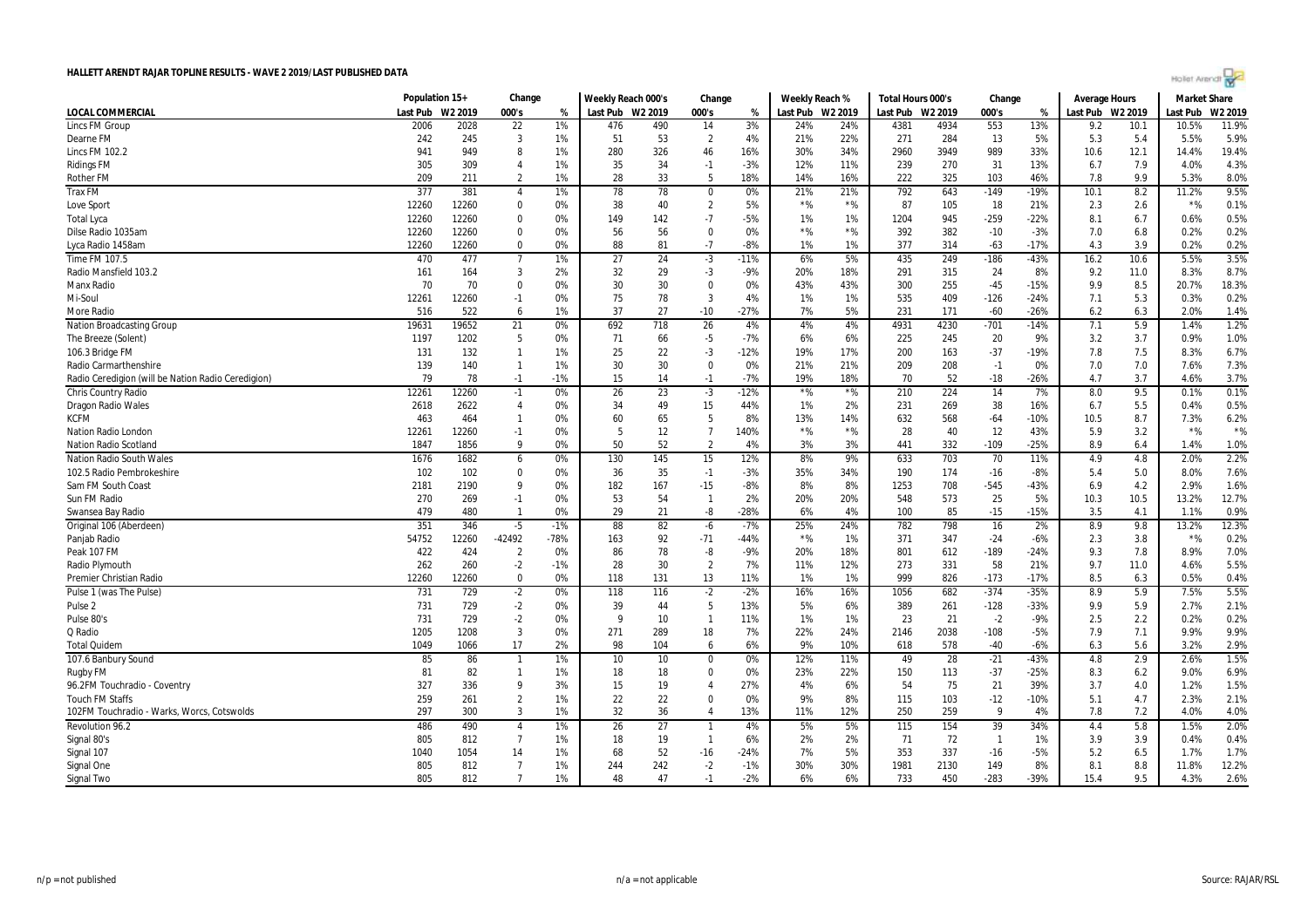|  | Hollet Arendr? |  |  |
|--|----------------|--|--|
|  |                |  |  |
|  |                |  |  |

|                                                    | Population 15+ |         | Change                       |        | Weekly Reach 000's |                 | Change         | Weekly Reach % | Total Hours 000's |       | Change           |      | Average Hours         |        | <b>Market Share</b> |      |          |         |
|----------------------------------------------------|----------------|---------|------------------------------|--------|--------------------|-----------------|----------------|----------------|-------------------|-------|------------------|------|-----------------------|--------|---------------------|------|----------|---------|
| LOCAL COMMERCIAL                                   | Last Pub       | W2 2019 | 000's                        | %      | Last Pub W2 2019   |                 | 000's          | %              | Last Pub W2 2019  |       | Last Pub W2 2019 |      | 000's                 | %      | Last Pub W2 2019    |      | Last Pub | W2 2019 |
| <b>Lincs FM Group</b>                              | 2006           | 2028    | 22                           | 1%     | 476                | 490             | 14             | 3%             | 24%               | 24%   | 4381             | 4934 | 553                   | 13%    | 9.2                 | 10.1 | 10.5%    | 11.9%   |
| Dearne FM                                          | 242            | 245     | 3                            | 1%     | 51                 | 53              | $\overline{2}$ | 4%             | 21%               | 22%   | 271              | 284  | 13                    | 5%     | 5.3                 | 5.4  | 5.5%     | 5.9%    |
| Lincs FM 102.2                                     | 941            | 949     | 8                            | 1%     | 280                | 326             | 46             | 16%            | 30%               | 34%   | 2960             | 3949 | 989                   | 33%    | 10.6                | 12.1 | 14.4%    | 19.4%   |
| <b>Ridings FM</b>                                  | 305            | 309     | $\overline{4}$               | 1%     | 35                 | 34              | $-1$           | -3%            | 12%               | 11%   | 239              | 270  | 31                    | 13%    | 6.7                 | 7.9  | 4.0%     | 4.3%    |
| <b>Rother FM</b>                                   | 209            | 211     | $\overline{2}$               | 1%     | 28                 | 33              | 5              | 18%            | 14%               | 16%   | 222              | 325  | 103                   | 46%    | 7.8                 | 9.9  | 5.3%     | 8.0%    |
| <b>Trax FM</b>                                     | 377            | 381     | $\overline{4}$               | 1%     | 78                 | 78              | $\overline{0}$ | $0\%$          | 21%               | 21%   | 792              | 643  | $-149$                | $-19%$ | 10.1                | 8.2  | 11.2%    | 9.5%    |
| Love Sport                                         | 12260          | 12260   | $\mathbf 0$                  | 0%     | 38                 | 40              | $\overline{2}$ | 5%             | $*$ %             | $*96$ | 87               | 105  | 18                    | 21%    | 2.3                 | 2.6  | $*$ %    | 0.1%    |
| <b>Total Lyca</b>                                  | 12260          | 12260   | $\mathbf 0$                  | 0%     | 149                | 142             | $-7$           | $-5%$          | 1%                | 1%    | 1204             | 945  | $-259$                | $-22%$ | 8.1                 | 6.7  | 0.6%     | 0.5%    |
| Dilse Radio 1035am                                 | 12260          | 12260   | 0                            | 0%     | 56                 | 56              | $\mathbf 0$    | 0%             | $\star$ %         | $*$ % | 392              | 382  | $-10$                 | $-3%$  | 7.0                 | 6.8  | 0.2%     | 0.2%    |
| Lyca Radio 1458am                                  | 12260          | 12260   | $\mathbf 0$                  | 0%     | 88                 | 81              | $-7$           | $-8%$          | 1%                | 1%    | 377              | 314  | $-63$                 | $-17%$ | 4.3                 | 3.9  | 0.2%     | 0.2%    |
| Time FM 107.5                                      | 470            | 477     | $\overline{7}$               | 1%     | 27                 | 24              | $-3$           | $-11%$         | 6%                | 5%    | 435              | 249  | $-186$                | $-43%$ | 16.2                | 10.6 | 5.5%     | 3.5%    |
| Radio Mansfield 103.2                              | 161            | 164     | 3                            | 2%     | 32                 | 29              | $-3$           | $-9%$          | 20%               | 18%   | 291              | 315  | 24                    | 8%     | 9.2                 | 11.0 | 8.3%     | 8.7%    |
| Manx Radio                                         | 70             | 70      | $\mathbf 0$                  | 0%     | 30                 | 30              | $\mathbf 0$    | 0%             | 43%               | 43%   | 300              | 255  | $-45$                 | $-15%$ | 9.9                 | 8.5  | 20.7%    | 18.3%   |
| Mi-Soul                                            | 12261          | 12260   | $-1$                         | 0%     | 75                 | 78              | $\overline{3}$ | 4%             | 1%                | 1%    | 535              | 409  | $-126$                | $-24%$ | 7.1                 | 5.3  | 0.3%     | 0.2%    |
| More Radio                                         | 516            | 522     | 6                            | 1%     | 37                 | 27              | $-10$          | $-27%$         | 7%                | 5%    | 231              | 171  | $-60$                 | $-26%$ | 6.2                 | 6.3  | 2.0%     | 1.4%    |
| Nation Broadcasting Group                          | 19631          | 19652   | 21                           | 0%     | 692                | 718             | 26             | 4%             | 4%                | 4%    | 4931             | 4230 | $-701$                | $-14%$ | 7.1                 | 5.9  | 1.4%     | 1.2%    |
| The Breeze (Solent)                                | 1197           | 1202    | 5                            | 0%     | 71                 | 66              | $-5$           | $-7%$          | 6%                | 6%    | 225              | 245  | 20                    | 9%     | 3.2                 | 3.7  | 0.9%     | 1.0%    |
| 106.3 Bridge FM                                    | 131            | 132     | $\mathbf{1}$                 | 1%     | 25                 | 22              | $-3$           | $-12%$         | 19%               | 17%   | 200              | 163  | $-37$                 | $-19%$ | 7.8                 | 7.5  | 8.3%     | 6.7%    |
| <b>Radio Carmarthenshire</b>                       | 139            | 140     | $\overline{1}$               | 1%     | 30                 | 30              | $\Omega$       | 0%             | 21%               | 21%   | 209              | 208  | $-1$                  | 0%     | 7.0                 | 7.0  | 7.6%     | 7.3%    |
| Radio Ceredigion (will be Nation Radio Ceredigion) | 79             | 78      | $-1$                         | $-1%$  | 15                 | 14              | $-1$           | $-7%$          | 19%               | 18%   | 70               | 52   | $-18$                 | $-26%$ | 4.7                 | 3.7  | 4.6%     | 3.7%    |
| Chris Country Radio                                | 12261          | 12260   | $-1$                         | 0%     | 26                 | 23              | $-3$           | $-12%$         | $*$ %             | $*$ % | 210              | 224  | 14                    | 7%     | 8.0                 | 9.5  | 0.1%     | 0.1%    |
| <b>Dragon Radio Wales</b>                          | 2618           | 2622    | $\overline{4}$               | 0%     | 34                 | 49              | 15             | 44%            | 1%                | 2%    | 231              | 269  | 38                    | 16%    | 6.7                 | 5.5  | 0.4%     | 0.5%    |
| <b>KCFM</b>                                        | 463            | 464     | $\overline{1}$               | 0%     | 60                 | 65              | 5              | 8%             | 13%               | 14%   | 632              | 568  | $-64$                 | $-10%$ | 10.5                | 8.7  | 7.3%     | 6.2%    |
| Nation Radio London                                | 12261          | 12260   | $-1$                         | 0%     | 5                  | 12              | $\overline{7}$ | 140%           | $*$ %             | $*$ % | 28               | 40   | 12                    | 43%    | 5.9                 | 3.2  | $*$ %    | $*$ %   |
| <b>Nation Radio Scotland</b>                       | 1847           | 1856    | 9                            | 0%     | 50                 | 52              | $\overline{2}$ | 4%             | 3%                | 3%    | 441              | 332  | $-109$                | $-25%$ | 8.9                 | 6.4  | 1.4%     | 1.0%    |
| <b>Nation Radio South Wales</b>                    | 1676           | 1682    | 6                            | 0%     | 130                | 145             | 15             | 12%            | 8%                | 9%    | 633              | 703  | 70                    | 11%    | 4.9                 | 4.8  | 2.0%     | 2.2%    |
| 102.5 Radio Pembrokeshire                          | 102            | 102     | 0                            | 0%     | 36                 | 35              | $-1$           | -3%            | 35%               | 34%   | 190              | 174  | $-16$                 | $-8%$  | 5.4                 | 5.0  | 8.0%     | 7.6%    |
| Sam FM South Coast                                 | 2181           | 2190    | $\mathbf{q}$                 | 0%     | 182                | 167             | $-15$          | $-8%$          | 8%                | 8%    | 1253             | 708  | $-545$                | $-43%$ | 6.9                 | 4.2  | 2.9%     | 1.6%    |
| Sun FM Radio                                       | 270            | 269     | $-1$                         | 0%     | 53                 | 54              | $\mathbf{1}$   | 2%             | 20%               | 20%   | 548              | 573  | 25                    | 5%     | 10.3                | 10.5 | 13.2%    | 12.7%   |
| Swansea Bay Radio                                  | 479            | 480     | $\mathbf{1}$                 | 0%     | 29                 | 21              | -8             | -28%           | 6%                | 4%    | 100              | 85   | $-15$                 | $-15%$ | 3.5                 | 4.1  | 1.1%     | 0.9%    |
| Original 106 (Aberdeen)                            | 351            | 346     | $-5$                         | $-1%$  | 88                 | 82              | -6             | $-7%$          | 25%               | 24%   | 782              | 798  | 16                    | 2%     | 8.9                 | 9.8  | 13.2%    | 12.3%   |
| Panjab Radio                                       | 54752          | 12260   | 42492                        | $-78%$ | 163                | 92              | $-71$          | -44%           | $*$ %             | 1%    | 371              | 347  | $-24$                 | $-6%$  | 2.3                 | 3.8  | $*$ %    | 0.2%    |
| Peak 107 FM                                        | 422            | 424     | $\overline{2}$               | 0%     | 86                 | 78              | -8             | -9%            | 20%               | 18%   | 801              | 612  | $-189$                | $-24%$ | 9.3                 | 7.8  | 8.9%     | 7.0%    |
| Radio Plymouth                                     | 262            | 260     | $-2$                         | $-1%$  | 28                 | 30              | $\overline{2}$ | 7%             | 11%               | 12%   | 273              | 331  | 58                    | 21%    | 9.7                 | 11.0 | 4.6%     | 5.5%    |
| <b>Premier Christian Radio</b>                     | 12260          | 12260   | $\mathbf 0$                  | 0%     | 118                | 131             | 13             | 11%            | 1%                | 1%    | 999              | 826  | $-173$                | $-17%$ | 8.5                 | 6.3  | 0.5%     | 0.4%    |
| Pulse 1 (was The Pulse)                            | 731            | 729     | $-2$                         | 0%     | 118                | 116             | $-2$           | $-2%$          | 16%               | 16%   | 1056             | 682  | $-374$                | $-35%$ | 8.9                 | 5.9  | 7.5%     | 5.5%    |
| Pulse 2                                            | 731            | 729     | $-2$                         | 0%     | 39                 | 44              | 5              | 13%            | 5%                | 6%    | 389              | 261  | $-128$                | $-33%$ | 9.9                 | 5.9  | 2.7%     | 2.1%    |
| Pulse 80's                                         | 731            | 729     | $-2$                         | 0%     | 9                  | 10              | $\overline{1}$ | 11%            | 1%                | 1%    | 23               | 21   | $-2$                  | $-9%$  | 2.5                 | 2.2  | 0.2%     | 0.2%    |
| Q Radio                                            | 1205           | 1208    | 3                            | 0%     | 271                | 289             | 18             | 7%             | 22%               | 24%   | 2146             | 2038 | $-108$                | -5%    | 7.9                 | 7.1  | 9.9%     | 9.9%    |
| <b>Total Quidem</b>                                | 1049           | 1066    | 17                           | 2%     | 98                 | 104             | 6              | 6%             | 9%                | 10%   | 618              | 578  | $-40$                 | $-6%$  | 6.3                 | 5.6  | 3.2%     | 2.9%    |
|                                                    |                |         |                              |        |                    |                 |                |                |                   |       |                  |      |                       |        |                     |      |          | 1.5%    |
| 107.6 Banbury Sound                                | 85             | 86      | $\mathbf{1}$<br>$\mathbf{1}$ | 1%     | 10                 | 10              | $\overline{0}$ | 0%             | 12%               | 11%   | 49               | 28   | $-21$                 | $-43%$ | 4.8                 | 2.9  | 2.6%     | 6.9%    |
| <b>Rugby FM</b>                                    | 81             | 82      | 9                            | 1%     | 18                 | 18              | $\mathbf 0$    | 0%             | 23%               | 22%   | 150              | 113  | $-37$                 | $-25%$ | 8.3                 | 6.2  | 9.0%     |         |
| 96.2FM Touchradio - Coventry                       | 327            | 336     |                              | 3%     | 15                 | 19              | $\overline{4}$ | 27%            | 4%                | 6%    | 54               | 75   | 21                    | 39%    | 3.7                 | 4.0  | 1.2%     | 1.5%    |
| <b>Touch FM Staffs</b>                             | 259            | 261     | $\overline{2}$               | 1%     | 22                 | 22              | $\Omega$       | 0%             | 9%                | 8%    | 115              | 103  | $-12$<br>$\mathbf{Q}$ | $-10%$ | 5.1                 | 4.7  | 2.3%     | 2.1%    |
| 102FM Touchradio - Warks, Worcs, Cotswolds         | 297            | 300     | 3                            | 1%     | 32                 | 36              | $\overline{4}$ | 13%            | 11%               | 12%   | 250              | 259  |                       | 4%     | 7.8                 | 7.2  | 4.0%     | 4.0%    |
| Revolution 96.2                                    | 486            | 490     | $\overline{4}$               | 1%     | 26                 | $\overline{27}$ | $\overline{1}$ | 4%             | 5%                | 5%    | 115              | 154  | 39                    | 34%    | 4.4                 | 5.8  | 1.5%     | 2.0%    |
| Signal 80's                                        | 805            | 812     | $\overline{7}$               | 1%     | 18                 | 19              | $\mathbf{1}$   | 6%             | 2%                | 2%    | 71               | 72   | $\overline{1}$        | 1%     | 3.9                 | 3.9  | 0.4%     | 0.4%    |
| Signal 107                                         | 1040           | 1054    | 14                           | 1%     | 68                 | 52              | $-16$          | $-24%$         | 7%                | 5%    | 353              | 337  | $-16$                 | $-5%$  | 5.2                 | 6.5  | 1.7%     | 1.7%    |
| Signal One                                         | 805            | 812     | $\overline{7}$               | 1%     | 244                | 242             | $-2$           | $-1%$          | 30%               | 30%   | 1981             | 2130 | 149                   | 8%     | 8.1                 | 8.8  | 11.8%    | 12.2%   |
| Signal Two                                         | 805            | 812     | $\overline{7}$               | 1%     | 48                 | 47              | $-1$           | $-2%$          | 6%                | 6%    | 733              | 450  | $-283$                | $-39%$ | 15.4                | 9.5  | 4.3%     | 2.6%    |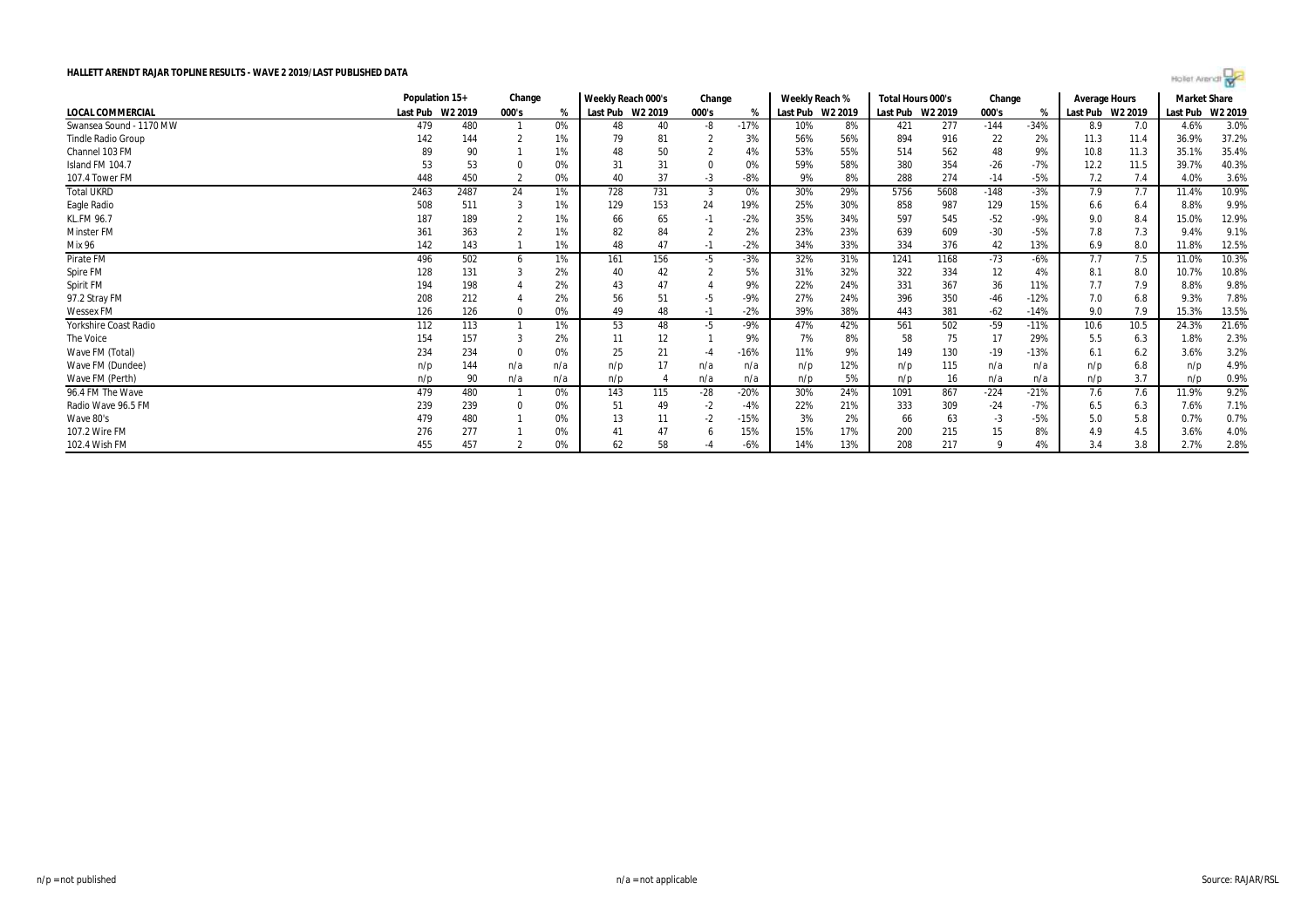

|                           |                  | Population 15+<br>Change |          |     |                  | Weekly Reach 000's<br>Change |       |        | Weekly Reach % |                  | Total Hours 000's |         | Change |        | <b>Average Hours</b> |                  | Market Share |         |
|---------------------------|------------------|--------------------------|----------|-----|------------------|------------------------------|-------|--------|----------------|------------------|-------------------|---------|--------|--------|----------------------|------------------|--------------|---------|
| <b>LOCAL COMMERCIAL</b>   | Last Pub W2 2019 |                          | 000's    | %   | Last Pub W2 2019 |                              | 000's | %      |                | Last Pub W2 2019 | Last Pub          | W2 2019 | 000's  |        |                      | Last Pub W2 2019 | Last Pub     | W2 2019 |
| Swansea Sound - 1170 MW   | 479              | 480                      |          | 0%  | 48               | 40                           | -8    | $-17%$ | 10%            | 8%               | 421               | 277     | $-144$ | $-34%$ | 8.9                  | 7.0              | 4.6%         | 3.0%    |
| <b>Tindle Radio Group</b> | 142              | 144                      |          | 1%  | 79               | 81                           |       | 3%     | 56%            | 56%              | 894               | 916     | 22     | 2%     | 11.3                 | 11.4             | 36.9%        | 37.2%   |
| Channel 103 FM            |                  | 90                       |          | 1%  | 48               | 50                           |       | 4%     | 53%            | 55%              | 514               | 562     | 48     | 9%     | 10.8                 | 11.3             | 35.1%        | 35.4%   |
| Island FM 104.7           | 53               | 53                       |          | 0%  | 31               | 31                           |       | 0%     | 59%            | 58%              | 380               | 354     | -26    | $-7%$  | 12.2                 | 11.5             | 39.7%        | 40.3%   |
| 107.4 Tower FM            | 448              | 450                      |          | 0%  | 40               | 37                           | $-3$  | $-8%$  | 9%             | 8%               | 288               | 274     | $-14$  | $-5%$  | 7.2                  | 7.4              | 4.0%         | 3.6%    |
| <b>Total UKRD</b>         | 2463             | 2487                     | 24       | 1%  | 728              | 731                          | -3    | 0%     | 30%            | 29%              | 5756              | 5608    | $-148$ | $-3%$  | 7.9                  | 7.7              | 11.4%        | 10.9%   |
| Eagle Radio               | 508              | 511                      |          | 1%  | 129              | 153                          | 24    | 19%    | 25%            | 30%              | 858               | 987     | 129    | 15%    | 6.6                  | 6.4              | 8.8%         | 9.9%    |
| <b>KL.FM 96.7</b>         | 187              | 189                      |          | 1%  | 66               | 65                           | -1    | $-2%$  | 35%            | 34%              | 597               | 545     | $-52$  | $-9%$  | 9.0                  | 8.4              | 15.0%        | 12.9%   |
| <b>Minster FM</b>         | 361              | 363                      |          | 1%  | 82               | 84                           |       | 2%     | 23%            | 23%              | 639               | 609     | $-30$  | $-5%$  | 7.8                  | 7.3              | 9.4%         | 9.1%    |
| Mix 96                    | 142              | 143                      |          | 1%  | 48               | 47                           | $-1$  | $-2%$  | 34%            | 33%              | 334               | 376     | 42     | 13%    | 6.9                  | 8.0              | 11.8%        | 12.5%   |
| Pirate FM                 | 496              | 502                      | 6        | 1%  | 161              | 156                          | -5    | $-3%$  | 32%            | 31%              | 1241              | 1168    | $-73$  | $-6%$  | 7.7                  | 7.5              | 11.0%        | 10.3%   |
| Spire FM                  | 128              | 131                      |          | 2%  | 40               | 42                           |       | 5%     | 31%            | 32%              | 322               | 334     | 12     | 4%     | 8.1                  | 8.0              | 10.7%        | 10.8%   |
| Spirit FM                 | 194              | 198                      |          | 2%  | 43               | 47                           |       | 9%     | 22%            | 24%              | 331               | 367     | 36     | 11%    | 7.7                  | 7.9              | 8.8%         | 9.8%    |
| 97.2 Stray FM             | 208              | 212                      |          | 2%  | 56               | 51                           | -5    | $-9%$  | 27%            | 24%              | 396               | 350     | -46    | $-12%$ | 7.0                  | 6.8              | 9.3%         | 7.8%    |
| <b>Wessex FM</b>          | 126              | 126                      |          | 0%  | 49               | 48                           | $-1$  | $-2%$  | 39%            | 38%              | 443               | 381     | -62    | $-14%$ | 9.0                  | 7.9              | 15.3%        | 13.5%   |
| Yorkshire Coast Radio     | 112              | 113                      |          | 1%  | 53               | 48                           | -5    | $-9%$  | 47%            | 42%              | 561               | 502     | -59    | $-11%$ | 10.6                 | 10.5             | 24.3%        | 21.6%   |
| The Voice                 | 154              | 157                      |          | 2%  |                  | 12                           |       | 9%     | 7%             | 8%               | 58                | 75      | 17     | 29%    | 5.5                  | 6.3              | 1.8%         | 2.3%    |
| Wave FM (Total)           | 234              | 234                      | $\Omega$ | 0%  | 25               | 21                           | $-4$  | $-16%$ | 11%            | 9%               | 149               | 130     | $-19$  | $-13%$ | 6.1                  | 6.2              | 3.6%         | 3.2%    |
| Wave FM (Dundee)          | n/p              | 144                      | n/a      | n/a | n/p              | 17                           | n/a   | n/a    | n/p            | 12%              | n/p               | 115     | n/a    | n/a    | n/p                  | 6.8              | n/p          | 4.9%    |
| Wave FM (Perth)           | n/p              | 90                       | n/a      | n/a | n/p              |                              | n/a   | n/a    | n/p            | 5%               | n/p               | 16      | n/a    | n/a    | n/p                  | 3.7              | n/p          | 0.9%    |
| 96.4 FM The Wave          | 479              | 480                      |          | 0%  | 143              | 115                          | $-28$ | $-20%$ | 30%            | 24%              | 1091              | 867     | $-224$ | $-21%$ | 7.6                  | 7.6              | 11.9%        | 9.2%    |
| Radio Wave 96.5 FM        | 239              | 239                      |          | 0%  | 51               | 49                           | $-2$  | -4%    | 22%            | 21%              | 333               | 309     | -24    | $-7%$  | 6.5                  | 6.3              | 7.6%         | 7.1%    |
| Wave 80's                 | 479              | 480                      |          | 0%  | 13               |                              | $-2$  | $-15%$ | 3%             | 2%               | 66                | 63      | - 3    | $-5%$  | 5.0                  | 5.8              | 0.7%         | 0.7%    |
| 107.2 Wire FM             | 276              | 277                      |          | 0%  |                  | 47                           |       | 15%    | 15%            | 17%              | 200               | 215     |        | 8%     | 4.9                  | 4.5              | 3.6%         | 4.0%    |
| 102.4 Wish FM             | 455              | 457                      |          | 0%  | 62               | 58                           |       | $-6%$  | 14%            | 13%              | 208               | 217     |        | 4%     | 3.4                  | 3.8              | 2.7%         | 2.8%    |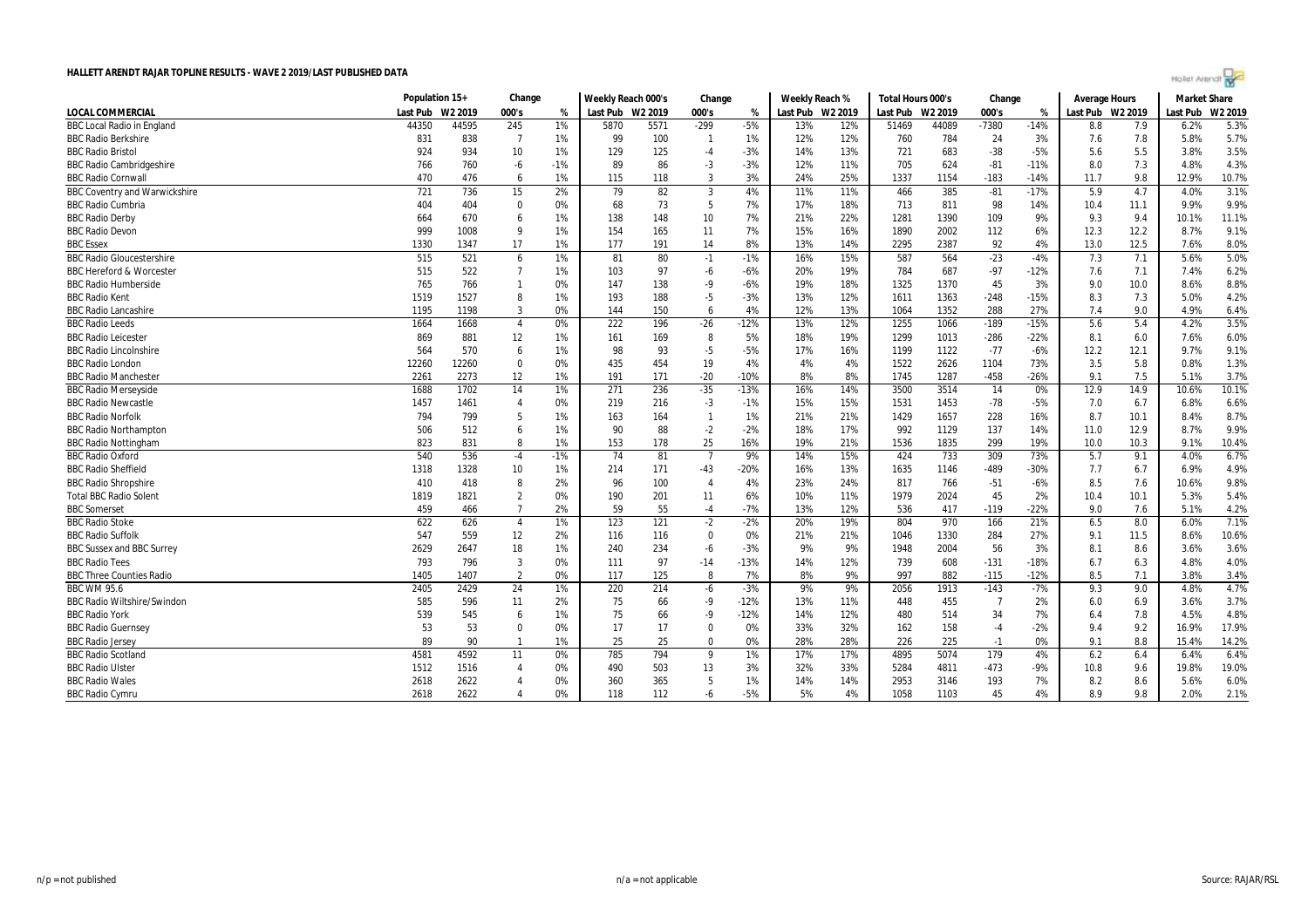|  | Agilet Arengr |  |
|--|---------------|--|
|  |               |  |

| W2 2019<br>Last Pub W2 2019<br>Last Pub W2 2019<br>W2 2019<br><b>LOCAL COMMERCIAL</b><br>Last Pub<br>W <sub>2</sub> 2019<br>000's<br>Last Pub<br>000's<br>Last Pub<br>W2 2019<br>000's<br>Last Pub<br>%<br>%<br>%<br>$-299$<br>$-7380$<br>5.3%<br><b>BBC Local Radio in England</b><br>44350<br>44595<br>245<br>1%<br>5870<br>5571<br>$-5%$<br>13%<br>12%<br>51469<br>44089<br>$-14%$<br>8.8<br>7.9<br>6.2%<br>$\overline{7}$<br>7.8<br>5.7%<br>838<br>1%<br>100<br>1%<br>12%<br>784<br>24<br>3%<br><b>BBC Radio Berkshire</b><br>831<br>99<br>- 1<br>12%<br>760<br>7.6<br>5.8%<br>3.5%<br><b>BBC Radio Bristol</b><br>924<br>10<br>$-3%$<br>683<br>$-38$<br>$-5%$<br>5.5<br>934<br>1%<br>129<br>125<br>$-4$<br>14%<br>13%<br>721<br>5.6<br>3.8%<br>$-6$<br>86<br>$-3$<br>624<br>$-81$<br>7.3<br>4.3%<br><b>BBC Radio Cambridgeshire</b><br>760<br>$-1%$<br>$-3%$<br>12%<br>11%<br>705<br>$-11%$<br>4.8%<br>766<br>89<br>8.0<br>10.7%<br><b>BBC Radio Cornwal</b><br>470<br>476<br>6<br>1%<br>115<br>118<br>3<br>3%<br>24%<br>25%<br>1337<br>1154<br>$-183$<br>$-14%$<br>11.7<br>9.8<br>12.9%<br>82<br>3.1%<br><b>BBC Coventry and Warwickshire</b><br>721<br>736<br>15<br>2%<br>79<br>3<br>4%<br>11%<br>11%<br>466<br>385<br>$-81$<br>$-17%$<br>5.9<br>4.7<br>4.0%<br>9.9%<br><b>BBC Radio Cumbria</b><br>73<br>-5<br>7%<br>18%<br>811<br>98<br>404<br>404<br>0<br>0%<br>68<br>17%<br>713<br>14%<br>10.4<br>11.1<br>9.9%<br><b>BBC Radio Derby</b><br>6<br>1%<br>7%<br>11.1%<br>664<br>670<br>138<br>148<br>10<br>21%<br>22%<br>1281<br>1390<br>109<br>9%<br>9.3<br>9.4<br>10.1%<br>9.1%<br><b>BBC Radio Devon</b><br>999<br>1008<br>9<br>1%<br>154<br>165<br>11<br>7%<br>15%<br>16%<br>1890<br>2002<br>112<br>6%<br>12.3<br>12.2<br>8.7%<br>92<br>8.0%<br>1330<br>17<br>1%<br>177<br>191<br>14<br>8%<br>13%<br>14%<br>2295<br>2387<br>4%<br>13.0<br>12.5<br><b>BBC Essex</b><br>1347<br>7.6%<br>5.0%<br><b>BBC Radio Gloucestershire</b><br>515<br>521<br>1%<br>80<br>16%<br>15%<br>587<br>564<br>$-23$<br>$-4%$<br>7.3<br>7.1<br>5.6%<br>6<br>81<br>$-1$<br>$-1%$<br>6.2%<br>522<br>97<br>19%<br>687<br>$-97$<br><b>BBC Hereford &amp; Worcester</b><br>515<br>$\overline{7}$<br>1%<br>103<br>$-6$<br>$-6%$<br>20%<br>784<br>$-12%$<br>7.1<br>7.4%<br>7.6<br>45<br>8.8%<br><b>BBC Radio Humberside</b><br>765<br>766<br>147<br>138<br>$-9$<br>$-6%$<br>19%<br>18%<br>1325<br>1370<br>3%<br>9.0<br>10.0<br>8.6%<br>$\overline{1}$<br>0%<br>8<br>$-5$<br>$-248$<br>$-15%$<br>4.2%<br>1519<br>1527<br>1%<br>193<br>188<br>$-3%$<br>13%<br>12%<br>1611<br>1363<br>7.3<br><b>BBC Radio Kent</b><br>8.3<br>5.0%<br>3<br>0%<br>4%<br>13%<br>288<br>27%<br>9.0<br>6.4%<br><b>BBC Radio Lancashire</b><br>1195<br>1198<br>144<br>150<br>6<br>12%<br>1064<br>1352<br>7.4<br>4.9%<br>3.5%<br><b>BBC Radio Leeds</b><br>$\overline{4}$<br>0%<br>222<br>196<br>$-26$<br>$-12%$<br>13%<br>12%<br>1255<br>1066<br>$-189$<br>$-15%$<br>5.6<br>5.4<br>4.2%<br>1664<br>1668<br>6.0%<br><b>BBC Radio Leicester</b><br>869<br>881<br>12<br>1%<br>161<br>169<br>8<br>5%<br>18%<br>19%<br>1299<br>1013<br>$-286$<br>$-22%$<br>7.6%<br>8.1<br>6.0<br>6<br>$-5$<br>$-77$<br>9.1%<br>564<br>570<br>1%<br>98<br>93<br>$-5%$<br>16%<br>1122<br>$-6%$<br>12.2<br>12.1<br><b>BBC Radio Lincolnshire</b><br>17%<br>1199<br>9.7%<br>$\mathbf 0$<br>0%<br>19<br>4%<br>4%<br>4%<br>1522<br>2626<br>73%<br>3.5<br>5.8<br>1.3%<br><b>BBC Radio London</b><br>12260<br>12260<br>435<br>454<br>1104<br>0.8%<br>$-20$<br>8%<br>$-458$<br>$-26%$<br>7.5<br>3.7%<br><b>BBC Radio Manchester</b><br>2261<br>2273<br>12<br>1%<br>191<br>$-10%$<br>8%<br>1745<br>1287<br>5.1%<br>171<br>9.1<br>$-35$<br>10.1%<br>1688<br>14<br>236<br>$-13%$<br>16%<br>3500<br>3514<br>14<br>12.9<br>14.9<br><b>BBC Radio Mersevside</b><br>1702<br>1%<br>271<br>14%<br>0%<br>10.6%<br>15%<br>$-78$<br>6.6%<br>1457<br>1461<br>$\overline{4}$<br>0%<br>219<br>$-3$<br>15%<br>1531<br>1453<br>$-5%$<br>7.0<br>6.8%<br><b>BBC Radio Newcastle</b><br>216<br>-1%<br>6.7<br>8.7%<br><b>BBC Radio Norfolk</b><br>794<br>799<br>-5<br>$\overline{1}$<br>21%<br>1657<br>228<br>16%<br>10.1<br>$1\%$<br>163<br>164<br>1%<br>21%<br>1429<br>8.7<br>8.4%<br>506<br>6<br>1%<br>88<br>$-2$<br>$-2%$<br>17%<br>137<br>9.9%<br><b>BBC Radio Northampton</b><br>512<br>90<br>18%<br>992<br>1129<br>14%<br>11.0<br>12.9<br>8.7%<br>299<br>823<br>831<br>8<br>1%<br>153<br>178<br>25<br>16%<br>19%<br>21%<br>1536<br>1835<br>19%<br>10.0<br>10.3<br>10.4%<br><b>BBC Radio Nottingham</b><br>9.1%<br><b>BBC Radio Oxford</b><br>540<br>74<br>$\overline{7}$<br>733<br>309<br>6.7%<br>536<br>$-4$<br>$-1%$<br>81<br>9%<br>14%<br>15%<br>424<br>73%<br>5.7<br>9.1<br>4.0%<br>4.9%<br><b>BBC Radio Sheffield</b><br>$-43$<br>$-489$<br>-30%<br>1318<br>1328<br>10<br>1%<br>214<br>171<br>-20%<br>16%<br>13%<br>1635<br>1146<br>7.7<br>6.7<br>6.9%<br>9.8%<br>410<br>8<br>2%<br>100<br>4%<br>23%<br>24%<br>766<br>$-51$<br>$-6%$<br>8.5<br>7.6<br>10.6%<br><b>BBC Radio Shropshire</b><br>418<br>96<br>$\overline{4}$<br>817<br>$\overline{2}$<br>45<br>5.4%<br><b>Total BBC Radio Solent</b><br>1819<br>1821<br>0%<br>190<br>201<br>11<br>6%<br>10%<br>11%<br>1979<br>2024<br>2%<br>10.4<br>10.1<br>5.3%<br>55<br>$-22%$<br>7.6<br>4.2%<br>459<br>$\overline{7}$<br>2%<br>59<br>$-4$<br>$-7%$<br>13%<br>12%<br>536<br>417<br>$-119$<br>5.1%<br><b>BBC</b> Somerset<br>466<br>9.0<br>7.1%<br><b>BBC Radio Stoke</b><br>622<br>626<br>1%<br>123<br>121<br>$-2$<br>$-2%$<br>19%<br>804<br>970<br>166<br>21%<br>8.0<br>$\overline{4}$<br>20%<br>6.5<br>6.0%<br><b>BBC Radio Suffolk</b><br>547<br>559<br>12<br>2%<br>0%<br>1330<br>284<br>27%<br>10.6%<br>116<br>116<br>$\overline{0}$<br>21%<br>21%<br>11.5<br>8.6%<br>1046<br>9.1<br>3.6%<br>9%<br>56<br>3%<br>2629<br>2647<br>18<br>1%<br>240<br>234<br>$-6$<br>$-3%$<br>9%<br>1948<br>2004<br>8.6<br>3.6%<br><b>BBC Sussex and BBC Surrey</b><br>8.1<br>$\overline{3}$<br>97<br>$-18%$<br>4.0%<br><b>BBC Radio Tees</b><br>793<br>796<br>0%<br>111<br>$-14$<br>$-13%$<br>14%<br>12%<br>739<br>608<br>$-131$<br>6.7<br>4.8%<br>6.3<br>$\overline{2}$<br>0%<br>7%<br>9%<br>$-12%$<br>7.1<br>3.4%<br><b>BBC Three Counties Radio</b><br>1405<br>1407<br>117<br>125<br>-8<br>8%<br>997<br>882<br>8.5<br>3.8%<br>-115<br>24<br>1%<br>9%<br>9%<br>$-143$<br>$-7%$<br>9.0<br>4.7%<br><b>BBC WM 95.6</b><br>2405<br>2429<br>220<br>214<br>$-6$<br>$-3%$<br>2056<br>1913<br>9.3<br>4.8%<br>3.7%<br><b>BBC Radio Wiltshire/Swindon</b><br>585<br>596<br>2%<br>75<br>66<br>$-9$<br>$-12%$<br>13%<br>455<br>2%<br>3.6%<br>11<br>11%<br>448<br>6.0<br>6.9<br>- 7<br>4.8%<br>539<br>545<br>6<br>1%<br>66<br>$-9$<br>$-12%$<br>14%<br>12%<br>480<br>514<br>34<br>7%<br>7.8<br>4.5%<br><b>BBC Radio York</b><br>75<br>6.4<br>53<br>$-2%$<br>17.9%<br>53<br>$\mathbf 0$<br>0%<br>17<br>17<br>0%<br>33%<br>32%<br>158<br>9.2<br><b>BBC Radio Guernsey</b><br>$\Omega$<br>162<br>9.4<br>16.9%<br>$-4$<br>1%<br>25<br>0%<br>28%<br>28%<br>225<br>14.2%<br><b>BBC Radio Jersey</b><br>89<br>90<br>25<br>226<br>0%<br>8.8<br>15.4%<br>$\overline{1}$<br>0<br>9.1<br>-1<br>6.4%<br>785<br>794<br>4895<br>5074<br><b>BBC Radio Scotland</b><br>4581<br>4592<br>0%<br>1%<br>17%<br>17%<br>179<br>4%<br>6.2<br>6.4<br>11<br>- 9<br>6.4%<br>19.0%<br><b>BBC Radio Ulster</b><br>1512<br>1516<br>490<br>503<br>13<br>3%<br>32%<br>33%<br>5284<br>$-473$<br>-9%<br>9.6<br>$\overline{4}$<br>0%<br>4811<br>10.8<br>19.8%<br><b>BBC Radio Wales</b><br>2622<br>0%<br>365<br>5<br>1%<br>7%<br>6.0%<br>2618<br>360<br>14%<br>14%<br>2953<br>3146<br>193<br>8.2<br>8.6<br>4<br>5.6% | Population 15+ | Change | Weekly Reach 000's |  | Change |  | Weekly Reach % |  | Total Hours 000's |  | Change |  | Average Hours |  | <b>Market Share</b> |  |
|----------------------------------------------------------------------------------------------------------------------------------------------------------------------------------------------------------------------------------------------------------------------------------------------------------------------------------------------------------------------------------------------------------------------------------------------------------------------------------------------------------------------------------------------------------------------------------------------------------------------------------------------------------------------------------------------------------------------------------------------------------------------------------------------------------------------------------------------------------------------------------------------------------------------------------------------------------------------------------------------------------------------------------------------------------------------------------------------------------------------------------------------------------------------------------------------------------------------------------------------------------------------------------------------------------------------------------------------------------------------------------------------------------------------------------------------------------------------------------------------------------------------------------------------------------------------------------------------------------------------------------------------------------------------------------------------------------------------------------------------------------------------------------------------------------------------------------------------------------------------------------------------------------------------------------------------------------------------------------------------------------------------------------------------------------------------------------------------------------------------------------------------------------------------------------------------------------------------------------------------------------------------------------------------------------------------------------------------------------------------------------------------------------------------------------------------------------------------------------------------------------------------------------------------------------------------------------------------------------------------------------------------------------------------------------------------------------------------------------------------------------------------------------------------------------------------------------------------------------------------------------------------------------------------------------------------------------------------------------------------------------------------------------------------------------------------------------------------------------------------------------------------------------------------------------------------------------------------------------------------------------------------------------------------------------------------------------------------------------------------------------------------------------------------------------------------------------------------------------------------------------------------------------------------------------------------------------------------------------------------------------------------------------------------------------------------------------------------------------------------------------------------------------------------------------------------------------------------------------------------------------------------------------------------------------------------------------------------------------------------------------------------------------------------------------------------------------------------------------------------------------------------------------------------------------------------------------------------------------------------------------------------------------------------------------------------------------------------------------------------------------------------------------------------------------------------------------------------------------------------------------------------------------------------------------------------------------------------------------------------------------------------------------------------------------------------------------------------------------------------------------------------------------------------------------------------------------------------------------------------------------------------------------------------------------------------------------------------------------------------------------------------------------------------------------------------------------------------------------------------------------------------------------------------------------------------------------------------------------------------------------------------------------------------------------------------------------------------------------------------------------------------------------------------------------------------------------------------------------------------------------------------------------------------------------------------------------------------------------------------------------------------------------------------------------------------------------------------------------------------------------------------------------------------------------------------------------------------------------------------------------------------------------------------------------------------------------------------------------------------------------------------------------------------------------------------------------------------------------------------------------------------------------------------------------------------------------------------------------------------------------------------------------------------------------------------------------------------------------------------------------------------------------------------------------------------------------------------------------------------------------------------------------------------------------------------------------------------------------------------------------------------------------------------------------------------------------------------------------------------------------------------------------------------------------------------------------------------------------------------------------------------------------------------------------------------------------------------------------------------------------------------------------------------------------------------------------------------------------------------------------------------------------------------------------------------------------------------------------------------------------------------------------------------------------------------------------------------------------------------------------------------------------------------------------------------------------------------------------------------------------------------------------------------------------------------------------------------------------------------|----------------|--------|--------------------|--|--------|--|----------------|--|-------------------|--|--------|--|---------------|--|---------------------|--|
|                                                                                                                                                                                                                                                                                                                                                                                                                                                                                                                                                                                                                                                                                                                                                                                                                                                                                                                                                                                                                                                                                                                                                                                                                                                                                                                                                                                                                                                                                                                                                                                                                                                                                                                                                                                                                                                                                                                                                                                                                                                                                                                                                                                                                                                                                                                                                                                                                                                                                                                                                                                                                                                                                                                                                                                                                                                                                                                                                                                                                                                                                                                                                                                                                                                                                                                                                                                                                                                                                                                                                                                                                                                                                                                                                                                                                                                                                                                                                                                                                                                                                                                                                                                                                                                                                                                                                                                                                                                                                                                                                                                                                                                                                                                                                                                                                                                                                                                                                                                                                                                                                                                                                                                                                                                                                                                                                                                                                                                                                                                                                                                                                                                                                                                                                                                                                                                                                                                                                                                                                                                                                                                                                                                                                                                                                                                                                                                                                                                                                                                                                                                                                                                                                                                                                                                                                                                                                                                                                                                                                                                                                                                                                                                                                                                                                                                                                                                                                                                                                                                                                                                                                      |                |        |                    |  |        |  |                |  |                   |  |        |  |               |  |                     |  |
|                                                                                                                                                                                                                                                                                                                                                                                                                                                                                                                                                                                                                                                                                                                                                                                                                                                                                                                                                                                                                                                                                                                                                                                                                                                                                                                                                                                                                                                                                                                                                                                                                                                                                                                                                                                                                                                                                                                                                                                                                                                                                                                                                                                                                                                                                                                                                                                                                                                                                                                                                                                                                                                                                                                                                                                                                                                                                                                                                                                                                                                                                                                                                                                                                                                                                                                                                                                                                                                                                                                                                                                                                                                                                                                                                                                                                                                                                                                                                                                                                                                                                                                                                                                                                                                                                                                                                                                                                                                                                                                                                                                                                                                                                                                                                                                                                                                                                                                                                                                                                                                                                                                                                                                                                                                                                                                                                                                                                                                                                                                                                                                                                                                                                                                                                                                                                                                                                                                                                                                                                                                                                                                                                                                                                                                                                                                                                                                                                                                                                                                                                                                                                                                                                                                                                                                                                                                                                                                                                                                                                                                                                                                                                                                                                                                                                                                                                                                                                                                                                                                                                                                                                      |                |        |                    |  |        |  |                |  |                   |  |        |  |               |  |                     |  |
|                                                                                                                                                                                                                                                                                                                                                                                                                                                                                                                                                                                                                                                                                                                                                                                                                                                                                                                                                                                                                                                                                                                                                                                                                                                                                                                                                                                                                                                                                                                                                                                                                                                                                                                                                                                                                                                                                                                                                                                                                                                                                                                                                                                                                                                                                                                                                                                                                                                                                                                                                                                                                                                                                                                                                                                                                                                                                                                                                                                                                                                                                                                                                                                                                                                                                                                                                                                                                                                                                                                                                                                                                                                                                                                                                                                                                                                                                                                                                                                                                                                                                                                                                                                                                                                                                                                                                                                                                                                                                                                                                                                                                                                                                                                                                                                                                                                                                                                                                                                                                                                                                                                                                                                                                                                                                                                                                                                                                                                                                                                                                                                                                                                                                                                                                                                                                                                                                                                                                                                                                                                                                                                                                                                                                                                                                                                                                                                                                                                                                                                                                                                                                                                                                                                                                                                                                                                                                                                                                                                                                                                                                                                                                                                                                                                                                                                                                                                                                                                                                                                                                                                                                      |                |        |                    |  |        |  |                |  |                   |  |        |  |               |  |                     |  |
|                                                                                                                                                                                                                                                                                                                                                                                                                                                                                                                                                                                                                                                                                                                                                                                                                                                                                                                                                                                                                                                                                                                                                                                                                                                                                                                                                                                                                                                                                                                                                                                                                                                                                                                                                                                                                                                                                                                                                                                                                                                                                                                                                                                                                                                                                                                                                                                                                                                                                                                                                                                                                                                                                                                                                                                                                                                                                                                                                                                                                                                                                                                                                                                                                                                                                                                                                                                                                                                                                                                                                                                                                                                                                                                                                                                                                                                                                                                                                                                                                                                                                                                                                                                                                                                                                                                                                                                                                                                                                                                                                                                                                                                                                                                                                                                                                                                                                                                                                                                                                                                                                                                                                                                                                                                                                                                                                                                                                                                                                                                                                                                                                                                                                                                                                                                                                                                                                                                                                                                                                                                                                                                                                                                                                                                                                                                                                                                                                                                                                                                                                                                                                                                                                                                                                                                                                                                                                                                                                                                                                                                                                                                                                                                                                                                                                                                                                                                                                                                                                                                                                                                                                      |                |        |                    |  |        |  |                |  |                   |  |        |  |               |  |                     |  |
|                                                                                                                                                                                                                                                                                                                                                                                                                                                                                                                                                                                                                                                                                                                                                                                                                                                                                                                                                                                                                                                                                                                                                                                                                                                                                                                                                                                                                                                                                                                                                                                                                                                                                                                                                                                                                                                                                                                                                                                                                                                                                                                                                                                                                                                                                                                                                                                                                                                                                                                                                                                                                                                                                                                                                                                                                                                                                                                                                                                                                                                                                                                                                                                                                                                                                                                                                                                                                                                                                                                                                                                                                                                                                                                                                                                                                                                                                                                                                                                                                                                                                                                                                                                                                                                                                                                                                                                                                                                                                                                                                                                                                                                                                                                                                                                                                                                                                                                                                                                                                                                                                                                                                                                                                                                                                                                                                                                                                                                                                                                                                                                                                                                                                                                                                                                                                                                                                                                                                                                                                                                                                                                                                                                                                                                                                                                                                                                                                                                                                                                                                                                                                                                                                                                                                                                                                                                                                                                                                                                                                                                                                                                                                                                                                                                                                                                                                                                                                                                                                                                                                                                                                      |                |        |                    |  |        |  |                |  |                   |  |        |  |               |  |                     |  |
|                                                                                                                                                                                                                                                                                                                                                                                                                                                                                                                                                                                                                                                                                                                                                                                                                                                                                                                                                                                                                                                                                                                                                                                                                                                                                                                                                                                                                                                                                                                                                                                                                                                                                                                                                                                                                                                                                                                                                                                                                                                                                                                                                                                                                                                                                                                                                                                                                                                                                                                                                                                                                                                                                                                                                                                                                                                                                                                                                                                                                                                                                                                                                                                                                                                                                                                                                                                                                                                                                                                                                                                                                                                                                                                                                                                                                                                                                                                                                                                                                                                                                                                                                                                                                                                                                                                                                                                                                                                                                                                                                                                                                                                                                                                                                                                                                                                                                                                                                                                                                                                                                                                                                                                                                                                                                                                                                                                                                                                                                                                                                                                                                                                                                                                                                                                                                                                                                                                                                                                                                                                                                                                                                                                                                                                                                                                                                                                                                                                                                                                                                                                                                                                                                                                                                                                                                                                                                                                                                                                                                                                                                                                                                                                                                                                                                                                                                                                                                                                                                                                                                                                                                      |                |        |                    |  |        |  |                |  |                   |  |        |  |               |  |                     |  |
|                                                                                                                                                                                                                                                                                                                                                                                                                                                                                                                                                                                                                                                                                                                                                                                                                                                                                                                                                                                                                                                                                                                                                                                                                                                                                                                                                                                                                                                                                                                                                                                                                                                                                                                                                                                                                                                                                                                                                                                                                                                                                                                                                                                                                                                                                                                                                                                                                                                                                                                                                                                                                                                                                                                                                                                                                                                                                                                                                                                                                                                                                                                                                                                                                                                                                                                                                                                                                                                                                                                                                                                                                                                                                                                                                                                                                                                                                                                                                                                                                                                                                                                                                                                                                                                                                                                                                                                                                                                                                                                                                                                                                                                                                                                                                                                                                                                                                                                                                                                                                                                                                                                                                                                                                                                                                                                                                                                                                                                                                                                                                                                                                                                                                                                                                                                                                                                                                                                                                                                                                                                                                                                                                                                                                                                                                                                                                                                                                                                                                                                                                                                                                                                                                                                                                                                                                                                                                                                                                                                                                                                                                                                                                                                                                                                                                                                                                                                                                                                                                                                                                                                                                      |                |        |                    |  |        |  |                |  |                   |  |        |  |               |  |                     |  |
|                                                                                                                                                                                                                                                                                                                                                                                                                                                                                                                                                                                                                                                                                                                                                                                                                                                                                                                                                                                                                                                                                                                                                                                                                                                                                                                                                                                                                                                                                                                                                                                                                                                                                                                                                                                                                                                                                                                                                                                                                                                                                                                                                                                                                                                                                                                                                                                                                                                                                                                                                                                                                                                                                                                                                                                                                                                                                                                                                                                                                                                                                                                                                                                                                                                                                                                                                                                                                                                                                                                                                                                                                                                                                                                                                                                                                                                                                                                                                                                                                                                                                                                                                                                                                                                                                                                                                                                                                                                                                                                                                                                                                                                                                                                                                                                                                                                                                                                                                                                                                                                                                                                                                                                                                                                                                                                                                                                                                                                                                                                                                                                                                                                                                                                                                                                                                                                                                                                                                                                                                                                                                                                                                                                                                                                                                                                                                                                                                                                                                                                                                                                                                                                                                                                                                                                                                                                                                                                                                                                                                                                                                                                                                                                                                                                                                                                                                                                                                                                                                                                                                                                                                      |                |        |                    |  |        |  |                |  |                   |  |        |  |               |  |                     |  |
|                                                                                                                                                                                                                                                                                                                                                                                                                                                                                                                                                                                                                                                                                                                                                                                                                                                                                                                                                                                                                                                                                                                                                                                                                                                                                                                                                                                                                                                                                                                                                                                                                                                                                                                                                                                                                                                                                                                                                                                                                                                                                                                                                                                                                                                                                                                                                                                                                                                                                                                                                                                                                                                                                                                                                                                                                                                                                                                                                                                                                                                                                                                                                                                                                                                                                                                                                                                                                                                                                                                                                                                                                                                                                                                                                                                                                                                                                                                                                                                                                                                                                                                                                                                                                                                                                                                                                                                                                                                                                                                                                                                                                                                                                                                                                                                                                                                                                                                                                                                                                                                                                                                                                                                                                                                                                                                                                                                                                                                                                                                                                                                                                                                                                                                                                                                                                                                                                                                                                                                                                                                                                                                                                                                                                                                                                                                                                                                                                                                                                                                                                                                                                                                                                                                                                                                                                                                                                                                                                                                                                                                                                                                                                                                                                                                                                                                                                                                                                                                                                                                                                                                                                      |                |        |                    |  |        |  |                |  |                   |  |        |  |               |  |                     |  |
|                                                                                                                                                                                                                                                                                                                                                                                                                                                                                                                                                                                                                                                                                                                                                                                                                                                                                                                                                                                                                                                                                                                                                                                                                                                                                                                                                                                                                                                                                                                                                                                                                                                                                                                                                                                                                                                                                                                                                                                                                                                                                                                                                                                                                                                                                                                                                                                                                                                                                                                                                                                                                                                                                                                                                                                                                                                                                                                                                                                                                                                                                                                                                                                                                                                                                                                                                                                                                                                                                                                                                                                                                                                                                                                                                                                                                                                                                                                                                                                                                                                                                                                                                                                                                                                                                                                                                                                                                                                                                                                                                                                                                                                                                                                                                                                                                                                                                                                                                                                                                                                                                                                                                                                                                                                                                                                                                                                                                                                                                                                                                                                                                                                                                                                                                                                                                                                                                                                                                                                                                                                                                                                                                                                                                                                                                                                                                                                                                                                                                                                                                                                                                                                                                                                                                                                                                                                                                                                                                                                                                                                                                                                                                                                                                                                                                                                                                                                                                                                                                                                                                                                                                      |                |        |                    |  |        |  |                |  |                   |  |        |  |               |  |                     |  |
|                                                                                                                                                                                                                                                                                                                                                                                                                                                                                                                                                                                                                                                                                                                                                                                                                                                                                                                                                                                                                                                                                                                                                                                                                                                                                                                                                                                                                                                                                                                                                                                                                                                                                                                                                                                                                                                                                                                                                                                                                                                                                                                                                                                                                                                                                                                                                                                                                                                                                                                                                                                                                                                                                                                                                                                                                                                                                                                                                                                                                                                                                                                                                                                                                                                                                                                                                                                                                                                                                                                                                                                                                                                                                                                                                                                                                                                                                                                                                                                                                                                                                                                                                                                                                                                                                                                                                                                                                                                                                                                                                                                                                                                                                                                                                                                                                                                                                                                                                                                                                                                                                                                                                                                                                                                                                                                                                                                                                                                                                                                                                                                                                                                                                                                                                                                                                                                                                                                                                                                                                                                                                                                                                                                                                                                                                                                                                                                                                                                                                                                                                                                                                                                                                                                                                                                                                                                                                                                                                                                                                                                                                                                                                                                                                                                                                                                                                                                                                                                                                                                                                                                                                      |                |        |                    |  |        |  |                |  |                   |  |        |  |               |  |                     |  |
|                                                                                                                                                                                                                                                                                                                                                                                                                                                                                                                                                                                                                                                                                                                                                                                                                                                                                                                                                                                                                                                                                                                                                                                                                                                                                                                                                                                                                                                                                                                                                                                                                                                                                                                                                                                                                                                                                                                                                                                                                                                                                                                                                                                                                                                                                                                                                                                                                                                                                                                                                                                                                                                                                                                                                                                                                                                                                                                                                                                                                                                                                                                                                                                                                                                                                                                                                                                                                                                                                                                                                                                                                                                                                                                                                                                                                                                                                                                                                                                                                                                                                                                                                                                                                                                                                                                                                                                                                                                                                                                                                                                                                                                                                                                                                                                                                                                                                                                                                                                                                                                                                                                                                                                                                                                                                                                                                                                                                                                                                                                                                                                                                                                                                                                                                                                                                                                                                                                                                                                                                                                                                                                                                                                                                                                                                                                                                                                                                                                                                                                                                                                                                                                                                                                                                                                                                                                                                                                                                                                                                                                                                                                                                                                                                                                                                                                                                                                                                                                                                                                                                                                                                      |                |        |                    |  |        |  |                |  |                   |  |        |  |               |  |                     |  |
|                                                                                                                                                                                                                                                                                                                                                                                                                                                                                                                                                                                                                                                                                                                                                                                                                                                                                                                                                                                                                                                                                                                                                                                                                                                                                                                                                                                                                                                                                                                                                                                                                                                                                                                                                                                                                                                                                                                                                                                                                                                                                                                                                                                                                                                                                                                                                                                                                                                                                                                                                                                                                                                                                                                                                                                                                                                                                                                                                                                                                                                                                                                                                                                                                                                                                                                                                                                                                                                                                                                                                                                                                                                                                                                                                                                                                                                                                                                                                                                                                                                                                                                                                                                                                                                                                                                                                                                                                                                                                                                                                                                                                                                                                                                                                                                                                                                                                                                                                                                                                                                                                                                                                                                                                                                                                                                                                                                                                                                                                                                                                                                                                                                                                                                                                                                                                                                                                                                                                                                                                                                                                                                                                                                                                                                                                                                                                                                                                                                                                                                                                                                                                                                                                                                                                                                                                                                                                                                                                                                                                                                                                                                                                                                                                                                                                                                                                                                                                                                                                                                                                                                                                      |                |        |                    |  |        |  |                |  |                   |  |        |  |               |  |                     |  |
|                                                                                                                                                                                                                                                                                                                                                                                                                                                                                                                                                                                                                                                                                                                                                                                                                                                                                                                                                                                                                                                                                                                                                                                                                                                                                                                                                                                                                                                                                                                                                                                                                                                                                                                                                                                                                                                                                                                                                                                                                                                                                                                                                                                                                                                                                                                                                                                                                                                                                                                                                                                                                                                                                                                                                                                                                                                                                                                                                                                                                                                                                                                                                                                                                                                                                                                                                                                                                                                                                                                                                                                                                                                                                                                                                                                                                                                                                                                                                                                                                                                                                                                                                                                                                                                                                                                                                                                                                                                                                                                                                                                                                                                                                                                                                                                                                                                                                                                                                                                                                                                                                                                                                                                                                                                                                                                                                                                                                                                                                                                                                                                                                                                                                                                                                                                                                                                                                                                                                                                                                                                                                                                                                                                                                                                                                                                                                                                                                                                                                                                                                                                                                                                                                                                                                                                                                                                                                                                                                                                                                                                                                                                                                                                                                                                                                                                                                                                                                                                                                                                                                                                                                      |                |        |                    |  |        |  |                |  |                   |  |        |  |               |  |                     |  |
|                                                                                                                                                                                                                                                                                                                                                                                                                                                                                                                                                                                                                                                                                                                                                                                                                                                                                                                                                                                                                                                                                                                                                                                                                                                                                                                                                                                                                                                                                                                                                                                                                                                                                                                                                                                                                                                                                                                                                                                                                                                                                                                                                                                                                                                                                                                                                                                                                                                                                                                                                                                                                                                                                                                                                                                                                                                                                                                                                                                                                                                                                                                                                                                                                                                                                                                                                                                                                                                                                                                                                                                                                                                                                                                                                                                                                                                                                                                                                                                                                                                                                                                                                                                                                                                                                                                                                                                                                                                                                                                                                                                                                                                                                                                                                                                                                                                                                                                                                                                                                                                                                                                                                                                                                                                                                                                                                                                                                                                                                                                                                                                                                                                                                                                                                                                                                                                                                                                                                                                                                                                                                                                                                                                                                                                                                                                                                                                                                                                                                                                                                                                                                                                                                                                                                                                                                                                                                                                                                                                                                                                                                                                                                                                                                                                                                                                                                                                                                                                                                                                                                                                                                      |                |        |                    |  |        |  |                |  |                   |  |        |  |               |  |                     |  |
|                                                                                                                                                                                                                                                                                                                                                                                                                                                                                                                                                                                                                                                                                                                                                                                                                                                                                                                                                                                                                                                                                                                                                                                                                                                                                                                                                                                                                                                                                                                                                                                                                                                                                                                                                                                                                                                                                                                                                                                                                                                                                                                                                                                                                                                                                                                                                                                                                                                                                                                                                                                                                                                                                                                                                                                                                                                                                                                                                                                                                                                                                                                                                                                                                                                                                                                                                                                                                                                                                                                                                                                                                                                                                                                                                                                                                                                                                                                                                                                                                                                                                                                                                                                                                                                                                                                                                                                                                                                                                                                                                                                                                                                                                                                                                                                                                                                                                                                                                                                                                                                                                                                                                                                                                                                                                                                                                                                                                                                                                                                                                                                                                                                                                                                                                                                                                                                                                                                                                                                                                                                                                                                                                                                                                                                                                                                                                                                                                                                                                                                                                                                                                                                                                                                                                                                                                                                                                                                                                                                                                                                                                                                                                                                                                                                                                                                                                                                                                                                                                                                                                                                                                      |                |        |                    |  |        |  |                |  |                   |  |        |  |               |  |                     |  |
|                                                                                                                                                                                                                                                                                                                                                                                                                                                                                                                                                                                                                                                                                                                                                                                                                                                                                                                                                                                                                                                                                                                                                                                                                                                                                                                                                                                                                                                                                                                                                                                                                                                                                                                                                                                                                                                                                                                                                                                                                                                                                                                                                                                                                                                                                                                                                                                                                                                                                                                                                                                                                                                                                                                                                                                                                                                                                                                                                                                                                                                                                                                                                                                                                                                                                                                                                                                                                                                                                                                                                                                                                                                                                                                                                                                                                                                                                                                                                                                                                                                                                                                                                                                                                                                                                                                                                                                                                                                                                                                                                                                                                                                                                                                                                                                                                                                                                                                                                                                                                                                                                                                                                                                                                                                                                                                                                                                                                                                                                                                                                                                                                                                                                                                                                                                                                                                                                                                                                                                                                                                                                                                                                                                                                                                                                                                                                                                                                                                                                                                                                                                                                                                                                                                                                                                                                                                                                                                                                                                                                                                                                                                                                                                                                                                                                                                                                                                                                                                                                                                                                                                                                      |                |        |                    |  |        |  |                |  |                   |  |        |  |               |  |                     |  |
|                                                                                                                                                                                                                                                                                                                                                                                                                                                                                                                                                                                                                                                                                                                                                                                                                                                                                                                                                                                                                                                                                                                                                                                                                                                                                                                                                                                                                                                                                                                                                                                                                                                                                                                                                                                                                                                                                                                                                                                                                                                                                                                                                                                                                                                                                                                                                                                                                                                                                                                                                                                                                                                                                                                                                                                                                                                                                                                                                                                                                                                                                                                                                                                                                                                                                                                                                                                                                                                                                                                                                                                                                                                                                                                                                                                                                                                                                                                                                                                                                                                                                                                                                                                                                                                                                                                                                                                                                                                                                                                                                                                                                                                                                                                                                                                                                                                                                                                                                                                                                                                                                                                                                                                                                                                                                                                                                                                                                                                                                                                                                                                                                                                                                                                                                                                                                                                                                                                                                                                                                                                                                                                                                                                                                                                                                                                                                                                                                                                                                                                                                                                                                                                                                                                                                                                                                                                                                                                                                                                                                                                                                                                                                                                                                                                                                                                                                                                                                                                                                                                                                                                                                      |                |        |                    |  |        |  |                |  |                   |  |        |  |               |  |                     |  |
|                                                                                                                                                                                                                                                                                                                                                                                                                                                                                                                                                                                                                                                                                                                                                                                                                                                                                                                                                                                                                                                                                                                                                                                                                                                                                                                                                                                                                                                                                                                                                                                                                                                                                                                                                                                                                                                                                                                                                                                                                                                                                                                                                                                                                                                                                                                                                                                                                                                                                                                                                                                                                                                                                                                                                                                                                                                                                                                                                                                                                                                                                                                                                                                                                                                                                                                                                                                                                                                                                                                                                                                                                                                                                                                                                                                                                                                                                                                                                                                                                                                                                                                                                                                                                                                                                                                                                                                                                                                                                                                                                                                                                                                                                                                                                                                                                                                                                                                                                                                                                                                                                                                                                                                                                                                                                                                                                                                                                                                                                                                                                                                                                                                                                                                                                                                                                                                                                                                                                                                                                                                                                                                                                                                                                                                                                                                                                                                                                                                                                                                                                                                                                                                                                                                                                                                                                                                                                                                                                                                                                                                                                                                                                                                                                                                                                                                                                                                                                                                                                                                                                                                                                      |                |        |                    |  |        |  |                |  |                   |  |        |  |               |  |                     |  |
|                                                                                                                                                                                                                                                                                                                                                                                                                                                                                                                                                                                                                                                                                                                                                                                                                                                                                                                                                                                                                                                                                                                                                                                                                                                                                                                                                                                                                                                                                                                                                                                                                                                                                                                                                                                                                                                                                                                                                                                                                                                                                                                                                                                                                                                                                                                                                                                                                                                                                                                                                                                                                                                                                                                                                                                                                                                                                                                                                                                                                                                                                                                                                                                                                                                                                                                                                                                                                                                                                                                                                                                                                                                                                                                                                                                                                                                                                                                                                                                                                                                                                                                                                                                                                                                                                                                                                                                                                                                                                                                                                                                                                                                                                                                                                                                                                                                                                                                                                                                                                                                                                                                                                                                                                                                                                                                                                                                                                                                                                                                                                                                                                                                                                                                                                                                                                                                                                                                                                                                                                                                                                                                                                                                                                                                                                                                                                                                                                                                                                                                                                                                                                                                                                                                                                                                                                                                                                                                                                                                                                                                                                                                                                                                                                                                                                                                                                                                                                                                                                                                                                                                                                      |                |        |                    |  |        |  |                |  |                   |  |        |  |               |  |                     |  |
|                                                                                                                                                                                                                                                                                                                                                                                                                                                                                                                                                                                                                                                                                                                                                                                                                                                                                                                                                                                                                                                                                                                                                                                                                                                                                                                                                                                                                                                                                                                                                                                                                                                                                                                                                                                                                                                                                                                                                                                                                                                                                                                                                                                                                                                                                                                                                                                                                                                                                                                                                                                                                                                                                                                                                                                                                                                                                                                                                                                                                                                                                                                                                                                                                                                                                                                                                                                                                                                                                                                                                                                                                                                                                                                                                                                                                                                                                                                                                                                                                                                                                                                                                                                                                                                                                                                                                                                                                                                                                                                                                                                                                                                                                                                                                                                                                                                                                                                                                                                                                                                                                                                                                                                                                                                                                                                                                                                                                                                                                                                                                                                                                                                                                                                                                                                                                                                                                                                                                                                                                                                                                                                                                                                                                                                                                                                                                                                                                                                                                                                                                                                                                                                                                                                                                                                                                                                                                                                                                                                                                                                                                                                                                                                                                                                                                                                                                                                                                                                                                                                                                                                                                      |                |        |                    |  |        |  |                |  |                   |  |        |  |               |  |                     |  |
|                                                                                                                                                                                                                                                                                                                                                                                                                                                                                                                                                                                                                                                                                                                                                                                                                                                                                                                                                                                                                                                                                                                                                                                                                                                                                                                                                                                                                                                                                                                                                                                                                                                                                                                                                                                                                                                                                                                                                                                                                                                                                                                                                                                                                                                                                                                                                                                                                                                                                                                                                                                                                                                                                                                                                                                                                                                                                                                                                                                                                                                                                                                                                                                                                                                                                                                                                                                                                                                                                                                                                                                                                                                                                                                                                                                                                                                                                                                                                                                                                                                                                                                                                                                                                                                                                                                                                                                                                                                                                                                                                                                                                                                                                                                                                                                                                                                                                                                                                                                                                                                                                                                                                                                                                                                                                                                                                                                                                                                                                                                                                                                                                                                                                                                                                                                                                                                                                                                                                                                                                                                                                                                                                                                                                                                                                                                                                                                                                                                                                                                                                                                                                                                                                                                                                                                                                                                                                                                                                                                                                                                                                                                                                                                                                                                                                                                                                                                                                                                                                                                                                                                                                      |                |        |                    |  |        |  |                |  |                   |  |        |  |               |  |                     |  |
|                                                                                                                                                                                                                                                                                                                                                                                                                                                                                                                                                                                                                                                                                                                                                                                                                                                                                                                                                                                                                                                                                                                                                                                                                                                                                                                                                                                                                                                                                                                                                                                                                                                                                                                                                                                                                                                                                                                                                                                                                                                                                                                                                                                                                                                                                                                                                                                                                                                                                                                                                                                                                                                                                                                                                                                                                                                                                                                                                                                                                                                                                                                                                                                                                                                                                                                                                                                                                                                                                                                                                                                                                                                                                                                                                                                                                                                                                                                                                                                                                                                                                                                                                                                                                                                                                                                                                                                                                                                                                                                                                                                                                                                                                                                                                                                                                                                                                                                                                                                                                                                                                                                                                                                                                                                                                                                                                                                                                                                                                                                                                                                                                                                                                                                                                                                                                                                                                                                                                                                                                                                                                                                                                                                                                                                                                                                                                                                                                                                                                                                                                                                                                                                                                                                                                                                                                                                                                                                                                                                                                                                                                                                                                                                                                                                                                                                                                                                                                                                                                                                                                                                                                      |                |        |                    |  |        |  |                |  |                   |  |        |  |               |  |                     |  |
|                                                                                                                                                                                                                                                                                                                                                                                                                                                                                                                                                                                                                                                                                                                                                                                                                                                                                                                                                                                                                                                                                                                                                                                                                                                                                                                                                                                                                                                                                                                                                                                                                                                                                                                                                                                                                                                                                                                                                                                                                                                                                                                                                                                                                                                                                                                                                                                                                                                                                                                                                                                                                                                                                                                                                                                                                                                                                                                                                                                                                                                                                                                                                                                                                                                                                                                                                                                                                                                                                                                                                                                                                                                                                                                                                                                                                                                                                                                                                                                                                                                                                                                                                                                                                                                                                                                                                                                                                                                                                                                                                                                                                                                                                                                                                                                                                                                                                                                                                                                                                                                                                                                                                                                                                                                                                                                                                                                                                                                                                                                                                                                                                                                                                                                                                                                                                                                                                                                                                                                                                                                                                                                                                                                                                                                                                                                                                                                                                                                                                                                                                                                                                                                                                                                                                                                                                                                                                                                                                                                                                                                                                                                                                                                                                                                                                                                                                                                                                                                                                                                                                                                                                      |                |        |                    |  |        |  |                |  |                   |  |        |  |               |  |                     |  |
|                                                                                                                                                                                                                                                                                                                                                                                                                                                                                                                                                                                                                                                                                                                                                                                                                                                                                                                                                                                                                                                                                                                                                                                                                                                                                                                                                                                                                                                                                                                                                                                                                                                                                                                                                                                                                                                                                                                                                                                                                                                                                                                                                                                                                                                                                                                                                                                                                                                                                                                                                                                                                                                                                                                                                                                                                                                                                                                                                                                                                                                                                                                                                                                                                                                                                                                                                                                                                                                                                                                                                                                                                                                                                                                                                                                                                                                                                                                                                                                                                                                                                                                                                                                                                                                                                                                                                                                                                                                                                                                                                                                                                                                                                                                                                                                                                                                                                                                                                                                                                                                                                                                                                                                                                                                                                                                                                                                                                                                                                                                                                                                                                                                                                                                                                                                                                                                                                                                                                                                                                                                                                                                                                                                                                                                                                                                                                                                                                                                                                                                                                                                                                                                                                                                                                                                                                                                                                                                                                                                                                                                                                                                                                                                                                                                                                                                                                                                                                                                                                                                                                                                                                      |                |        |                    |  |        |  |                |  |                   |  |        |  |               |  |                     |  |
|                                                                                                                                                                                                                                                                                                                                                                                                                                                                                                                                                                                                                                                                                                                                                                                                                                                                                                                                                                                                                                                                                                                                                                                                                                                                                                                                                                                                                                                                                                                                                                                                                                                                                                                                                                                                                                                                                                                                                                                                                                                                                                                                                                                                                                                                                                                                                                                                                                                                                                                                                                                                                                                                                                                                                                                                                                                                                                                                                                                                                                                                                                                                                                                                                                                                                                                                                                                                                                                                                                                                                                                                                                                                                                                                                                                                                                                                                                                                                                                                                                                                                                                                                                                                                                                                                                                                                                                                                                                                                                                                                                                                                                                                                                                                                                                                                                                                                                                                                                                                                                                                                                                                                                                                                                                                                                                                                                                                                                                                                                                                                                                                                                                                                                                                                                                                                                                                                                                                                                                                                                                                                                                                                                                                                                                                                                                                                                                                                                                                                                                                                                                                                                                                                                                                                                                                                                                                                                                                                                                                                                                                                                                                                                                                                                                                                                                                                                                                                                                                                                                                                                                                                      |                |        |                    |  |        |  |                |  |                   |  |        |  |               |  |                     |  |
|                                                                                                                                                                                                                                                                                                                                                                                                                                                                                                                                                                                                                                                                                                                                                                                                                                                                                                                                                                                                                                                                                                                                                                                                                                                                                                                                                                                                                                                                                                                                                                                                                                                                                                                                                                                                                                                                                                                                                                                                                                                                                                                                                                                                                                                                                                                                                                                                                                                                                                                                                                                                                                                                                                                                                                                                                                                                                                                                                                                                                                                                                                                                                                                                                                                                                                                                                                                                                                                                                                                                                                                                                                                                                                                                                                                                                                                                                                                                                                                                                                                                                                                                                                                                                                                                                                                                                                                                                                                                                                                                                                                                                                                                                                                                                                                                                                                                                                                                                                                                                                                                                                                                                                                                                                                                                                                                                                                                                                                                                                                                                                                                                                                                                                                                                                                                                                                                                                                                                                                                                                                                                                                                                                                                                                                                                                                                                                                                                                                                                                                                                                                                                                                                                                                                                                                                                                                                                                                                                                                                                                                                                                                                                                                                                                                                                                                                                                                                                                                                                                                                                                                                                      |                |        |                    |  |        |  |                |  |                   |  |        |  |               |  |                     |  |
|                                                                                                                                                                                                                                                                                                                                                                                                                                                                                                                                                                                                                                                                                                                                                                                                                                                                                                                                                                                                                                                                                                                                                                                                                                                                                                                                                                                                                                                                                                                                                                                                                                                                                                                                                                                                                                                                                                                                                                                                                                                                                                                                                                                                                                                                                                                                                                                                                                                                                                                                                                                                                                                                                                                                                                                                                                                                                                                                                                                                                                                                                                                                                                                                                                                                                                                                                                                                                                                                                                                                                                                                                                                                                                                                                                                                                                                                                                                                                                                                                                                                                                                                                                                                                                                                                                                                                                                                                                                                                                                                                                                                                                                                                                                                                                                                                                                                                                                                                                                                                                                                                                                                                                                                                                                                                                                                                                                                                                                                                                                                                                                                                                                                                                                                                                                                                                                                                                                                                                                                                                                                                                                                                                                                                                                                                                                                                                                                                                                                                                                                                                                                                                                                                                                                                                                                                                                                                                                                                                                                                                                                                                                                                                                                                                                                                                                                                                                                                                                                                                                                                                                                                      |                |        |                    |  |        |  |                |  |                   |  |        |  |               |  |                     |  |
|                                                                                                                                                                                                                                                                                                                                                                                                                                                                                                                                                                                                                                                                                                                                                                                                                                                                                                                                                                                                                                                                                                                                                                                                                                                                                                                                                                                                                                                                                                                                                                                                                                                                                                                                                                                                                                                                                                                                                                                                                                                                                                                                                                                                                                                                                                                                                                                                                                                                                                                                                                                                                                                                                                                                                                                                                                                                                                                                                                                                                                                                                                                                                                                                                                                                                                                                                                                                                                                                                                                                                                                                                                                                                                                                                                                                                                                                                                                                                                                                                                                                                                                                                                                                                                                                                                                                                                                                                                                                                                                                                                                                                                                                                                                                                                                                                                                                                                                                                                                                                                                                                                                                                                                                                                                                                                                                                                                                                                                                                                                                                                                                                                                                                                                                                                                                                                                                                                                                                                                                                                                                                                                                                                                                                                                                                                                                                                                                                                                                                                                                                                                                                                                                                                                                                                                                                                                                                                                                                                                                                                                                                                                                                                                                                                                                                                                                                                                                                                                                                                                                                                                                                      |                |        |                    |  |        |  |                |  |                   |  |        |  |               |  |                     |  |
|                                                                                                                                                                                                                                                                                                                                                                                                                                                                                                                                                                                                                                                                                                                                                                                                                                                                                                                                                                                                                                                                                                                                                                                                                                                                                                                                                                                                                                                                                                                                                                                                                                                                                                                                                                                                                                                                                                                                                                                                                                                                                                                                                                                                                                                                                                                                                                                                                                                                                                                                                                                                                                                                                                                                                                                                                                                                                                                                                                                                                                                                                                                                                                                                                                                                                                                                                                                                                                                                                                                                                                                                                                                                                                                                                                                                                                                                                                                                                                                                                                                                                                                                                                                                                                                                                                                                                                                                                                                                                                                                                                                                                                                                                                                                                                                                                                                                                                                                                                                                                                                                                                                                                                                                                                                                                                                                                                                                                                                                                                                                                                                                                                                                                                                                                                                                                                                                                                                                                                                                                                                                                                                                                                                                                                                                                                                                                                                                                                                                                                                                                                                                                                                                                                                                                                                                                                                                                                                                                                                                                                                                                                                                                                                                                                                                                                                                                                                                                                                                                                                                                                                                                      |                |        |                    |  |        |  |                |  |                   |  |        |  |               |  |                     |  |
|                                                                                                                                                                                                                                                                                                                                                                                                                                                                                                                                                                                                                                                                                                                                                                                                                                                                                                                                                                                                                                                                                                                                                                                                                                                                                                                                                                                                                                                                                                                                                                                                                                                                                                                                                                                                                                                                                                                                                                                                                                                                                                                                                                                                                                                                                                                                                                                                                                                                                                                                                                                                                                                                                                                                                                                                                                                                                                                                                                                                                                                                                                                                                                                                                                                                                                                                                                                                                                                                                                                                                                                                                                                                                                                                                                                                                                                                                                                                                                                                                                                                                                                                                                                                                                                                                                                                                                                                                                                                                                                                                                                                                                                                                                                                                                                                                                                                                                                                                                                                                                                                                                                                                                                                                                                                                                                                                                                                                                                                                                                                                                                                                                                                                                                                                                                                                                                                                                                                                                                                                                                                                                                                                                                                                                                                                                                                                                                                                                                                                                                                                                                                                                                                                                                                                                                                                                                                                                                                                                                                                                                                                                                                                                                                                                                                                                                                                                                                                                                                                                                                                                                                                      |                |        |                    |  |        |  |                |  |                   |  |        |  |               |  |                     |  |
|                                                                                                                                                                                                                                                                                                                                                                                                                                                                                                                                                                                                                                                                                                                                                                                                                                                                                                                                                                                                                                                                                                                                                                                                                                                                                                                                                                                                                                                                                                                                                                                                                                                                                                                                                                                                                                                                                                                                                                                                                                                                                                                                                                                                                                                                                                                                                                                                                                                                                                                                                                                                                                                                                                                                                                                                                                                                                                                                                                                                                                                                                                                                                                                                                                                                                                                                                                                                                                                                                                                                                                                                                                                                                                                                                                                                                                                                                                                                                                                                                                                                                                                                                                                                                                                                                                                                                                                                                                                                                                                                                                                                                                                                                                                                                                                                                                                                                                                                                                                                                                                                                                                                                                                                                                                                                                                                                                                                                                                                                                                                                                                                                                                                                                                                                                                                                                                                                                                                                                                                                                                                                                                                                                                                                                                                                                                                                                                                                                                                                                                                                                                                                                                                                                                                                                                                                                                                                                                                                                                                                                                                                                                                                                                                                                                                                                                                                                                                                                                                                                                                                                                                                      |                |        |                    |  |        |  |                |  |                   |  |        |  |               |  |                     |  |
|                                                                                                                                                                                                                                                                                                                                                                                                                                                                                                                                                                                                                                                                                                                                                                                                                                                                                                                                                                                                                                                                                                                                                                                                                                                                                                                                                                                                                                                                                                                                                                                                                                                                                                                                                                                                                                                                                                                                                                                                                                                                                                                                                                                                                                                                                                                                                                                                                                                                                                                                                                                                                                                                                                                                                                                                                                                                                                                                                                                                                                                                                                                                                                                                                                                                                                                                                                                                                                                                                                                                                                                                                                                                                                                                                                                                                                                                                                                                                                                                                                                                                                                                                                                                                                                                                                                                                                                                                                                                                                                                                                                                                                                                                                                                                                                                                                                                                                                                                                                                                                                                                                                                                                                                                                                                                                                                                                                                                                                                                                                                                                                                                                                                                                                                                                                                                                                                                                                                                                                                                                                                                                                                                                                                                                                                                                                                                                                                                                                                                                                                                                                                                                                                                                                                                                                                                                                                                                                                                                                                                                                                                                                                                                                                                                                                                                                                                                                                                                                                                                                                                                                                                      |                |        |                    |  |        |  |                |  |                   |  |        |  |               |  |                     |  |
|                                                                                                                                                                                                                                                                                                                                                                                                                                                                                                                                                                                                                                                                                                                                                                                                                                                                                                                                                                                                                                                                                                                                                                                                                                                                                                                                                                                                                                                                                                                                                                                                                                                                                                                                                                                                                                                                                                                                                                                                                                                                                                                                                                                                                                                                                                                                                                                                                                                                                                                                                                                                                                                                                                                                                                                                                                                                                                                                                                                                                                                                                                                                                                                                                                                                                                                                                                                                                                                                                                                                                                                                                                                                                                                                                                                                                                                                                                                                                                                                                                                                                                                                                                                                                                                                                                                                                                                                                                                                                                                                                                                                                                                                                                                                                                                                                                                                                                                                                                                                                                                                                                                                                                                                                                                                                                                                                                                                                                                                                                                                                                                                                                                                                                                                                                                                                                                                                                                                                                                                                                                                                                                                                                                                                                                                                                                                                                                                                                                                                                                                                                                                                                                                                                                                                                                                                                                                                                                                                                                                                                                                                                                                                                                                                                                                                                                                                                                                                                                                                                                                                                                                                      |                |        |                    |  |        |  |                |  |                   |  |        |  |               |  |                     |  |
|                                                                                                                                                                                                                                                                                                                                                                                                                                                                                                                                                                                                                                                                                                                                                                                                                                                                                                                                                                                                                                                                                                                                                                                                                                                                                                                                                                                                                                                                                                                                                                                                                                                                                                                                                                                                                                                                                                                                                                                                                                                                                                                                                                                                                                                                                                                                                                                                                                                                                                                                                                                                                                                                                                                                                                                                                                                                                                                                                                                                                                                                                                                                                                                                                                                                                                                                                                                                                                                                                                                                                                                                                                                                                                                                                                                                                                                                                                                                                                                                                                                                                                                                                                                                                                                                                                                                                                                                                                                                                                                                                                                                                                                                                                                                                                                                                                                                                                                                                                                                                                                                                                                                                                                                                                                                                                                                                                                                                                                                                                                                                                                                                                                                                                                                                                                                                                                                                                                                                                                                                                                                                                                                                                                                                                                                                                                                                                                                                                                                                                                                                                                                                                                                                                                                                                                                                                                                                                                                                                                                                                                                                                                                                                                                                                                                                                                                                                                                                                                                                                                                                                                                                      |                |        |                    |  |        |  |                |  |                   |  |        |  |               |  |                     |  |
|                                                                                                                                                                                                                                                                                                                                                                                                                                                                                                                                                                                                                                                                                                                                                                                                                                                                                                                                                                                                                                                                                                                                                                                                                                                                                                                                                                                                                                                                                                                                                                                                                                                                                                                                                                                                                                                                                                                                                                                                                                                                                                                                                                                                                                                                                                                                                                                                                                                                                                                                                                                                                                                                                                                                                                                                                                                                                                                                                                                                                                                                                                                                                                                                                                                                                                                                                                                                                                                                                                                                                                                                                                                                                                                                                                                                                                                                                                                                                                                                                                                                                                                                                                                                                                                                                                                                                                                                                                                                                                                                                                                                                                                                                                                                                                                                                                                                                                                                                                                                                                                                                                                                                                                                                                                                                                                                                                                                                                                                                                                                                                                                                                                                                                                                                                                                                                                                                                                                                                                                                                                                                                                                                                                                                                                                                                                                                                                                                                                                                                                                                                                                                                                                                                                                                                                                                                                                                                                                                                                                                                                                                                                                                                                                                                                                                                                                                                                                                                                                                                                                                                                                                      |                |        |                    |  |        |  |                |  |                   |  |        |  |               |  |                     |  |
|                                                                                                                                                                                                                                                                                                                                                                                                                                                                                                                                                                                                                                                                                                                                                                                                                                                                                                                                                                                                                                                                                                                                                                                                                                                                                                                                                                                                                                                                                                                                                                                                                                                                                                                                                                                                                                                                                                                                                                                                                                                                                                                                                                                                                                                                                                                                                                                                                                                                                                                                                                                                                                                                                                                                                                                                                                                                                                                                                                                                                                                                                                                                                                                                                                                                                                                                                                                                                                                                                                                                                                                                                                                                                                                                                                                                                                                                                                                                                                                                                                                                                                                                                                                                                                                                                                                                                                                                                                                                                                                                                                                                                                                                                                                                                                                                                                                                                                                                                                                                                                                                                                                                                                                                                                                                                                                                                                                                                                                                                                                                                                                                                                                                                                                                                                                                                                                                                                                                                                                                                                                                                                                                                                                                                                                                                                                                                                                                                                                                                                                                                                                                                                                                                                                                                                                                                                                                                                                                                                                                                                                                                                                                                                                                                                                                                                                                                                                                                                                                                                                                                                                                                      |                |        |                    |  |        |  |                |  |                   |  |        |  |               |  |                     |  |
|                                                                                                                                                                                                                                                                                                                                                                                                                                                                                                                                                                                                                                                                                                                                                                                                                                                                                                                                                                                                                                                                                                                                                                                                                                                                                                                                                                                                                                                                                                                                                                                                                                                                                                                                                                                                                                                                                                                                                                                                                                                                                                                                                                                                                                                                                                                                                                                                                                                                                                                                                                                                                                                                                                                                                                                                                                                                                                                                                                                                                                                                                                                                                                                                                                                                                                                                                                                                                                                                                                                                                                                                                                                                                                                                                                                                                                                                                                                                                                                                                                                                                                                                                                                                                                                                                                                                                                                                                                                                                                                                                                                                                                                                                                                                                                                                                                                                                                                                                                                                                                                                                                                                                                                                                                                                                                                                                                                                                                                                                                                                                                                                                                                                                                                                                                                                                                                                                                                                                                                                                                                                                                                                                                                                                                                                                                                                                                                                                                                                                                                                                                                                                                                                                                                                                                                                                                                                                                                                                                                                                                                                                                                                                                                                                                                                                                                                                                                                                                                                                                                                                                                                                      |                |        |                    |  |        |  |                |  |                   |  |        |  |               |  |                     |  |
|                                                                                                                                                                                                                                                                                                                                                                                                                                                                                                                                                                                                                                                                                                                                                                                                                                                                                                                                                                                                                                                                                                                                                                                                                                                                                                                                                                                                                                                                                                                                                                                                                                                                                                                                                                                                                                                                                                                                                                                                                                                                                                                                                                                                                                                                                                                                                                                                                                                                                                                                                                                                                                                                                                                                                                                                                                                                                                                                                                                                                                                                                                                                                                                                                                                                                                                                                                                                                                                                                                                                                                                                                                                                                                                                                                                                                                                                                                                                                                                                                                                                                                                                                                                                                                                                                                                                                                                                                                                                                                                                                                                                                                                                                                                                                                                                                                                                                                                                                                                                                                                                                                                                                                                                                                                                                                                                                                                                                                                                                                                                                                                                                                                                                                                                                                                                                                                                                                                                                                                                                                                                                                                                                                                                                                                                                                                                                                                                                                                                                                                                                                                                                                                                                                                                                                                                                                                                                                                                                                                                                                                                                                                                                                                                                                                                                                                                                                                                                                                                                                                                                                                                                      |                |        |                    |  |        |  |                |  |                   |  |        |  |               |  |                     |  |
|                                                                                                                                                                                                                                                                                                                                                                                                                                                                                                                                                                                                                                                                                                                                                                                                                                                                                                                                                                                                                                                                                                                                                                                                                                                                                                                                                                                                                                                                                                                                                                                                                                                                                                                                                                                                                                                                                                                                                                                                                                                                                                                                                                                                                                                                                                                                                                                                                                                                                                                                                                                                                                                                                                                                                                                                                                                                                                                                                                                                                                                                                                                                                                                                                                                                                                                                                                                                                                                                                                                                                                                                                                                                                                                                                                                                                                                                                                                                                                                                                                                                                                                                                                                                                                                                                                                                                                                                                                                                                                                                                                                                                                                                                                                                                                                                                                                                                                                                                                                                                                                                                                                                                                                                                                                                                                                                                                                                                                                                                                                                                                                                                                                                                                                                                                                                                                                                                                                                                                                                                                                                                                                                                                                                                                                                                                                                                                                                                                                                                                                                                                                                                                                                                                                                                                                                                                                                                                                                                                                                                                                                                                                                                                                                                                                                                                                                                                                                                                                                                                                                                                                                                      |                |        |                    |  |        |  |                |  |                   |  |        |  |               |  |                     |  |
|                                                                                                                                                                                                                                                                                                                                                                                                                                                                                                                                                                                                                                                                                                                                                                                                                                                                                                                                                                                                                                                                                                                                                                                                                                                                                                                                                                                                                                                                                                                                                                                                                                                                                                                                                                                                                                                                                                                                                                                                                                                                                                                                                                                                                                                                                                                                                                                                                                                                                                                                                                                                                                                                                                                                                                                                                                                                                                                                                                                                                                                                                                                                                                                                                                                                                                                                                                                                                                                                                                                                                                                                                                                                                                                                                                                                                                                                                                                                                                                                                                                                                                                                                                                                                                                                                                                                                                                                                                                                                                                                                                                                                                                                                                                                                                                                                                                                                                                                                                                                                                                                                                                                                                                                                                                                                                                                                                                                                                                                                                                                                                                                                                                                                                                                                                                                                                                                                                                                                                                                                                                                                                                                                                                                                                                                                                                                                                                                                                                                                                                                                                                                                                                                                                                                                                                                                                                                                                                                                                                                                                                                                                                                                                                                                                                                                                                                                                                                                                                                                                                                                                                                                      |                |        |                    |  |        |  |                |  |                   |  |        |  |               |  |                     |  |
|                                                                                                                                                                                                                                                                                                                                                                                                                                                                                                                                                                                                                                                                                                                                                                                                                                                                                                                                                                                                                                                                                                                                                                                                                                                                                                                                                                                                                                                                                                                                                                                                                                                                                                                                                                                                                                                                                                                                                                                                                                                                                                                                                                                                                                                                                                                                                                                                                                                                                                                                                                                                                                                                                                                                                                                                                                                                                                                                                                                                                                                                                                                                                                                                                                                                                                                                                                                                                                                                                                                                                                                                                                                                                                                                                                                                                                                                                                                                                                                                                                                                                                                                                                                                                                                                                                                                                                                                                                                                                                                                                                                                                                                                                                                                                                                                                                                                                                                                                                                                                                                                                                                                                                                                                                                                                                                                                                                                                                                                                                                                                                                                                                                                                                                                                                                                                                                                                                                                                                                                                                                                                                                                                                                                                                                                                                                                                                                                                                                                                                                                                                                                                                                                                                                                                                                                                                                                                                                                                                                                                                                                                                                                                                                                                                                                                                                                                                                                                                                                                                                                                                                                                      |                |        |                    |  |        |  |                |  |                   |  |        |  |               |  |                     |  |
|                                                                                                                                                                                                                                                                                                                                                                                                                                                                                                                                                                                                                                                                                                                                                                                                                                                                                                                                                                                                                                                                                                                                                                                                                                                                                                                                                                                                                                                                                                                                                                                                                                                                                                                                                                                                                                                                                                                                                                                                                                                                                                                                                                                                                                                                                                                                                                                                                                                                                                                                                                                                                                                                                                                                                                                                                                                                                                                                                                                                                                                                                                                                                                                                                                                                                                                                                                                                                                                                                                                                                                                                                                                                                                                                                                                                                                                                                                                                                                                                                                                                                                                                                                                                                                                                                                                                                                                                                                                                                                                                                                                                                                                                                                                                                                                                                                                                                                                                                                                                                                                                                                                                                                                                                                                                                                                                                                                                                                                                                                                                                                                                                                                                                                                                                                                                                                                                                                                                                                                                                                                                                                                                                                                                                                                                                                                                                                                                                                                                                                                                                                                                                                                                                                                                                                                                                                                                                                                                                                                                                                                                                                                                                                                                                                                                                                                                                                                                                                                                                                                                                                                                                      |                |        |                    |  |        |  |                |  |                   |  |        |  |               |  |                     |  |
|                                                                                                                                                                                                                                                                                                                                                                                                                                                                                                                                                                                                                                                                                                                                                                                                                                                                                                                                                                                                                                                                                                                                                                                                                                                                                                                                                                                                                                                                                                                                                                                                                                                                                                                                                                                                                                                                                                                                                                                                                                                                                                                                                                                                                                                                                                                                                                                                                                                                                                                                                                                                                                                                                                                                                                                                                                                                                                                                                                                                                                                                                                                                                                                                                                                                                                                                                                                                                                                                                                                                                                                                                                                                                                                                                                                                                                                                                                                                                                                                                                                                                                                                                                                                                                                                                                                                                                                                                                                                                                                                                                                                                                                                                                                                                                                                                                                                                                                                                                                                                                                                                                                                                                                                                                                                                                                                                                                                                                                                                                                                                                                                                                                                                                                                                                                                                                                                                                                                                                                                                                                                                                                                                                                                                                                                                                                                                                                                                                                                                                                                                                                                                                                                                                                                                                                                                                                                                                                                                                                                                                                                                                                                                                                                                                                                                                                                                                                                                                                                                                                                                                                                                      |                |        |                    |  |        |  |                |  |                   |  |        |  |               |  |                     |  |
| 2618<br>2622<br>0%<br>112<br>-5%<br>5%<br>4%<br>1058<br>1103<br>45<br>4%<br>9.8<br>2.0%<br>2.1%<br><b>BBC Radio Cymru</b><br>118<br>-6<br>8.9                                                                                                                                                                                                                                                                                                                                                                                                                                                                                                                                                                                                                                                                                                                                                                                                                                                                                                                                                                                                                                                                                                                                                                                                                                                                                                                                                                                                                                                                                                                                                                                                                                                                                                                                                                                                                                                                                                                                                                                                                                                                                                                                                                                                                                                                                                                                                                                                                                                                                                                                                                                                                                                                                                                                                                                                                                                                                                                                                                                                                                                                                                                                                                                                                                                                                                                                                                                                                                                                                                                                                                                                                                                                                                                                                                                                                                                                                                                                                                                                                                                                                                                                                                                                                                                                                                                                                                                                                                                                                                                                                                                                                                                                                                                                                                                                                                                                                                                                                                                                                                                                                                                                                                                                                                                                                                                                                                                                                                                                                                                                                                                                                                                                                                                                                                                                                                                                                                                                                                                                                                                                                                                                                                                                                                                                                                                                                                                                                                                                                                                                                                                                                                                                                                                                                                                                                                                                                                                                                                                                                                                                                                                                                                                                                                                                                                                                                                                                                                                                        |                |        |                    |  |        |  |                |  |                   |  |        |  |               |  |                     |  |